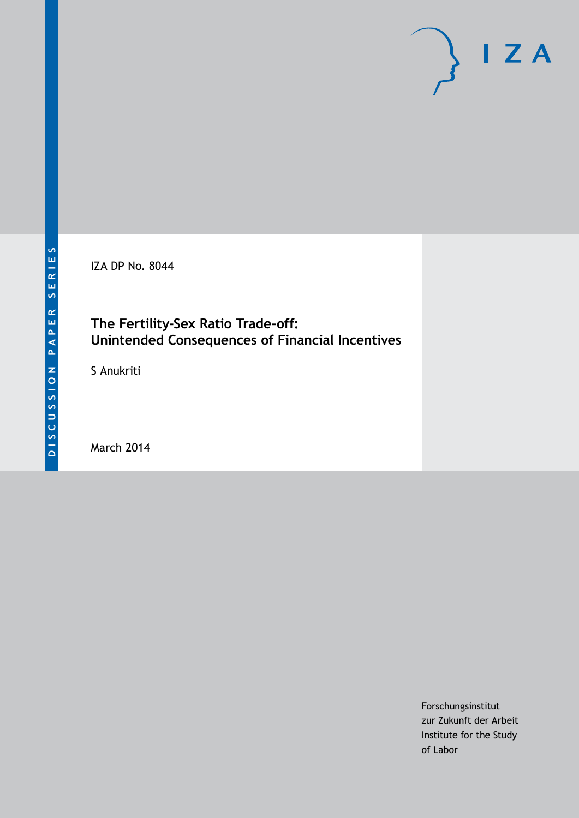

IZA DP No. 8044

### **The Fertility-Sex Ratio Trade-off: Unintended Consequences of Financial Incentives**

S Anukriti

March 2014

Forschungsinstitut zur Zukunft der Arbeit Institute for the Study of Labor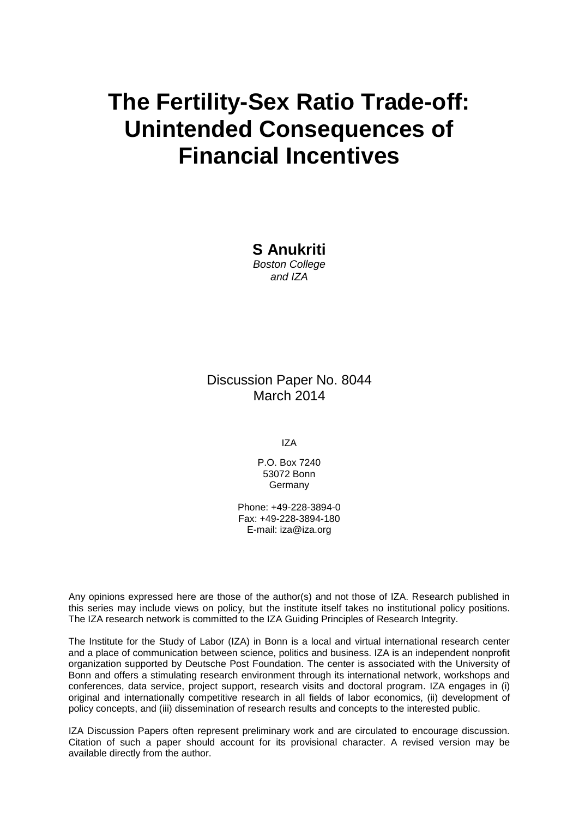# **The Fertility-Sex Ratio Trade-off: Unintended Consequences of Financial Incentives**

**S Anukriti** *Boston College and IZA*

Discussion Paper No. 8044 March 2014

IZA

P.O. Box 7240 53072 Bonn Germany

Phone: +49-228-3894-0 Fax: +49-228-3894-180 E-mail: [iza@iza.org](mailto:iza@iza.org)

Any opinions expressed here are those of the author(s) and not those of IZA. Research published in this series may include views on policy, but the institute itself takes no institutional policy positions. The IZA research network is committed to the IZA Guiding Principles of Research Integrity.

<span id="page-1-0"></span>The Institute for the Study of Labor (IZA) in Bonn is a local and virtual international research center and a place of communication between science, politics and business. IZA is an independent nonprofit organization supported by Deutsche Post Foundation. The center is associated with the University of Bonn and offers a stimulating research environment through its international network, workshops and conferences, data service, project support, research visits and doctoral program. IZA engages in (i) original and internationally competitive research in all fields of labor economics, (ii) development of policy concepts, and (iii) dissemination of research results and concepts to the interested public.

IZA Discussion Papers often represent preliminary work and are circulated to encourage discussion. Citation of such a paper should account for its provisional character. A revised version may be available directly from the author.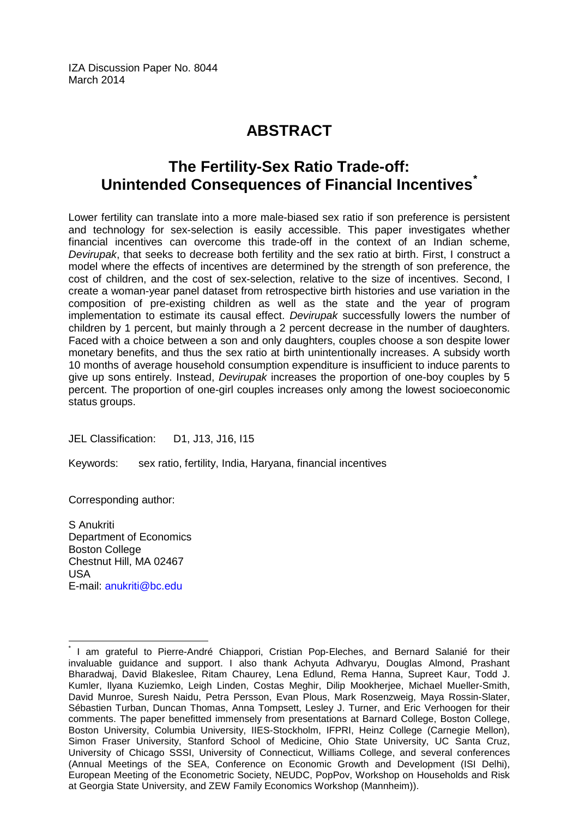IZA Discussion Paper No. 8044 March 2014

# **ABSTRACT**

## **The Fertility-Sex Ratio Trade-off: Unintended Consequences of Financial Incentives[\\*](#page-1-0)**

Lower fertility can translate into a more male-biased sex ratio if son preference is persistent and technology for sex-selection is easily accessible. This paper investigates whether financial incentives can overcome this trade-off in the context of an Indian scheme, *Devirupak*, that seeks to decrease both fertility and the sex ratio at birth. First, I construct a model where the effects of incentives are determined by the strength of son preference, the cost of children, and the cost of sex-selection, relative to the size of incentives. Second, I create a woman-year panel dataset from retrospective birth histories and use variation in the composition of pre-existing children as well as the state and the year of program implementation to estimate its causal effect. *Devirupak* successfully lowers the number of children by 1 percent, but mainly through a 2 percent decrease in the number of daughters. Faced with a choice between a son and only daughters, couples choose a son despite lower monetary benefits, and thus the sex ratio at birth unintentionally increases. A subsidy worth 10 months of average household consumption expenditure is insufficient to induce parents to give up sons entirely. Instead, *Devirupak* increases the proportion of one-boy couples by 5 percent. The proportion of one-girl couples increases only among the lowest socioeconomic status groups.

JEL Classification: D1, J13, J16, I15

Keywords: sex ratio, fertility, India, Haryana, financial incentives

Corresponding author:

S Anukriti Department of Economics Boston College Chestnut Hill, MA 02467 USA E-mail: [anukriti@bc.edu](mailto:anukriti@bc.edu)

I am grateful to Pierre-André Chiappori, Cristian Pop-Eleches, and Bernard Salanié for their invaluable guidance and support. I also thank Achyuta Adhvaryu, Douglas Almond, Prashant Bharadwaj, David Blakeslee, Ritam Chaurey, Lena Edlund, Rema Hanna, Supreet Kaur, Todd J. Kumler, Ilyana Kuziemko, Leigh Linden, Costas Meghir, Dilip Mookherjee, Michael Mueller-Smith, David Munroe, Suresh Naidu, Petra Persson, Evan Plous, Mark Rosenzweig, Maya Rossin-Slater, Sébastien Turban, Duncan Thomas, Anna Tompsett, Lesley J. Turner, and Eric Verhoogen for their comments. The paper benefitted immensely from presentations at Barnard College, Boston College, Boston University, Columbia University, IIES-Stockholm, IFPRI, Heinz College (Carnegie Mellon), Simon Fraser University, Stanford School of Medicine, Ohio State University, UC Santa Cruz, University of Chicago SSSI, University of Connecticut, Williams College, and several conferences (Annual Meetings of the SEA, Conference on Economic Growth and Development (ISI Delhi), European Meeting of the Econometric Society, NEUDC, PopPov, Workshop on Households and Risk at Georgia State University, and ZEW Family Economics Workshop (Mannheim)).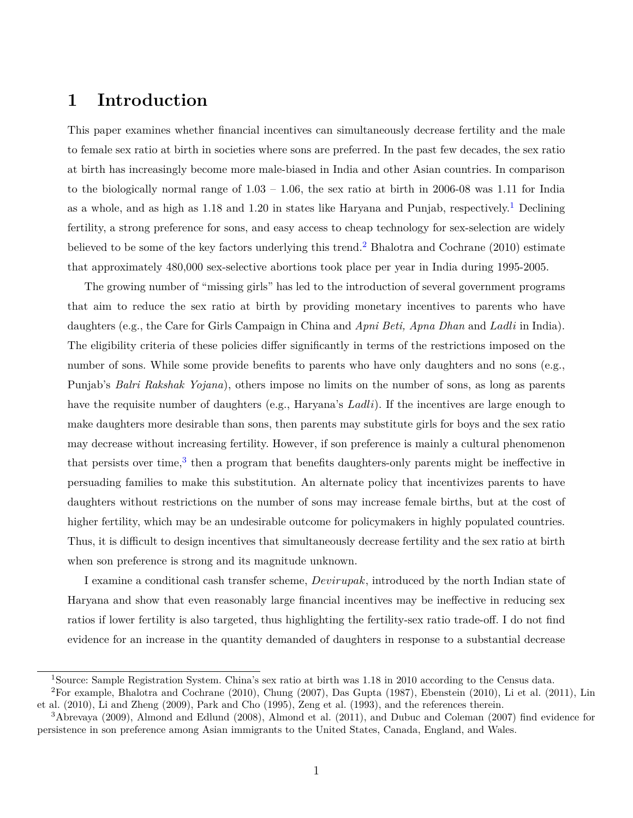### **1 Introduction**

This paper examines whether financial incentives can simultaneously decrease fertility and the male to female sex ratio at birth in societies where sons are preferred. In the past few decades, the sex ratio at birth has increasingly become more male-biased in India and other Asian countries. In comparison to the biologically normal range of  $1.03 - 1.06$ , the sex ratio at birth in 2006-08 was 1.11 for India as a whole, and as high as [1](#page-3-0).18 and 1.20 in states like Haryana and Punjab, respectively.<sup>1</sup> Declining fertility, a strong preference for sons, and easy access to cheap technology for sex-selection are widely believed to be some of the key factors underlying this trend.<sup>[2](#page-3-1)</sup> [Bhalotra and Cochrane](#page-36-0) [\(2010\)](#page-36-0) estimate that approximately 480,000 sex-selective abortions took place per year in India during 1995-2005.

The growing number of "missing girls" has led to the introduction of several government programs that aim to reduce the sex ratio at birth by providing monetary incentives to parents who have daughters (e.g., the Care for Girls Campaign in China and *Apni Beti, Apna Dhan* and *Ladli* in India). The eligibility criteria of these policies differ significantly in terms of the restrictions imposed on the number of sons. While some provide benefits to parents who have only daughters and no sons (e.g., Punjab's *Balri Rakshak Yojana*), others impose no limits on the number of sons, as long as parents have the requisite number of daughters (e.g., Haryana's *Ladli*). If the incentives are large enough to make daughters more desirable than sons, then parents may substitute girls for boys and the sex ratio may decrease without increasing fertility. However, if son preference is mainly a cultural phenomenon that persists over time,<sup>[3](#page-3-2)</sup> then a program that benefits daughters-only parents might be ineffective in persuading families to make this substitution. An alternate policy that incentivizes parents to have daughters without restrictions on the number of sons may increase female births, but at the cost of higher fertility, which may be an undesirable outcome for policymakers in highly populated countries. Thus, it is difficult to design incentives that simultaneously decrease fertility and the sex ratio at birth when son preference is strong and its magnitude unknown.

I examine a conditional cash transfer scheme, *Devirupak*, introduced by the north Indian state of Haryana and show that even reasonably large financial incentives may be ineffective in reducing sex ratios if lower fertility is also targeted, thus highlighting the fertility-sex ratio trade-off. I do not find evidence for an increase in the quantity demanded of daughters in response to a substantial decrease

<span id="page-3-1"></span><span id="page-3-0"></span><sup>1</sup>Source: Sample Registration System. China's sex ratio at birth was 1.18 in 2010 according to the Census data.  ${}^{2}$ For example, [Bhalotra and Cochrane](#page-36-0) [\(2010\)](#page-37-2), [Chung](#page-37-0) [\(2007\)](#page-37-0), [Das Gupta](#page-37-1) [\(1987\)](#page-37-1), [Ebenstein](#page-37-2) (2010), [Li et al.](#page-38-0) [\(2011\)](#page-38-0), [Lin](#page-38-1) [et al.](#page-38-1) [\(2010\)](#page-38-1), [Li and Zheng](#page-38-2) [\(2009\)](#page-38-2), [Park and Cho](#page-39-0) [\(1995\)](#page-39-0), [Zeng et al.](#page-39-1) [\(1993\)](#page-39-1), and the references therein.

<span id="page-3-2"></span><sup>3</sup>[Abrevaya](#page-36-1) [\(2009\)](#page-36-1), [Almond and Edlund](#page-36-2) [\(2008\)](#page-36-2), [Almond et al.](#page-36-3) [\(2011\)](#page-36-3), and [Dubuc and Coleman](#page-37-3) [\(2007\)](#page-37-3) find evidence for persistence in son preference among Asian immigrants to the United States, Canada, England, and Wales.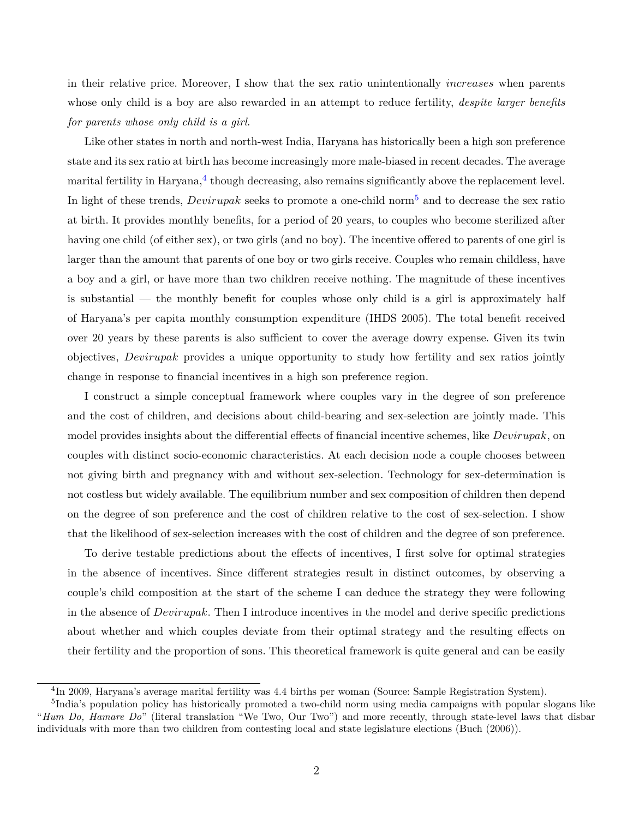in their relative price. Moreover, I show that the sex ratio unintentionally *increases* when parents whose only child is a boy are also rewarded in an attempt to reduce fertility, *despite larger benefits for parents whose only child is a girl*.

Like other states in north and north-west India, Haryana has historically been a high son preference state and its sex ratio at birth has become increasingly more male-biased in recent decades. The average marital fertility in Haryana, $^4$  $^4$  though decreasing, also remains significantly above the replacement level. In light of these trends, *Devirupak* seeks to promote a one-child norm[5](#page-4-1) and to decrease the sex ratio at birth. It provides monthly benefits, for a period of 20 years, to couples who become sterilized after having one child (of either sex), or two girls (and no boy). The incentive offered to parents of one girl is larger than the amount that parents of one boy or two girls receive. Couples who remain childless, have a boy and a girl, or have more than two children receive nothing. The magnitude of these incentives is substantial — the monthly benefit for couples whose only child is a girl is approximately half of Haryana's per capita monthly consumption expenditure (IHDS 2005). The total benefit received over 20 years by these parents is also sufficient to cover the average dowry expense. Given its twin objectives, *Devirupak* provides a unique opportunity to study how fertility and sex ratios jointly change in response to financial incentives in a high son preference region.

I construct a simple conceptual framework where couples vary in the degree of son preference and the cost of children, and decisions about child-bearing and sex-selection are jointly made. This model provides insights about the differential effects of financial incentive schemes, like *Devirupak*, on couples with distinct socio-economic characteristics. At each decision node a couple chooses between not giving birth and pregnancy with and without sex-selection. Technology for sex-determination is not costless but widely available. The equilibrium number and sex composition of children then depend on the degree of son preference and the cost of children relative to the cost of sex-selection. I show that the likelihood of sex-selection increases with the cost of children and the degree of son preference.

To derive testable predictions about the effects of incentives, I first solve for optimal strategies in the absence of incentives. Since different strategies result in distinct outcomes, by observing a couple's child composition at the start of the scheme I can deduce the strategy they were following in the absence of *Devirupak*. Then I introduce incentives in the model and derive specific predictions about whether and which couples deviate from their optimal strategy and the resulting effects on their fertility and the proportion of sons. This theoretical framework is quite general and can be easily

<span id="page-4-1"></span><span id="page-4-0"></span><sup>&</sup>lt;sup>4</sup>In 2009, Haryana's average marital fertility was 4.4 births per woman (Source: Sample Registration System).

<sup>&</sup>lt;sup>5</sup>India's population policy has historically promoted a two-child norm using media campaigns with popular slogans like "*Hum Do, Hamare Do*" (literal translation "We Two, Our Two") and more recently, through state-level laws that disbar individuals with more than two children from contesting local and state legislature elections [\(Buch](#page-36-4) [\(2006\)](#page-36-4)).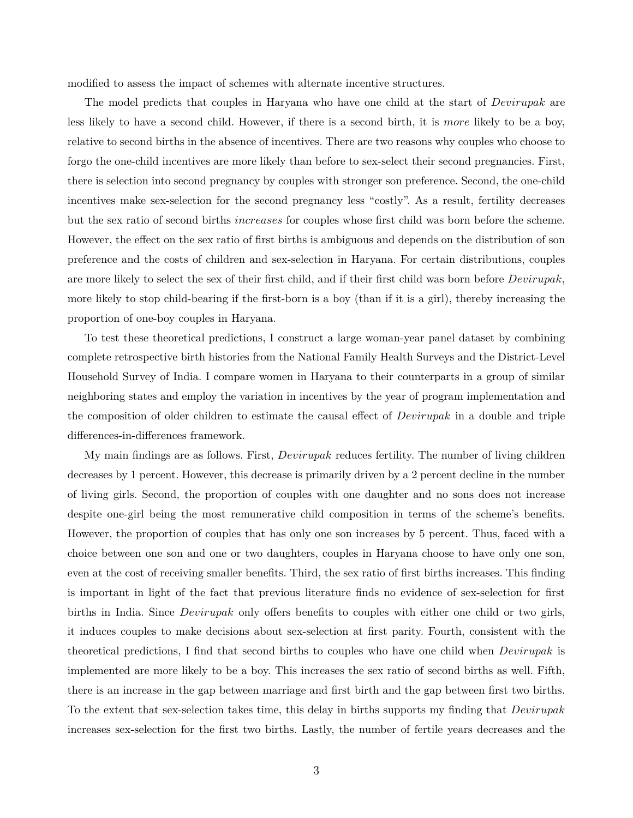modified to assess the impact of schemes with alternate incentive structures.

The model predicts that couples in Haryana who have one child at the start of *Devirupak* are less likely to have a second child. However, if there is a second birth, it is *more* likely to be a boy, relative to second births in the absence of incentives. There are two reasons why couples who choose to forgo the one-child incentives are more likely than before to sex-select their second pregnancies. First, there is selection into second pregnancy by couples with stronger son preference. Second, the one-child incentives make sex-selection for the second pregnancy less "costly". As a result, fertility decreases but the sex ratio of second births *increases* for couples whose first child was born before the scheme. However, the effect on the sex ratio of first births is ambiguous and depends on the distribution of son preference and the costs of children and sex-selection in Haryana. For certain distributions, couples are more likely to select the sex of their first child, and if their first child was born before *Devirupak*, more likely to stop child-bearing if the first-born is a boy (than if it is a girl), thereby increasing the proportion of one-boy couples in Haryana.

To test these theoretical predictions, I construct a large woman-year panel dataset by combining complete retrospective birth histories from the National Family Health Surveys and the District-Level Household Survey of India. I compare women in Haryana to their counterparts in a group of similar neighboring states and employ the variation in incentives by the year of program implementation and the composition of older children to estimate the causal effect of *Devirupak* in a double and triple differences-in-differences framework.

My main findings are as follows. First, *Devirupak* reduces fertility. The number of living children decreases by 1 percent. However, this decrease is primarily driven by a 2 percent decline in the number of living girls. Second, the proportion of couples with one daughter and no sons does not increase despite one-girl being the most remunerative child composition in terms of the scheme's benefits. However, the proportion of couples that has only one son increases by 5 percent. Thus, faced with a choice between one son and one or two daughters, couples in Haryana choose to have only one son, even at the cost of receiving smaller benefits. Third, the sex ratio of first births increases. This finding is important in light of the fact that previous literature finds no evidence of sex-selection for first births in India. Since *Devirupak* only offers benefits to couples with either one child or two girls, it induces couples to make decisions about sex-selection at first parity. Fourth, consistent with the theoretical predictions, I find that second births to couples who have one child when *Devirupak* is implemented are more likely to be a boy. This increases the sex ratio of second births as well. Fifth, there is an increase in the gap between marriage and first birth and the gap between first two births. To the extent that sex-selection takes time, this delay in births supports my finding that *Devirupak* increases sex-selection for the first two births. Lastly, the number of fertile years decreases and the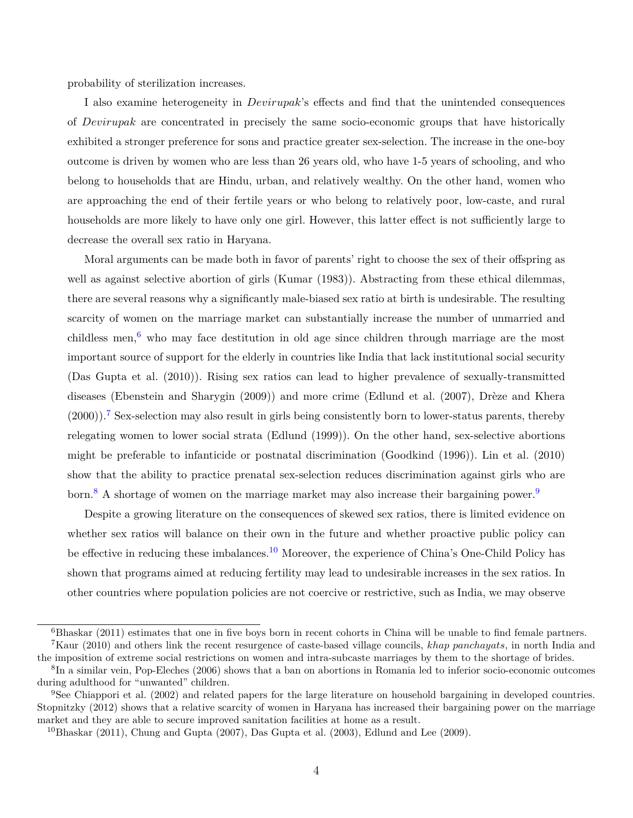probability of sterilization increases.

I also examine heterogeneity in *Devirupak*'s effects and find that the unintended consequences of *Devirupak* are concentrated in precisely the same socio-economic groups that have historically exhibited a stronger preference for sons and practice greater sex-selection. The increase in the one-boy outcome is driven by women who are less than 26 years old, who have 1-5 years of schooling, and who belong to households that are Hindu, urban, and relatively wealthy. On the other hand, women who are approaching the end of their fertile years or who belong to relatively poor, low-caste, and rural households are more likely to have only one girl. However, this latter effect is not sufficiently large to decrease the overall sex ratio in Haryana.

Moral arguments can be made both in favor of parents' right to choose the sex of their offspring as well as against selective abortion of girls [\(Kumar](#page-38-3) [\(1983\)](#page-38-3)). Abstracting from these ethical dilemmas, there are several reasons why a significantly male-biased sex ratio at birth is undesirable. The resulting scarcity of women on the marriage market can substantially increase the number of unmarried and childless men,<sup>[6](#page-6-0)</sup> who may face destitution in old age since children through marriage are the most important source of support for the elderly in countries like India that lack institutional social security [\(Das Gupta et al.](#page-37-4) [\(2010\)](#page-37-4)). Rising sex ratios can lead to higher prevalence of sexually-transmitted diseases [\(Ebenstein and Sharygin](#page-37-5) [\(2009\)](#page-37-5)) and more crime [\(Edlund et al.](#page-38-4) [\(2007\)](#page-38-4), [Drèze and Khera](#page-37-6)  $(2000)$ .<sup>[7](#page-6-1)</sup> Sex-selection may also result in girls being consistently born to lower-status parents, thereby relegating women to lower social strata [\(Edlund](#page-38-5) [\(1999\)](#page-38-5)). On the other hand, sex-selective abortions might be preferable to infanticide or postnatal discrimination [\(Goodkind](#page-38-6) [\(1996\)](#page-38-6)). [Lin et al.](#page-38-1) [\(2010\)](#page-38-1) show that the ability to practice prenatal sex-selection reduces discrimination against girls who are born.<sup>[8](#page-6-2)</sup> A shortage of women on the marriage market may also increase their bargaining power.<sup>[9](#page-6-3)</sup>

Despite a growing literature on the consequences of skewed sex ratios, there is limited evidence on whether sex ratios will balance on their own in the future and whether proactive public policy can be effective in reducing these imbalances.<sup>[10](#page-6-4)</sup> Moreover, the experience of China's One-Child Policy has shown that programs aimed at reducing fertility may lead to undesirable increases in the sex ratios. In other countries where population policies are not coercive or restrictive, such as India, we may observe

<span id="page-6-1"></span><span id="page-6-0"></span> $6B$ haskar [\(2011\)](#page-36-5) estimates that one in five boys born in recent cohorts in China will be unable to find female partners. <sup>7</sup>[Kaur](#page-38-7) [\(2010\)](#page-38-7) and others link the recent resurgence of caste-based village councils, *khap panchayats*, in north India and

<span id="page-6-2"></span>the imposition of extreme social restrictions on women and intra-subcaste marriages by them to the shortage of brides. 8 In a similar vein, [Pop-Eleches](#page-39-2) [\(2006\)](#page-39-2) shows that a ban on abortions in Romania led to inferior socio-economic outcomes

during adulthood for "unwanted" children.

<span id="page-6-3"></span><sup>9</sup>See [Chiappori et al.](#page-37-7) [\(2002\)](#page-37-7) and related papers for the large literature on household bargaining in developed countries. [Stopnitzky](#page-39-3) [\(2012\)](#page-39-3) shows that a relative scarcity of women in Haryana has increased their bargaining power on the marriage market and they are able to secure improved sanitation facilities at home as a result.

<span id="page-6-4"></span> $10B$ haskar [\(2011\)](#page-36-5), [Chung and Gupta](#page-37-8) [\(2007\)](#page-37-8), [Das Gupta et al.](#page-37-9) [\(2003\)](#page-37-9), [Edlund and Lee](#page-38-8) [\(2009\)](#page-38-8).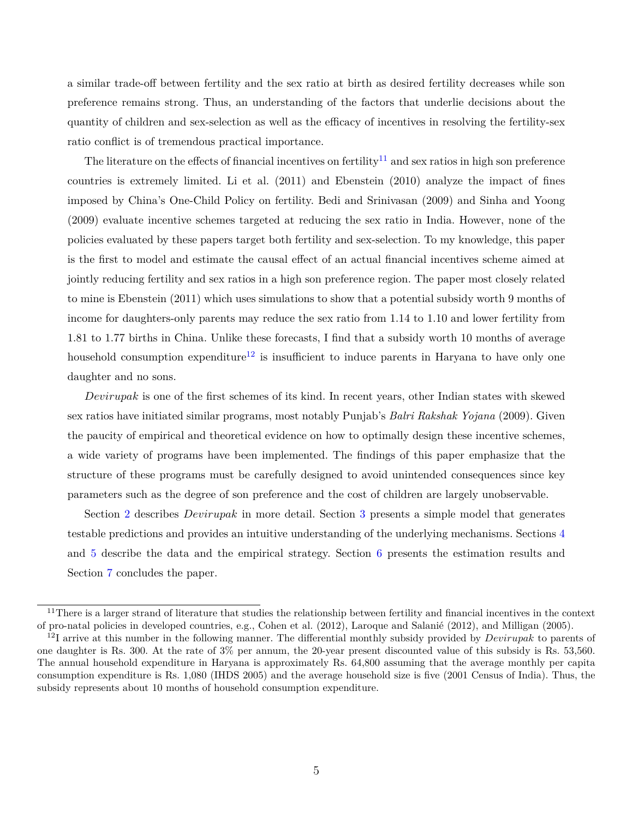a similar trade-off between fertility and the sex ratio at birth as desired fertility decreases while son preference remains strong. Thus, an understanding of the factors that underlie decisions about the quantity of children and sex-selection as well as the efficacy of incentives in resolving the fertility-sex ratio conflict is of tremendous practical importance.

The literature on the effects of financial incentives on fertility<sup>[11](#page-7-0)</sup> and sex ratios in high son preference countries is extremely limited. [Li et al.](#page-38-0) [\(2011\)](#page-38-0) and [Ebenstein](#page-37-2) [\(2010\)](#page-37-2) analyze the impact of fines imposed by China's One-Child Policy on fertility. [Bedi and Srinivasan](#page-36-6) [\(2009\)](#page-36-6) and [Sinha and Yoong](#page-39-4) [\(2009\)](#page-39-4) evaluate incentive schemes targeted at reducing the sex ratio in India. However, none of the policies evaluated by these papers target both fertility and sex-selection. To my knowledge, this paper is the first to model and estimate the causal effect of an actual financial incentives scheme aimed at jointly reducing fertility and sex ratios in a high son preference region. The paper most closely related to mine is [Ebenstein](#page-37-10) [\(2011\)](#page-37-10) which uses simulations to show that a potential subsidy worth 9 months of income for daughters-only parents may reduce the sex ratio from 1.14 to 1.10 and lower fertility from 1.81 to 1.77 births in China. Unlike these forecasts, I find that a subsidy worth 10 months of average household consumption expenditure<sup>[12](#page-7-1)</sup> is insufficient to induce parents in Haryana to have only one daughter and no sons.

*Devirupak* is one of the first schemes of its kind. In recent years, other Indian states with skewed sex ratios have initiated similar programs, most notably Punjab's *Balri Rakshak Yojana* (2009). Given the paucity of empirical and theoretical evidence on how to optimally design these incentive schemes, a wide variety of programs have been implemented. The findings of this paper emphasize that the structure of these programs must be carefully designed to avoid unintended consequences since key parameters such as the degree of son preference and the cost of children are largely unobservable.

Section [2](#page-8-0) describes *Devirupak* in more detail. Section [3](#page-9-0) presents a simple model that generates testable predictions and provides an intuitive understanding of the underlying mechanisms. Sections [4](#page-17-0) and [5](#page-22-0) describe the data and the empirical strategy. Section [6](#page-25-0) presents the estimation results and Section [7](#page-34-0) concludes the paper.

<span id="page-7-0"></span> $11$ There is a larger strand of literature that studies the relationship between fertility and financial incentives in the context of pro-natal policies in developed countries, e.g., [Cohen et al.](#page-37-11) [\(2012\)](#page-37-11), [Laroque and Salanié](#page-38-9) [\(2012\)](#page-38-9), and [Milligan](#page-38-10) [\(2005\)](#page-38-10).

<span id="page-7-1"></span><sup>&</sup>lt;sup>12</sup>I arrive at this number in the following manner. The differential monthly subsidy provided by *Devirupak* to parents of one daughter is Rs. 300. At the rate of 3% per annum, the 20-year present discounted value of this subsidy is Rs. 53,560. The annual household expenditure in Haryana is approximately Rs. 64,800 assuming that the average monthly per capita consumption expenditure is Rs. 1,080 (IHDS 2005) and the average household size is five (2001 Census of India). Thus, the subsidy represents about 10 months of household consumption expenditure.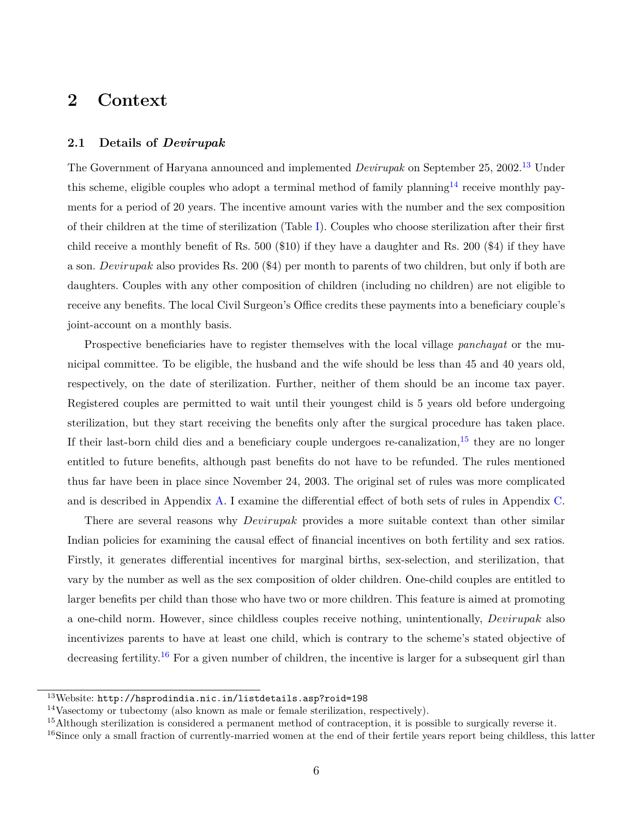### <span id="page-8-0"></span>**2 Context**

### **2.1 Details of** *Devirupak*

The Government of Haryana announced and implemented *Devirupak* on September 25, 2002.[13](#page-8-1) Under this scheme, eligible couples who adopt a terminal method of family planning<sup>[14](#page-8-2)</sup> receive monthly payments for a period of 20 years. The incentive amount varies with the number and the sex composition of their children at the time of sterilization (Table [I\)](#page-50-0). Couples who choose sterilization after their first child receive a monthly benefit of Rs. 500 (\$10) if they have a daughter and Rs. 200 (\$4) if they have a son. *Devirupak* also provides Rs. 200 (\$4) per month to parents of two children, but only if both are daughters. Couples with any other composition of children (including no children) are not eligible to receive any benefits. The local Civil Surgeon's Office credits these payments into a beneficiary couple's joint-account on a monthly basis.

Prospective beneficiaries have to register themselves with the local village *panchayat* or the municipal committee. To be eligible, the husband and the wife should be less than 45 and 40 years old, respectively, on the date of sterilization. Further, neither of them should be an income tax payer. Registered couples are permitted to wait until their youngest child is 5 years old before undergoing sterilization, but they start receiving the benefits only after the surgical procedure has taken place. If their last-born child dies and a beneficiary couple undergoes re-canalization,  $15$  they are no longer entitled to future benefits, although past benefits do not have to be refunded. The rules mentioned thus far have been in place since November 24, 2003. The original set of rules was more complicated and is described in Appendix [A.](#page-40-0) I examine the differential effect of both sets of rules in Appendix [C.](#page-47-0)

There are several reasons why *Devirupak* provides a more suitable context than other similar Indian policies for examining the causal effect of financial incentives on both fertility and sex ratios. Firstly, it generates differential incentives for marginal births, sex-selection, and sterilization, that vary by the number as well as the sex composition of older children. One-child couples are entitled to larger benefits per child than those who have two or more children. This feature is aimed at promoting a one-child norm. However, since childless couples receive nothing, unintentionally, *Devirupak* also incentivizes parents to have at least one child, which is contrary to the scheme's stated objective of decreasing fertility.<sup>[16](#page-8-4)</sup> For a given number of children, the incentive is larger for a subsequent girl than

<span id="page-8-1"></span><sup>13</sup>Website: <http://hsprodindia.nic.in/listdetails.asp?roid=198>

<span id="page-8-2"></span><sup>14</sup>Vasectomy or tubectomy (also known as male or female sterilization, respectively).

<span id="page-8-3"></span><sup>&</sup>lt;sup>15</sup>Although sterilization is considered a permanent method of contraception, it is possible to surgically reverse it.

<span id="page-8-4"></span><sup>&</sup>lt;sup>16</sup>Since only a small fraction of currently-married women at the end of their fertile years report being childless, this latter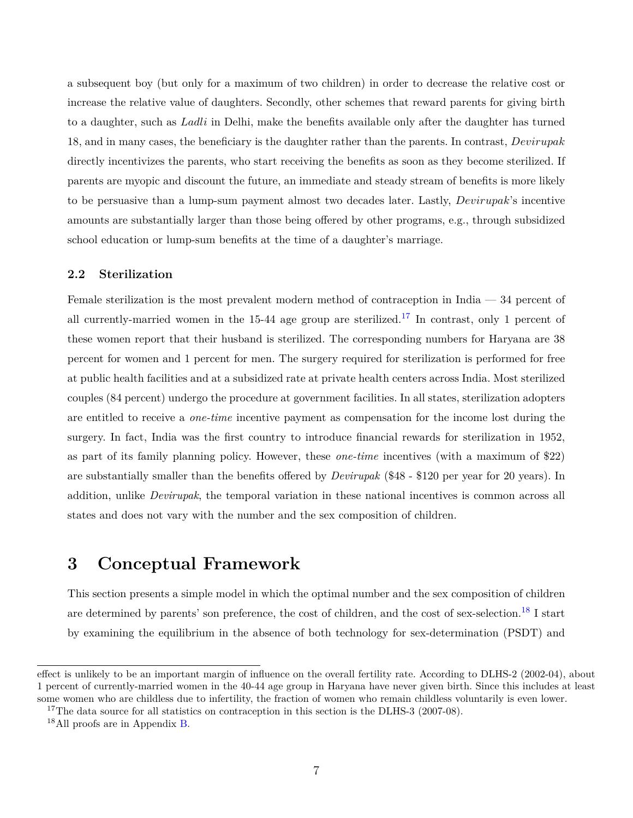a subsequent boy (but only for a maximum of two children) in order to decrease the relative cost or increase the relative value of daughters. Secondly, other schemes that reward parents for giving birth to a daughter, such as *Ladli* in Delhi, make the benefits available only after the daughter has turned 18, and in many cases, the beneficiary is the daughter rather than the parents. In contrast, *Devirupak* directly incentivizes the parents, who start receiving the benefits as soon as they become sterilized. If parents are myopic and discount the future, an immediate and steady stream of benefits is more likely to be persuasive than a lump-sum payment almost two decades later. Lastly, *Devirupak*'s incentive amounts are substantially larger than those being offered by other programs, e.g., through subsidized school education or lump-sum benefits at the time of a daughter's marriage.

### <span id="page-9-3"></span>**2.2 Sterilization**

Female sterilization is the most prevalent modern method of contraception in India — 34 percent of all currently-married women in the 15-44 age group are sterilized.<sup>[17](#page-9-1)</sup> In contrast, only 1 percent of these women report that their husband is sterilized. The corresponding numbers for Haryana are 38 percent for women and 1 percent for men. The surgery required for sterilization is performed for free at public health facilities and at a subsidized rate at private health centers across India. Most sterilized couples (84 percent) undergo the procedure at government facilities. In all states, sterilization adopters are entitled to receive a *one-time* incentive payment as compensation for the income lost during the surgery. In fact, India was the first country to introduce financial rewards for sterilization in 1952, as part of its family planning policy. However, these *one-time* incentives (with a maximum of \$22) are substantially smaller than the benefits offered by *Devirupak* (\$48 - \$120 per year for 20 years). In addition, unlike *Devirupak*, the temporal variation in these national incentives is common across all states and does not vary with the number and the sex composition of children.

### <span id="page-9-0"></span>**3 Conceptual Framework**

This section presents a simple model in which the optimal number and the sex composition of children are determined by parents' son preference, the cost of children, and the cost of sex-selection.<sup>[18](#page-9-2)</sup> I start by examining the equilibrium in the absence of both technology for sex-determination (PSDT) and

effect is unlikely to be an important margin of influence on the overall fertility rate. According to DLHS-2 (2002-04), about 1 percent of currently-married women in the 40-44 age group in Haryana have never given birth. Since this includes at least some women who are childless due to infertility, the fraction of women who remain childless voluntarily is even lower.

<span id="page-9-1"></span><sup>&</sup>lt;sup>17</sup>The data source for all statistics on contraception in this section is the DLHS-3 (2007-08).

<span id="page-9-2"></span><sup>18</sup>All proofs are in Appendix [B.](#page-40-1)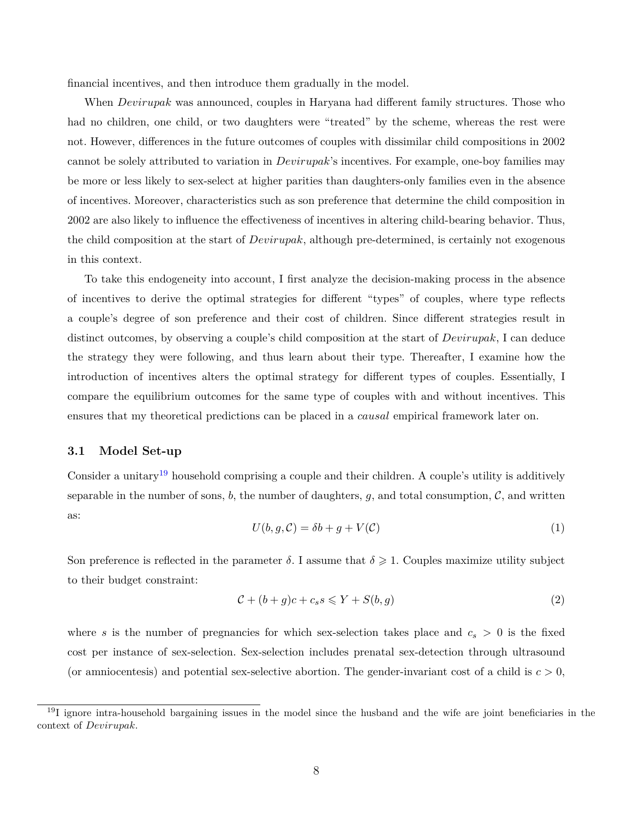financial incentives, and then introduce them gradually in the model.

When *Devirupak* was announced, couples in Haryana had different family structures. Those who had no children, one child, or two daughters were "treated" by the scheme, whereas the rest were not. However, differences in the future outcomes of couples with dissimilar child compositions in 2002 cannot be solely attributed to variation in *Devirupak*'s incentives. For example, one-boy families may be more or less likely to sex-select at higher parities than daughters-only families even in the absence of incentives. Moreover, characteristics such as son preference that determine the child composition in 2002 are also likely to influence the effectiveness of incentives in altering child-bearing behavior. Thus, the child composition at the start of *Devirupak*, although pre-determined, is certainly not exogenous in this context.

To take this endogeneity into account, I first analyze the decision-making process in the absence of incentives to derive the optimal strategies for different "types" of couples, where type reflects a couple's degree of son preference and their cost of children. Since different strategies result in distinct outcomes, by observing a couple's child composition at the start of *Devirupak*, I can deduce the strategy they were following, and thus learn about their type. Thereafter, I examine how the introduction of incentives alters the optimal strategy for different types of couples. Essentially, I compare the equilibrium outcomes for the same type of couples with and without incentives. This ensures that my theoretical predictions can be placed in a *causal* empirical framework later on.

### **3.1 Model Set-up**

Consider a unitary<sup>[19](#page-10-0)</sup> household comprising a couple and their children. A couple's utility is additively separable in the number of sons,  $b$ , the number of daughters,  $q$ , and total consumption,  $\mathcal{C}$ , and written as:

$$
U(b, g, \mathcal{C}) = \delta b + g + V(\mathcal{C})\tag{1}
$$

Son preference is reflected in the parameter  $\delta$ . I assume that  $\delta \geqslant 1$ . Couples maximize utility subject to their budget constraint:

$$
\mathcal{C} + (b+g)c + c_s s \leqslant Y + S(b,g) \tag{2}
$$

where *s* is the number of pregnancies for which sex-selection takes place and  $c_s > 0$  is the fixed cost per instance of sex-selection. Sex-selection includes prenatal sex-detection through ultrasound (or amniocentesis) and potential sex-selective abortion. The gender-invariant cost of a child is  $c > 0$ ,

<span id="page-10-0"></span> $19I$  ignore intra-household bargaining issues in the model since the husband and the wife are joint beneficiaries in the context of *Devirupak*.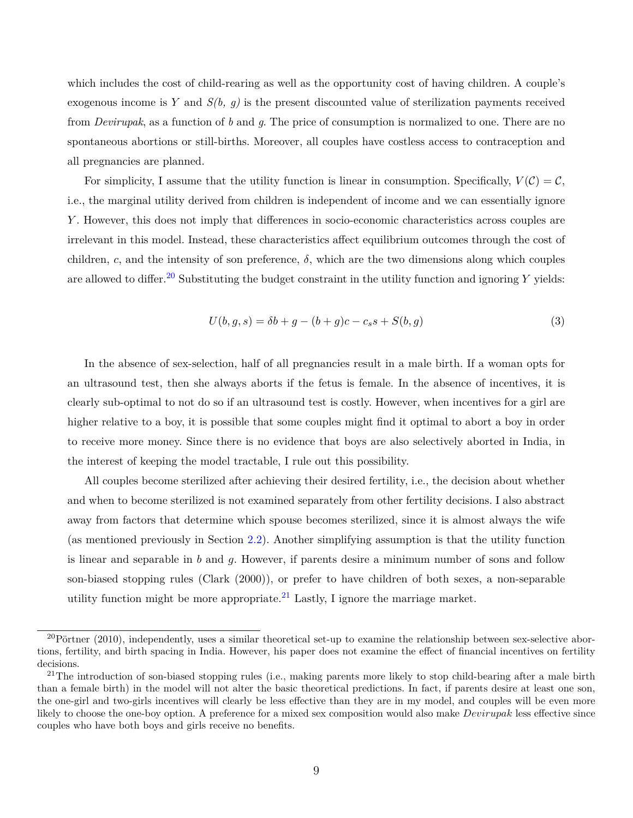which includes the cost of child-rearing as well as the opportunity cost of having children. A couple's exogenous income is *Y* and *S(b, g)* is the present discounted value of sterilization payments received from *Devirupak*, as a function of *b* and *g*. The price of consumption is normalized to one. There are no spontaneous abortions or still-births. Moreover, all couples have costless access to contraception and all pregnancies are planned.

For simplicity, I assume that the utility function is linear in consumption. Specifically,  $V(\mathcal{C}) = \mathcal{C}$ , i.e., the marginal utility derived from children is independent of income and we can essentially ignore *Y* . However, this does not imply that differences in socio-economic characteristics across couples are irrelevant in this model. Instead, these characteristics affect equilibrium outcomes through the cost of children, *c*, and the intensity of son preference,  $\delta$ , which are the two dimensions along which couples are allowed to differ.<sup>[20](#page-11-0)</sup> Substituting the budget constraint in the utility function and ignoring  $Y$  yields:

$$
U(b, g, s) = \delta b + g - (b + g)c - c_s s + S(b, g)
$$
\n(3)

In the absence of sex-selection, half of all pregnancies result in a male birth. If a woman opts for an ultrasound test, then she always aborts if the fetus is female. In the absence of incentives, it is clearly sub-optimal to not do so if an ultrasound test is costly. However, when incentives for a girl are higher relative to a boy, it is possible that some couples might find it optimal to abort a boy in order to receive more money. Since there is no evidence that boys are also selectively aborted in India, in the interest of keeping the model tractable, I rule out this possibility.

All couples become sterilized after achieving their desired fertility, i.e., the decision about whether and when to become sterilized is not examined separately from other fertility decisions. I also abstract away from factors that determine which spouse becomes sterilized, since it is almost always the wife (as mentioned previously in Section [2.2\)](#page-9-3). Another simplifying assumption is that the utility function is linear and separable in *b* and *g*. However, if parents desire a minimum number of sons and follow son-biased stopping rules [\(Clark](#page-37-12) [\(2000\)](#page-37-12)), or prefer to have children of both sexes, a non-separable utility function might be more appropriate.<sup>[21](#page-11-1)</sup> Lastly, I ignore the marriage market.

<span id="page-11-0"></span> $^{20}$ [Pörtner](#page-39-5) [\(2010\)](#page-39-5), independently, uses a similar theoretical set-up to examine the relationship between sex-selective abortions, fertility, and birth spacing in India. However, his paper does not examine the effect of financial incentives on fertility decisions.

<span id="page-11-1"></span><sup>&</sup>lt;sup>21</sup>The introduction of son-biased stopping rules (i.e., making parents more likely to stop child-bearing after a male birth than a female birth) in the model will not alter the basic theoretical predictions. In fact, if parents desire at least one son, the one-girl and two-girls incentives will clearly be less effective than they are in my model, and couples will be even more likely to choose the one-boy option. A preference for a mixed sex composition would also make *Devirupak* less effective since couples who have both boys and girls receive no benefits.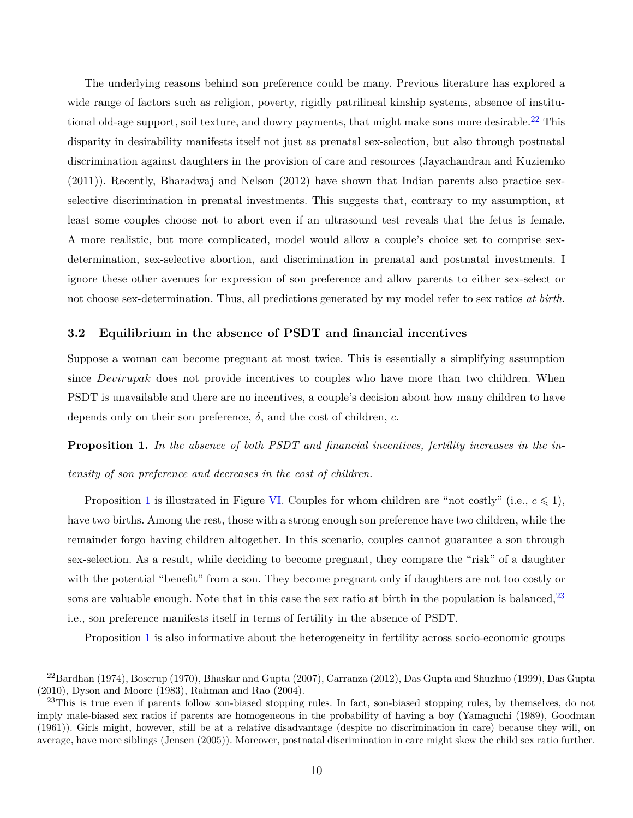The underlying reasons behind son preference could be many. Previous literature has explored a wide range of factors such as religion, poverty, rigidly patrilineal kinship systems, absence of institu-tional old-age support, soil texture, and dowry payments, that might make sons more desirable.<sup>[22](#page-12-0)</sup> This disparity in desirability manifests itself not just as prenatal sex-selection, but also through postnatal discrimination against daughters in the provision of care and resources [\(Jayachandran and Kuziemko](#page-38-11) [\(2011\)](#page-38-11)). Recently, [Bharadwaj and Nelson](#page-36-7) [\(2012\)](#page-36-7) have shown that Indian parents also practice sexselective discrimination in prenatal investments. This suggests that, contrary to my assumption, at least some couples choose not to abort even if an ultrasound test reveals that the fetus is female. A more realistic, but more complicated, model would allow a couple's choice set to comprise sexdetermination, sex-selective abortion, and discrimination in prenatal and postnatal investments. I ignore these other avenues for expression of son preference and allow parents to either sex-select or not choose sex-determination. Thus, all predictions generated by my model refer to sex ratios *at birth*.

### **3.2 Equilibrium in the absence of PSDT and financial incentives**

Suppose a woman can become pregnant at most twice. This is essentially a simplifying assumption since *Devirupak* does not provide incentives to couples who have more than two children. When PSDT is unavailable and there are no incentives, a couple's decision about how many children to have depends only on their son preference, *δ*, and the cost of children, *c*.

<span id="page-12-1"></span>**Proposition 1.** *In the absence of both PSDT and financial incentives, fertility increases in the intensity of son preference and decreases in the cost of children.*

Proposition [1](#page-12-1) is illustrated in Figure [VI.](#page-61-0) Couples for whom children are "not costly" (i.e.,  $c \leq 1$ ), have two births. Among the rest, those with a strong enough son preference have two children, while the remainder forgo having children altogether. In this scenario, couples cannot guarantee a son through sex-selection. As a result, while deciding to become pregnant, they compare the "risk" of a daughter with the potential "benefit" from a son. They become pregnant only if daughters are not too costly or sons are valuable enough. Note that in this case the sex ratio at birth in the population is balanced,  $23$ i.e., son preference manifests itself in terms of fertility in the absence of PSDT.

Proposition [1](#page-12-1) is also informative about the heterogeneity in fertility across socio-economic groups

<span id="page-12-0"></span><sup>22</sup>[Bardhan](#page-36-8) [\(1974\)](#page-36-8), [Boserup](#page-36-9) [\(1970\)](#page-36-9), [Bhaskar and Gupta](#page-36-10) [\(2007\)](#page-36-10), [Carranza](#page-36-11) [\(2012\)](#page-36-11), [Das Gupta and Shuzhuo](#page-37-13) [\(1999\)](#page-37-13), [Das Gupta](#page-37-14) [\(2010\)](#page-37-14), [Dyson and Moore](#page-37-15) [\(1983\)](#page-37-15), [Rahman and Rao](#page-39-6) [\(2004\)](#page-39-6).

<span id="page-12-2"></span><sup>&</sup>lt;sup>23</sup>This is true even if parents follow son-biased stopping rules. In fact, son-biased stopping rules, by themselves, do not imply male-biased sex ratios if parents are homogeneous in the probability of having a boy [\(Yamaguchi](#page-39-7) [\(1989\)](#page-39-7), [Goodman](#page-38-12) [\(1961\)](#page-38-12)). Girls might, however, still be at a relative disadvantage (despite no discrimination in care) because they will, on average, have more siblings [\(Jensen](#page-38-13) [\(2005\)](#page-38-13)). Moreover, postnatal discrimination in care might skew the child sex ratio further.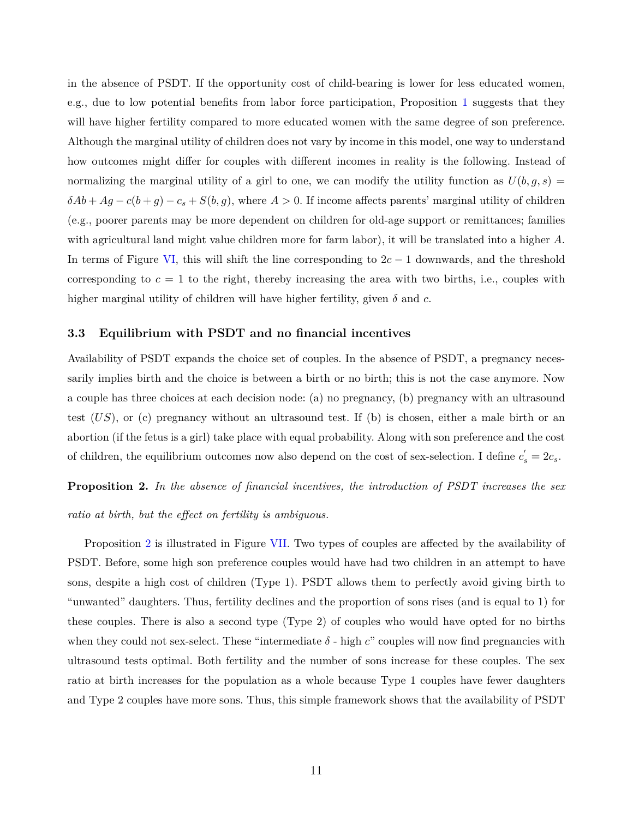in the absence of PSDT. If the opportunity cost of child-bearing is lower for less educated women, e.g., due to low potential benefits from labor force participation, Proposition [1](#page-12-1) suggests that they will have higher fertility compared to more educated women with the same degree of son preference. Although the marginal utility of children does not vary by income in this model, one way to understand how outcomes might differ for couples with different incomes in reality is the following. Instead of normalizing the marginal utility of a girl to one, we can modify the utility function as  $U(b, g, s)$  $\delta A b + A g - c(b + g) - c_s + S(b, g)$ , where  $A > 0$ . If income affects parents' marginal utility of children (e.g., poorer parents may be more dependent on children for old-age support or remittances; families with agricultural land might value children more for farm labor), it will be translated into a higher *A*. In terms of Figure [VI,](#page-61-0) this will shift the line corresponding to 2*c* − 1 downwards, and the threshold corresponding to  $c = 1$  to the right, thereby increasing the area with two births, i.e., couples with higher marginal utility of children will have higher fertility, given *δ* and *c*.

#### **3.3 Equilibrium with PSDT and no financial incentives**

Availability of PSDT expands the choice set of couples. In the absence of PSDT, a pregnancy necessarily implies birth and the choice is between a birth or no birth; this is not the case anymore. Now a couple has three choices at each decision node: (a) no pregnancy, (b) pregnancy with an ultrasound test (*US*), or (c) pregnancy without an ultrasound test. If (b) is chosen, either a male birth or an abortion (if the fetus is a girl) take place with equal probability. Along with son preference and the cost of children, the equilibrium outcomes now also depend on the cost of sex-selection. I define  $c'_{s} = 2c_{s}$ .

<span id="page-13-0"></span>**Proposition 2.** *In the absence of financial incentives, the introduction of PSDT increases the sex*

*ratio at birth, but the effect on fertility is ambiguous.*

Proposition [2](#page-13-0) is illustrated in Figure [VII.](#page-61-0) Two types of couples are affected by the availability of PSDT. Before, some high son preference couples would have had two children in an attempt to have sons, despite a high cost of children (Type 1). PSDT allows them to perfectly avoid giving birth to "unwanted" daughters. Thus, fertility declines and the proportion of sons rises (and is equal to 1) for these couples. There is also a second type (Type 2) of couples who would have opted for no births when they could not sex-select. These "intermediate  $\delta$  - high *c*" couples will now find pregnancies with ultrasound tests optimal. Both fertility and the number of sons increase for these couples. The sex ratio at birth increases for the population as a whole because Type 1 couples have fewer daughters and Type 2 couples have more sons. Thus, this simple framework shows that the availability of PSDT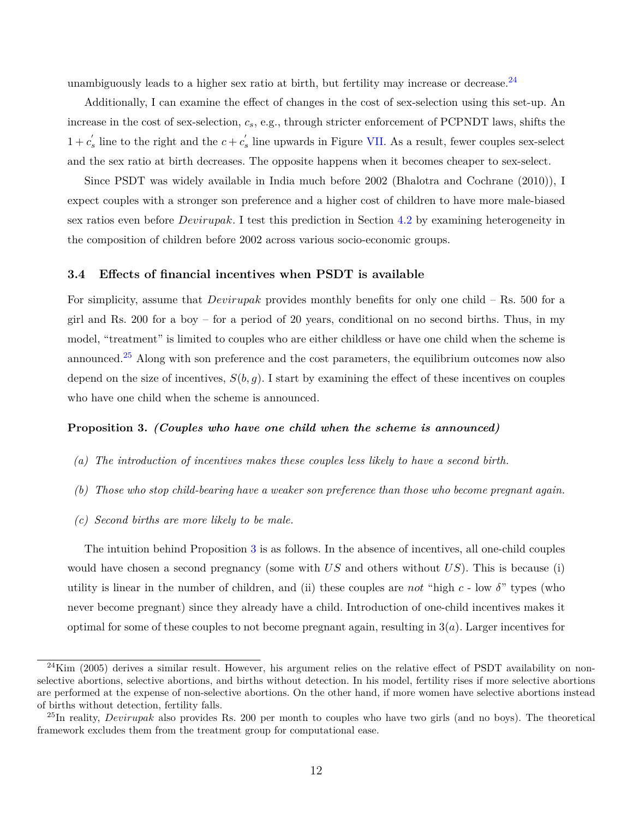unambiguously leads to a higher sex ratio at birth, but fertility may increase or decrease. $^{24}$  $^{24}$  $^{24}$ 

Additionally, I can examine the effect of changes in the cost of sex-selection using this set-up. An increase in the cost of sex-selection, *cs*, e.g., through stricter enforcement of PCPNDT laws, shifts the  $1 + c'_s$  line to the right and the  $c + c'_s$  line upwards in Figure [VII.](#page-61-0) As a result, fewer couples sex-select and the sex ratio at birth decreases. The opposite happens when it becomes cheaper to sex-select.

Since PSDT was widely available in India much before 2002 [\(Bhalotra and Cochrane](#page-36-0) [\(2010\)](#page-36-0)), I expect couples with a stronger son preference and a higher cost of children to have more male-biased sex ratios even before *Devirupak*. I test this prediction in Section [4.2](#page-21-0) by examining heterogeneity in the composition of children before 2002 across various socio-economic groups.

#### **3.4 Effects of financial incentives when PSDT is available**

For simplicity, assume that *Devirupak* provides monthly benefits for only one child – Rs. 500 for a girl and Rs. 200 for a boy – for a period of 20 years, conditional on no second births. Thus, in my model, "treatment" is limited to couples who are either childless or have one child when the scheme is announced.[25](#page-14-1) Along with son preference and the cost parameters, the equilibrium outcomes now also depend on the size of incentives,  $S(b, g)$ . I start by examining the effect of these incentives on couples who have one child when the scheme is announced.

### <span id="page-14-2"></span>**Proposition 3.** *(Couples who have one child when the scheme is announced)*

- *(a) The introduction of incentives makes these couples less likely to have a second birth.*
- *(b) Those who stop child-bearing have a weaker son preference than those who become pregnant again.*
- *(c) Second births are more likely to be male.*

The intuition behind Proposition [3](#page-14-2) is as follows. In the absence of incentives, all one-child couples would have chosen a second pregnancy (some with *US* and others without *US*). This is because (i) utility is linear in the number of children, and (ii) these couples are *not* "high  $c$  - low  $\delta$ " types (who never become pregnant) since they already have a child. Introduction of one-child incentives makes it optimal for some of these couples to not become pregnant again, resulting in 3(*a*). Larger incentives for

<span id="page-14-0"></span> $^{24}$ [Kim](#page-38-14) [\(2005\)](#page-38-14) derives a similar result. However, his argument relies on the relative effect of PSDT availability on nonselective abortions, selective abortions, and births without detection. In his model, fertility rises if more selective abortions are performed at the expense of non-selective abortions. On the other hand, if more women have selective abortions instead of births without detection, fertility falls.

<span id="page-14-1"></span><sup>25</sup>In reality, *Devirupak* also provides Rs. 200 per month to couples who have two girls (and no boys). The theoretical framework excludes them from the treatment group for computational ease.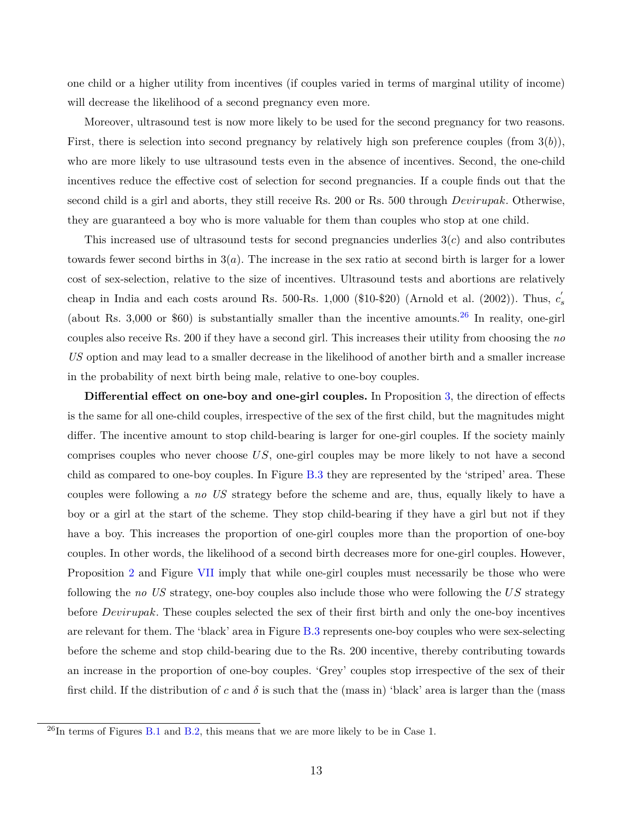one child or a higher utility from incentives (if couples varied in terms of marginal utility of income) will decrease the likelihood of a second pregnancy even more.

Moreover, ultrasound test is now more likely to be used for the second pregnancy for two reasons. First, there is selection into second pregnancy by relatively high son preference couples (from 3(*b*)), who are more likely to use ultrasound tests even in the absence of incentives. Second, the one-child incentives reduce the effective cost of selection for second pregnancies. If a couple finds out that the second child is a girl and aborts, they still receive Rs. 200 or Rs. 500 through *Devirupak*. Otherwise, they are guaranteed a boy who is more valuable for them than couples who stop at one child.

This increased use of ultrasound tests for second pregnancies underlies 3(*c*) and also contributes towards fewer second births in 3(*a*). The increase in the sex ratio at second birth is larger for a lower cost of sex-selection, relative to the size of incentives. Ultrasound tests and abortions are relatively cheap in India and each costs around Rs. 500-Rs. 1,000 (\$10-\$20) [\(Arnold et al.](#page-36-12) [\(2002\)](#page-36-12)). Thus,  $c'_{s}$ (about Rs. 3,000 or \$60) is substantially smaller than the incentive amounts.<sup>[26](#page-15-0)</sup> In reality, one-girl couples also receive Rs. 200 if they have a second girl. This increases their utility from choosing the *no US* option and may lead to a smaller decrease in the likelihood of another birth and a smaller increase in the probability of next birth being male, relative to one-boy couples.

**Differential effect on one-boy and one-girl couples.** In Proposition [3,](#page-14-2) the direction of effects is the same for all one-child couples, irrespective of the sex of the first child, but the magnitudes might differ. The incentive amount to stop child-bearing is larger for one-girl couples. If the society mainly comprises couples who never choose *US*, one-girl couples may be more likely to not have a second child as compared to one-boy couples. In Figure [B.3](#page-46-0) they are represented by the 'striped' area. These couples were following a *no US* strategy before the scheme and are, thus, equally likely to have a boy or a girl at the start of the scheme. They stop child-bearing if they have a girl but not if they have a boy. This increases the proportion of one-girl couples more than the proportion of one-boy couples. In other words, the likelihood of a second birth decreases more for one-girl couples. However, Proposition [2](#page-13-0) and Figure [VII](#page-61-0) imply that while one-girl couples must necessarily be those who were following the *no US* strategy, one-boy couples also include those who were following the *US* strategy before *Devirupak*. These couples selected the sex of their first birth and only the one-boy incentives are relevant for them. The 'black' area in Figure [B.3](#page-46-0) represents one-boy couples who were sex-selecting before the scheme and stop child-bearing due to the Rs. 200 incentive, thereby contributing towards an increase in the proportion of one-boy couples. 'Grey' couples stop irrespective of the sex of their first child. If the distribution of c and  $\delta$  is such that the (mass in) 'black' area is larger than the (mass

<span id="page-15-0"></span> $^{26}$ In terms of Figures [B.1](#page-43-0) and [B.2,](#page-45-0) this means that we are more likely to be in Case 1.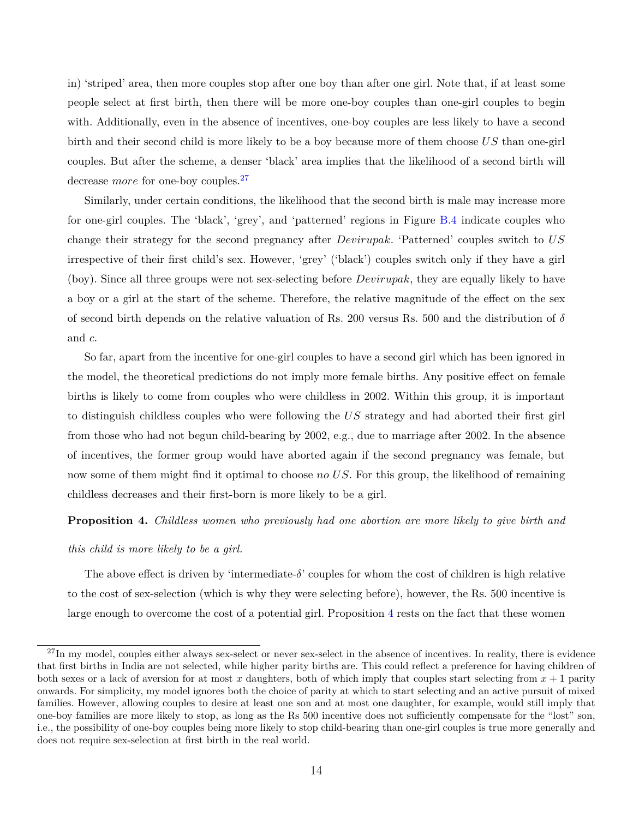in) 'striped' area, then more couples stop after one boy than after one girl. Note that, if at least some people select at first birth, then there will be more one-boy couples than one-girl couples to begin with. Additionally, even in the absence of incentives, one-boy couples are less likely to have a second birth and their second child is more likely to be a boy because more of them choose *US* than one-girl couples. But after the scheme, a denser 'black' area implies that the likelihood of a second birth will decrease *more* for one-boy couples.<sup>[27](#page-16-0)</sup>

Similarly, under certain conditions, the likelihood that the second birth is male may increase more for one-girl couples. The 'black', 'grey', and 'patterned' regions in Figure [B.4](#page-46-0) indicate couples who change their strategy for the second pregnancy after *Devirupak*. 'Patterned' couples switch to *US* irrespective of their first child's sex. However, 'grey' ('black') couples switch only if they have a girl (boy). Since all three groups were not sex-selecting before *Devirupak*, they are equally likely to have a boy or a girl at the start of the scheme. Therefore, the relative magnitude of the effect on the sex of second birth depends on the relative valuation of Rs. 200 versus Rs. 500 and the distribution of *δ* and *c*.

So far, apart from the incentive for one-girl couples to have a second girl which has been ignored in the model, the theoretical predictions do not imply more female births. Any positive effect on female births is likely to come from couples who were childless in 2002. Within this group, it is important to distinguish childless couples who were following the *US* strategy and had aborted their first girl from those who had not begun child-bearing by 2002, e.g., due to marriage after 2002. In the absence of incentives, the former group would have aborted again if the second pregnancy was female, but now some of them might find it optimal to choose *no US*. For this group, the likelihood of remaining childless decreases and their first-born is more likely to be a girl.

#### <span id="page-16-1"></span>**Proposition 4.** *Childless women who previously had one abortion are more likely to give birth and*

#### *this child is more likely to be a girl.*

The above effect is driven by 'intermediate- $\delta$ ' couples for whom the cost of children is high relative to the cost of sex-selection (which is why they were selecting before), however, the Rs. 500 incentive is large enough to overcome the cost of a potential girl. Proposition [4](#page-16-1) rests on the fact that these women

<span id="page-16-0"></span> $^{27}$ In my model, couples either always sex-select or never sex-select in the absence of incentives. In reality, there is evidence that first births in India are not selected, while higher parity births are. This could reflect a preference for having children of both sexes or a lack of aversion for at most x daughters, both of which imply that couples start selecting from  $x + 1$  parity onwards. For simplicity, my model ignores both the choice of parity at which to start selecting and an active pursuit of mixed families. However, allowing couples to desire at least one son and at most one daughter, for example, would still imply that one-boy families are more likely to stop, as long as the Rs 500 incentive does not sufficiently compensate for the "lost" son, i.e., the possibility of one-boy couples being more likely to stop child-bearing than one-girl couples is true more generally and does not require sex-selection at first birth in the real world.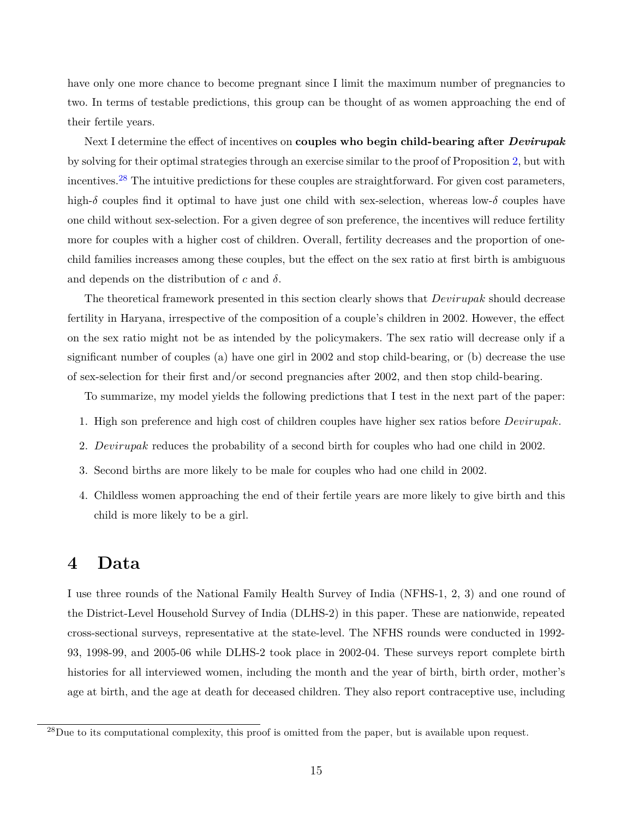have only one more chance to become pregnant since I limit the maximum number of pregnancies to two. In terms of testable predictions, this group can be thought of as women approaching the end of their fertile years.

Next I determine the effect of incentives on **couples who begin child-bearing after** *Devirupak* by solving for their optimal strategies through an exercise similar to the proof of Proposition [2,](#page-13-0) but with incentives.<sup>[28](#page-17-1)</sup> The intuitive predictions for these couples are straightforward. For given cost parameters, high-*δ* couples find it optimal to have just one child with sex-selection, whereas low-*δ* couples have one child without sex-selection. For a given degree of son preference, the incentives will reduce fertility more for couples with a higher cost of children. Overall, fertility decreases and the proportion of onechild families increases among these couples, but the effect on the sex ratio at first birth is ambiguous and depends on the distribution of *c* and *δ*.

The theoretical framework presented in this section clearly shows that *Devirupak* should decrease fertility in Haryana, irrespective of the composition of a couple's children in 2002. However, the effect on the sex ratio might not be as intended by the policymakers. The sex ratio will decrease only if a significant number of couples (a) have one girl in 2002 and stop child-bearing, or (b) decrease the use of sex-selection for their first and/or second pregnancies after 2002, and then stop child-bearing.

To summarize, my model yields the following predictions that I test in the next part of the paper:

- <span id="page-17-2"></span>1. High son preference and high cost of children couples have higher sex ratios before *Devirupak*.
- <span id="page-17-3"></span>2. *Devirupak* reduces the probability of a second birth for couples who had one child in 2002.
- <span id="page-17-4"></span>3. Second births are more likely to be male for couples who had one child in 2002.
- 4. Childless women approaching the end of their fertile years are more likely to give birth and this child is more likely to be a girl.

### <span id="page-17-0"></span>**4 Data**

I use three rounds of the National Family Health Survey of India (NFHS-1, 2, 3) and one round of the District-Level Household Survey of India (DLHS-2) in this paper. These are nationwide, repeated cross-sectional surveys, representative at the state-level. The NFHS rounds were conducted in 1992- 93, 1998-99, and 2005-06 while DLHS-2 took place in 2002-04. These surveys report complete birth histories for all interviewed women, including the month and the year of birth, birth order, mother's age at birth, and the age at death for deceased children. They also report contraceptive use, including

<span id="page-17-1"></span><sup>&</sup>lt;sup>28</sup>Due to its computational complexity, this proof is omitted from the paper, but is available upon request.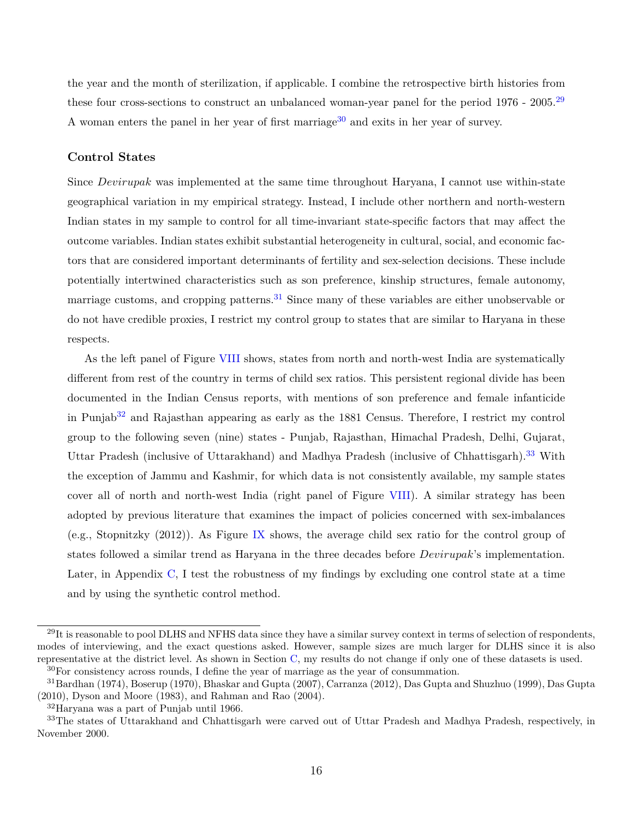the year and the month of sterilization, if applicable. I combine the retrospective birth histories from these four cross-sections to construct an unbalanced woman-year panel for the period 1976 - 2005.<sup>[29](#page-18-0)</sup> A woman enters the panel in her year of first marriage<sup>[30](#page-18-1)</sup> and exits in her year of survey.

### **Control States**

Since *Devirupak* was implemented at the same time throughout Haryana, I cannot use within-state geographical variation in my empirical strategy. Instead, I include other northern and north-western Indian states in my sample to control for all time-invariant state-specific factors that may affect the outcome variables. Indian states exhibit substantial heterogeneity in cultural, social, and economic factors that are considered important determinants of fertility and sex-selection decisions. These include potentially intertwined characteristics such as son preference, kinship structures, female autonomy, marriage customs, and cropping patterns.<sup>[31](#page-18-2)</sup> Since many of these variables are either unobservable or do not have credible proxies, I restrict my control group to states that are similar to Haryana in these respects.

As the left panel of Figure [VIII](#page-62-0) shows, states from north and north-west India are systematically different from rest of the country in terms of child sex ratios. This persistent regional divide has been documented in the Indian Census reports, with mentions of son preference and female infanticide in Punjab<sup>[32](#page-18-3)</sup> and Rajasthan appearing as early as the 1881 Census. Therefore, I restrict my control group to the following seven (nine) states - Punjab, Rajasthan, Himachal Pradesh, Delhi, Gujarat, Uttar Pradesh (inclusive of Uttarakhand) and Madhya Pradesh (inclusive of Chhattisgarh).[33](#page-18-4) With the exception of Jammu and Kashmir, for which data is not consistently available, my sample states cover all of north and north-west India (right panel of Figure [VIII\)](#page-62-0). A similar strategy has been adopted by previous literature that examines the impact of policies concerned with sex-imbalances (e.g., [Stopnitzky](#page-39-3) [\(2012\)](#page-39-3)). As Figure [IX](#page-63-0) shows, the average child sex ratio for the control group of states followed a similar trend as Haryana in the three decades before *Devirupak*'s implementation. Later, in Appendix [C,](#page-47-0) I test the robustness of my findings by excluding one control state at a time and by using the synthetic control method.

<span id="page-18-0"></span><sup>&</sup>lt;sup>29</sup>It is reasonable to pool DLHS and NFHS data since they have a similar survey context in terms of selection of respondents, modes of interviewing, and the exact questions asked. However, sample sizes are much larger for DLHS since it is also representative at the district level. As shown in Section [C,](#page-47-0) my results do not change if only one of these datasets is used. <sup>30</sup>For consistency across rounds, I define the year of marriage as the year of consummation.

<span id="page-18-2"></span><span id="page-18-1"></span><sup>31</sup>[Bardhan](#page-36-8) [\(1974\)](#page-36-8), [Boserup](#page-36-9) [\(1970\)](#page-36-9), [Bhaskar and Gupta](#page-36-10) [\(2007\)](#page-36-10), [Carranza](#page-36-11) [\(2012\)](#page-36-11), [Das Gupta and Shuzhuo](#page-37-13) [\(1999\)](#page-37-13), [Das Gupta](#page-37-14) [\(2010\)](#page-37-14), [Dyson and Moore](#page-37-15) [\(1983\)](#page-37-15), and [Rahman and Rao](#page-39-6) [\(2004\)](#page-39-6).

<span id="page-18-4"></span><span id="page-18-3"></span><sup>32</sup>Haryana was a part of Punjab until 1966.

<sup>&</sup>lt;sup>33</sup>The states of Uttarakhand and Chhattisgarh were carved out of Uttar Pradesh and Madhya Pradesh, respectively, in November 2000.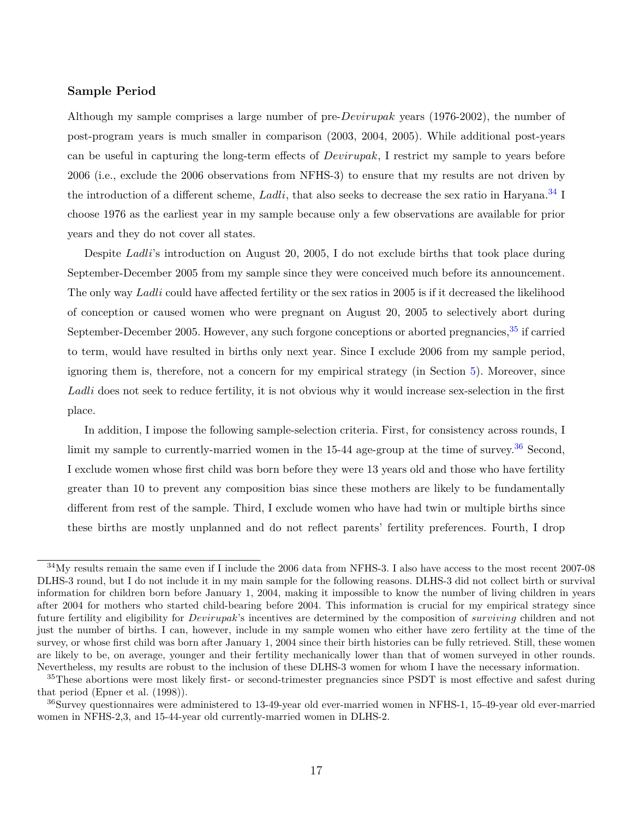### **Sample Period**

Although my sample comprises a large number of pre-*Devirupak* years (1976-2002), the number of post-program years is much smaller in comparison (2003, 2004, 2005). While additional post-years can be useful in capturing the long-term effects of *Devirupak*, I restrict my sample to years before 2006 (i.e., exclude the 2006 observations from NFHS-3) to ensure that my results are not driven by the introduction of a different scheme, *Ladli*, that also seeks to decrease the sex ratio in Haryana.<sup>[34](#page-19-0)</sup> I choose 1976 as the earliest year in my sample because only a few observations are available for prior years and they do not cover all states.

Despite *Ladli*'s introduction on August 20, 2005, I do not exclude births that took place during September-December 2005 from my sample since they were conceived much before its announcement. The only way *Ladli* could have affected fertility or the sex ratios in 2005 is if it decreased the likelihood of conception or caused women who were pregnant on August 20, 2005 to selectively abort during September-December 2005. However, any such forgone conceptions or aborted pregnancies,  $35$  if carried to term, would have resulted in births only next year. Since I exclude 2006 from my sample period, ignoring them is, therefore, not a concern for my empirical strategy (in Section [5\)](#page-22-0). Moreover, since *Ladli* does not seek to reduce fertility, it is not obvious why it would increase sex-selection in the first place.

In addition, I impose the following sample-selection criteria. First, for consistency across rounds, I limit my sample to currently-married women in the  $15-44$  age-group at the time of survey.<sup>[36](#page-19-2)</sup> Second, I exclude women whose first child was born before they were 13 years old and those who have fertility greater than 10 to prevent any composition bias since these mothers are likely to be fundamentally different from rest of the sample. Third, I exclude women who have had twin or multiple births since these births are mostly unplanned and do not reflect parents' fertility preferences. Fourth, I drop

<span id="page-19-0"></span><sup>34</sup>My results remain the same even if I include the 2006 data from NFHS-3. I also have access to the most recent 2007-08 DLHS-3 round, but I do not include it in my main sample for the following reasons. DLHS-3 did not collect birth or survival information for children born before January 1, 2004, making it impossible to know the number of living children in years after 2004 for mothers who started child-bearing before 2004. This information is crucial for my empirical strategy since future fertility and eligibility for *Devirupak*'s incentives are determined by the composition of *surviving* children and not just the number of births. I can, however, include in my sample women who either have zero fertility at the time of the survey, or whose first child was born after January 1, 2004 since their birth histories can be fully retrieved. Still, these women are likely to be, on average, younger and their fertility mechanically lower than that of women surveyed in other rounds. Nevertheless, my results are robust to the inclusion of these DLHS-3 women for whom I have the necessary information.

<span id="page-19-1"></span><sup>&</sup>lt;sup>35</sup>These abortions were most likely first- or second-trimester pregnancies since PSDT is most effective and safest during that period [\(Epner et al.](#page-38-15) [\(1998\)](#page-38-15)).

<span id="page-19-2"></span><sup>36</sup>Survey questionnaires were administered to 13-49-year old ever-married women in NFHS-1, 15-49-year old ever-married women in NFHS-2,3, and 15-44-year old currently-married women in DLHS-2.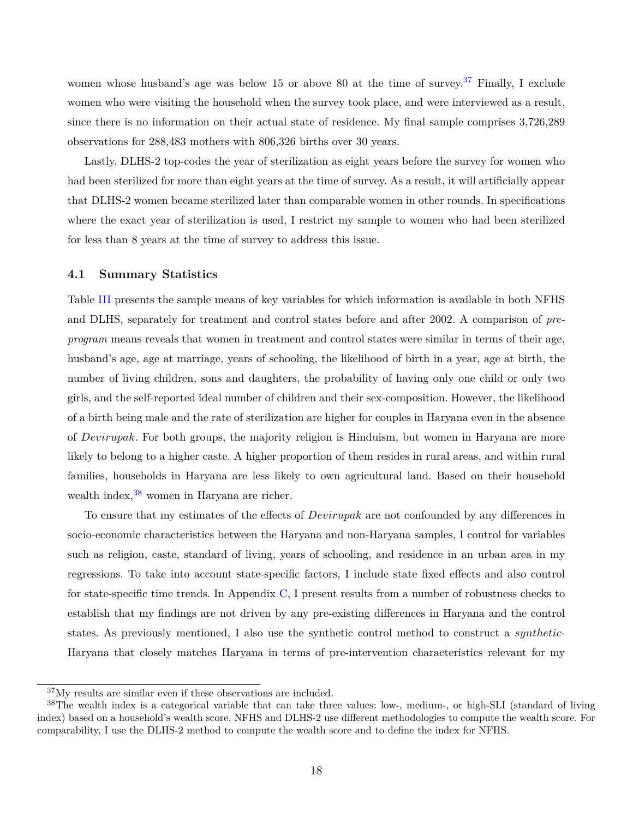women whose husband's age was below 15 or above 80 at the time of survey.<sup>[37](#page-20-0)</sup> Finally, I exclude women who were visiting the household when the survey took place, and were interviewed as a result, since there is no information on their actual state of residence. My final sample comprises 3,726,289 observations for 288,483 mothers with 806,326 births over 30 years.

Lastly, DLHS-2 top-codes the year of sterilization as eight years before the survey for women who had been sterilized for more than eight years at the time of survey. As a result, it will artificially appear that DLHS-2 women became sterilized later than comparable women in other rounds. In specifications where the exact year of sterilization is used, I restrict my sample to women who had been sterilized for less than 8 years at the time of survey to address this issue.

### **4.1 Summary Statistics**

Table [III](#page-51-0) presents the sample means of key variables for which information is available in both NFHS and DLHS, separately for treatment and control states before and after 2002. A comparison of *preprogram* means reveals that women in treatment and control states were similar in terms of their age, husband's age, age at marriage, years of schooling, the likelihood of birth in a year, age at birth, the number of living children, sons and daughters, the probability of having only one child or only two girls, and the self-reported ideal number of children and their sex-composition. However, the likelihood of a birth being male and the rate of sterilization are higher for couples in Haryana even in the absence of *Devirupak*. For both groups, the majority religion is Hinduism, but women in Haryana are more likely to belong to a higher caste. A higher proportion of them resides in rural areas, and within rural families, households in Haryana are less likely to own agricultural land. Based on their household wealth index,  $38$  women in Haryana are richer.

To ensure that my estimates of the effects of *Devirupak* are not confounded by any differences in socio-economic characteristics between the Haryana and non-Haryana samples, I control for variables such as religion, caste, standard of living, years of schooling, and residence in an urban area in my regressions. To take into account state-specific factors, I include state fixed effects and also control for state-specific time trends. In Appendix [C,](#page-47-0) I present results from a number of robustness checks to establish that my findings are not driven by any pre-existing differences in Haryana and the control states. As previously mentioned, I also use the synthetic control method to construct a *synthetic*-Haryana that closely matches Haryana in terms of pre-intervention characteristics relevant for my

<span id="page-20-1"></span><span id="page-20-0"></span><sup>37</sup>My results are similar even if these observations are included.

<sup>&</sup>lt;sup>38</sup>The wealth index is a categorical variable that can take three values: low-, medium-, or high-SLI (standard of living index) based on a household's wealth score. NFHS and DLHS-2 use different methodologies to compute the wealth score. For comparability, I use the DLHS-2 method to compute the wealth score and to define the index for NFHS.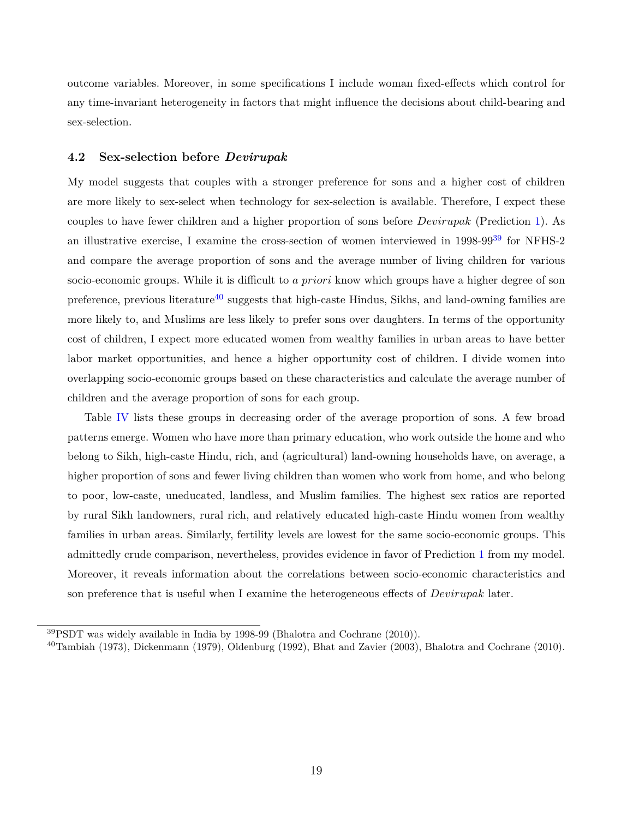outcome variables. Moreover, in some specifications I include woman fixed-effects which control for any time-invariant heterogeneity in factors that might influence the decisions about child-bearing and sex-selection.

### <span id="page-21-0"></span>**4.2 Sex-selection before** *Devirupak*

My model suggests that couples with a stronger preference for sons and a higher cost of children are more likely to sex-select when technology for sex-selection is available. Therefore, I expect these couples to have fewer children and a higher proportion of sons before *Devirupak* (Prediction [1\)](#page-17-2). As an illustrative exercise, I examine the cross-section of women interviewed in 1998-99<sup>[39](#page-21-1)</sup> for NFHS-2 and compare the average proportion of sons and the average number of living children for various socio-economic groups. While it is difficult to *a priori* know which groups have a higher degree of son preference, previous literature<sup>[40](#page-21-2)</sup> suggests that high-caste Hindus, Sikhs, and land-owning families are more likely to, and Muslims are less likely to prefer sons over daughters. In terms of the opportunity cost of children, I expect more educated women from wealthy families in urban areas to have better labor market opportunities, and hence a higher opportunity cost of children. I divide women into overlapping socio-economic groups based on these characteristics and calculate the average number of children and the average proportion of sons for each group.

Table [IV](#page-52-0) lists these groups in decreasing order of the average proportion of sons. A few broad patterns emerge. Women who have more than primary education, who work outside the home and who belong to Sikh, high-caste Hindu, rich, and (agricultural) land-owning households have, on average, a higher proportion of sons and fewer living children than women who work from home, and who belong to poor, low-caste, uneducated, landless, and Muslim families. The highest sex ratios are reported by rural Sikh landowners, rural rich, and relatively educated high-caste Hindu women from wealthy families in urban areas. Similarly, fertility levels are lowest for the same socio-economic groups. This admittedly crude comparison, nevertheless, provides evidence in favor of Prediction [1](#page-17-2) from my model. Moreover, it reveals information about the correlations between socio-economic characteristics and son preference that is useful when I examine the heterogeneous effects of *Devirupak* later.

<span id="page-21-1"></span><sup>39</sup>PSDT was widely available in India by 1998-99 [\(Bhalotra and Cochrane](#page-36-0) [\(2010\)](#page-36-0)).

<span id="page-21-2"></span> $^{40}$ [Tambiah](#page-39-8) [\(1973\)](#page-39-8), [Dickenmann](#page-37-16) [\(1979\)](#page-37-16), [Oldenburg](#page-39-9) [\(1992\)](#page-39-9), [Bhat and Zavier](#page-36-13) [\(2003\)](#page-36-13), [Bhalotra and Cochrane](#page-36-0) [\(2010\)](#page-36-0).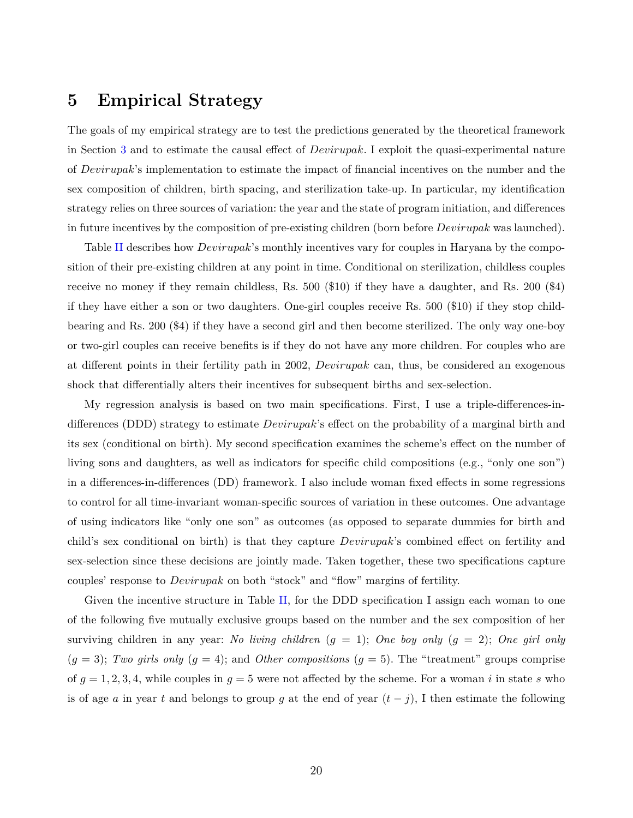### <span id="page-22-0"></span>**5 Empirical Strategy**

The goals of my empirical strategy are to test the predictions generated by the theoretical framework in Section [3](#page-9-0) and to estimate the causal effect of *Devirupak*. I exploit the quasi-experimental nature of *Devirupak*'s implementation to estimate the impact of financial incentives on the number and the sex composition of children, birth spacing, and sterilization take-up. In particular, my identification strategy relies on three sources of variation: the year and the state of program initiation, and differences in future incentives by the composition of pre-existing children (born before *Devirupak* was launched).

Table [II](#page-50-1) describes how *Devirupak*'s monthly incentives vary for couples in Haryana by the composition of their pre-existing children at any point in time. Conditional on sterilization, childless couples receive no money if they remain childless, Rs. 500 (\$10) if they have a daughter, and Rs. 200 (\$4) if they have either a son or two daughters. One-girl couples receive Rs. 500 (\$10) if they stop childbearing and Rs. 200 (\$4) if they have a second girl and then become sterilized. The only way one-boy or two-girl couples can receive benefits is if they do not have any more children. For couples who are at different points in their fertility path in 2002, *Devirupak* can, thus, be considered an exogenous shock that differentially alters their incentives for subsequent births and sex-selection.

My regression analysis is based on two main specifications. First, I use a triple-differences-indifferences (DDD) strategy to estimate *Devirupak*'s effect on the probability of a marginal birth and its sex (conditional on birth). My second specification examines the scheme's effect on the number of living sons and daughters, as well as indicators for specific child compositions (e.g., "only one son") in a differences-in-differences (DD) framework. I also include woman fixed effects in some regressions to control for all time-invariant woman-specific sources of variation in these outcomes. One advantage of using indicators like "only one son" as outcomes (as opposed to separate dummies for birth and child's sex conditional on birth) is that they capture *Devirupak*'s combined effect on fertility and sex-selection since these decisions are jointly made. Taken together, these two specifications capture couples' response to *Devirupak* on both "stock" and "flow" margins of fertility.

Given the incentive structure in Table [II,](#page-50-1) for the DDD specification I assign each woman to one of the following five mutually exclusive groups based on the number and the sex composition of her surviving children in any year: *No living children* (*g* = 1); *One boy only* (*g* = 2); *One girl only*  $(g = 3)$ ; *Two girls only*  $(g = 4)$ ; and *Other compositions*  $(g = 5)$ . The "treatment" groups comprise of  $g = 1, 2, 3, 4$ , while couples in  $g = 5$  were not affected by the scheme. For a woman *i* in state *s* who is of age *a* in year *t* and belongs to group *g* at the end of year  $(t - j)$ , I then estimate the following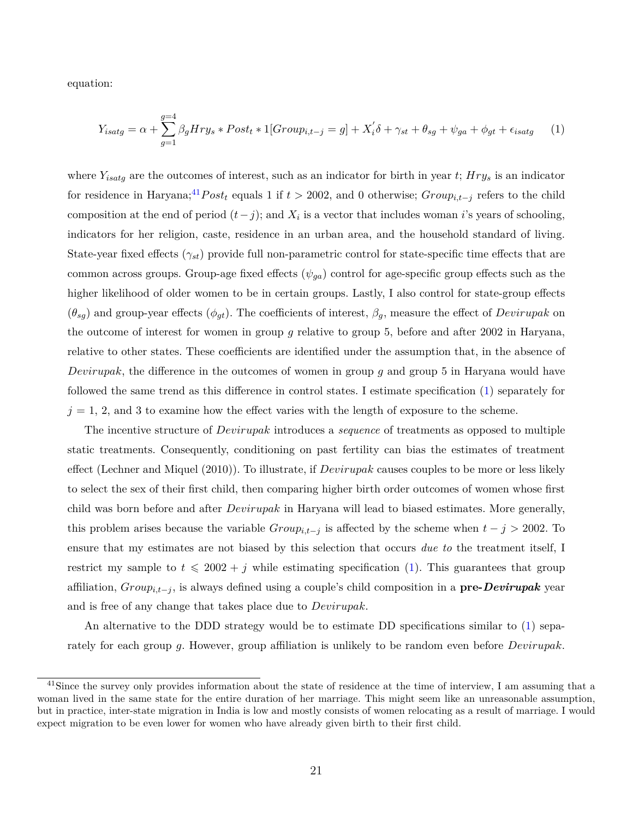equation:

<span id="page-23-1"></span>
$$
Y_{isatg} = \alpha + \sum_{g=1}^{g=4} \beta_g Hry_s * Post_t * 1[Group_{i,t-j} = g] + X_i' \delta + \gamma_{st} + \theta_{sg} + \psi_{ga} + \phi_{gt} + \epsilon_{isatg} \tag{1}
$$

where *Yisatg* are the outcomes of interest, such as an indicator for birth in year *t*; *Hry<sup>s</sup>* is an indicator for residence in Haryana;<sup>[41](#page-23-0)</sup>Post<sub>t</sub> equals 1 if  $t > 2002$ , and 0 otherwise;  $Group_{i,t-j}$  refers to the child composition at the end of period  $(t-j)$ ; and  $X_i$  is a vector that includes woman *i*'s years of schooling, indicators for her religion, caste, residence in an urban area, and the household standard of living. State-year fixed effects (*γst*) provide full non-parametric control for state-specific time effects that are common across groups. Group-age fixed effects  $(\psi_{qa})$  control for age-specific group effects such as the higher likelihood of older women to be in certain groups. Lastly, I also control for state-group effects  $(\theta_{sg})$  and group-year effects  $(\phi_{gt})$ . The coefficients of interest,  $\beta_g$ , measure the effect of *Devirupak* on the outcome of interest for women in group *g* relative to group 5, before and after 2002 in Haryana, relative to other states. These coefficients are identified under the assumption that, in the absence of *Devirupak*, the difference in the outcomes of women in group *g* and group 5 in Haryana would have followed the same trend as this difference in control states. I estimate specification [\(1\)](#page-23-1) separately for  $j = 1, 2$ , and 3 to examine how the effect varies with the length of exposure to the scheme.

The incentive structure of *Devirupak* introduces a *sequence* of treatments as opposed to multiple static treatments. Consequently, conditioning on past fertility can bias the estimates of treatment effect [\(Lechner and Miquel](#page-38-16) [\(2010\)](#page-38-16)). To illustrate, if *Devirupak* causes couples to be more or less likely to select the sex of their first child, then comparing higher birth order outcomes of women whose first child was born before and after *Devirupak* in Haryana will lead to biased estimates. More generally, this problem arises because the variable  $Group_{i,t-j}$  is affected by the scheme when  $t-j > 2002$ . To ensure that my estimates are not biased by this selection that occurs *due to* the treatment itself, I restrict my sample to  $t \le 2002 + j$  while estimating specification [\(1\)](#page-23-1). This guarantees that group affiliation, *Groupi,t*−*<sup>j</sup>* , is always defined using a couple's child composition in a **pre-***Devirupak* year and is free of any change that takes place due to *Devirupak*.

An alternative to the DDD strategy would be to estimate DD specifications similar to [\(1\)](#page-23-1) separately for each group *g*. However, group affiliation is unlikely to be random even before *Devirupak*.

<span id="page-23-0"></span><sup>&</sup>lt;sup>41</sup>Since the survey only provides information about the state of residence at the time of interview, I am assuming that a woman lived in the same state for the entire duration of her marriage. This might seem like an unreasonable assumption, but in practice, inter-state migration in India is low and mostly consists of women relocating as a result of marriage. I would expect migration to be even lower for women who have already given birth to their first child.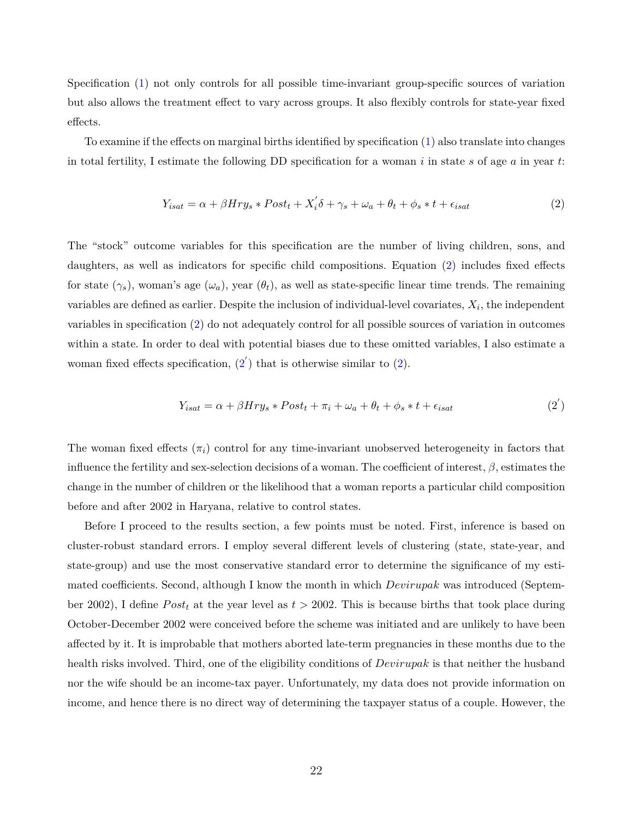Specification [\(1\)](#page-23-1) not only controls for all possible time-invariant group-specific sources of variation but also allows the treatment effect to vary across groups. It also flexibly controls for state-year fixed effects.

To examine if the effects on marginal births identified by specification [\(1\)](#page-23-1) also translate into changes in total fertility, I estimate the following DD specification for a woman *i* in state *s* of age *a* in year *t*:

<span id="page-24-0"></span>
$$
Y_{isat} = \alpha + \beta Hry_s * Post_t + X_i' \delta + \gamma_s + \omega_a + \theta_t + \phi_s * t + \epsilon_{isat}
$$
\n<sup>(2)</sup>

The "stock" outcome variables for this specification are the number of living children, sons, and daughters, as well as indicators for specific child compositions. Equation [\(2\)](#page-24-0) includes fixed effects for state  $(\gamma_s)$ , woman's age  $(\omega_a)$ , year  $(\theta_t)$ , as well as state-specific linear time trends. The remaining variables are defined as earlier. Despite the inclusion of individual-level covariates,  $X_i$ , the independent variables in specification [\(2\)](#page-24-0) do not adequately control for all possible sources of variation in outcomes within a state. In order to deal with potential biases due to these omitted variables, I also estimate a woman fixed effects specification,  $(2')$  $(2')$  that is otherwise similar to  $(2)$ .

<span id="page-24-1"></span>
$$
Y_{isat} = \alpha + \beta Hry_s * Post_t + \pi_i + \omega_a + \theta_t + \phi_s * t + \epsilon_{isat}
$$
\n<sup>(2')</sup>

The woman fixed effects  $(\pi_i)$  control for any time-invariant unobserved heterogeneity in factors that influence the fertility and sex-selection decisions of a woman. The coefficient of interest, *β*, estimates the change in the number of children or the likelihood that a woman reports a particular child composition before and after 2002 in Haryana, relative to control states.

Before I proceed to the results section, a few points must be noted. First, inference is based on cluster-robust standard errors. I employ several different levels of clustering (state, state-year, and state-group) and use the most conservative standard error to determine the significance of my estimated coefficients. Second, although I know the month in which *Devirupak* was introduced (September 2002), I define  $Post<sub>t</sub>$  at the year level as  $t > 2002$ . This is because births that took place during October-December 2002 were conceived before the scheme was initiated and are unlikely to have been affected by it. It is improbable that mothers aborted late-term pregnancies in these months due to the health risks involved. Third, one of the eligibility conditions of *Devirupak* is that neither the husband nor the wife should be an income-tax payer. Unfortunately, my data does not provide information on income, and hence there is no direct way of determining the taxpayer status of a couple. However, the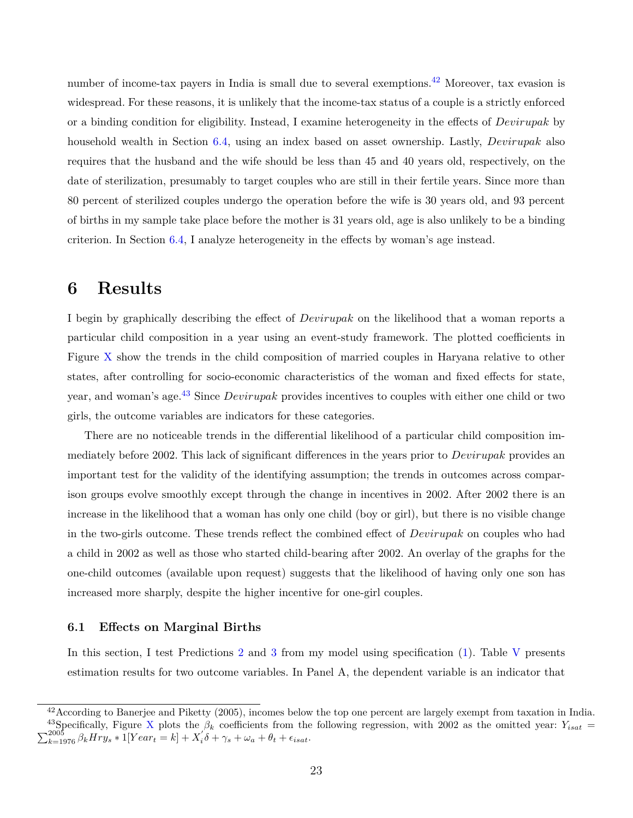number of income-tax payers in India is small due to several exemptions.<sup>[42](#page-25-1)</sup> Moreover, tax evasion is widespread. For these reasons, it is unlikely that the income-tax status of a couple is a strictly enforced or a binding condition for eligibility. Instead, I examine heterogeneity in the effects of *Devirupak* by household wealth in Section [6.4,](#page-31-0) using an index based on asset ownership. Lastly, *Devirupak* also requires that the husband and the wife should be less than 45 and 40 years old, respectively, on the date of sterilization, presumably to target couples who are still in their fertile years. Since more than 80 percent of sterilized couples undergo the operation before the wife is 30 years old, and 93 percent of births in my sample take place before the mother is 31 years old, age is also unlikely to be a binding criterion. In Section [6.4,](#page-31-0) I analyze heterogeneity in the effects by woman's age instead.

### <span id="page-25-0"></span>**6 Results**

I begin by graphically describing the effect of *Devirupak* on the likelihood that a woman reports a particular child composition in a year using an event-study framework. The plotted coefficients in Figure [X](#page-64-0) show the trends in the child composition of married couples in Haryana relative to other states, after controlling for socio-economic characteristics of the woman and fixed effects for state, year, and woman's age.[43](#page-25-2) Since *Devirupak* provides incentives to couples with either one child or two girls, the outcome variables are indicators for these categories.

There are no noticeable trends in the differential likelihood of a particular child composition immediately before 2002. This lack of significant differences in the years prior to *Devirupak* provides an important test for the validity of the identifying assumption; the trends in outcomes across comparison groups evolve smoothly except through the change in incentives in 2002. After 2002 there is an increase in the likelihood that a woman has only one child (boy or girl), but there is no visible change in the two-girls outcome. These trends reflect the combined effect of *Devirupak* on couples who had a child in 2002 as well as those who started child-bearing after 2002. An overlay of the graphs for the one-child outcomes (available upon request) suggests that the likelihood of having only one son has increased more sharply, despite the higher incentive for one-girl couples.

### **6.1 Effects on Marginal Births**

In this section, I test Predictions [2](#page-17-3) and [3](#page-17-4) from my model using specification [\(1\)](#page-23-1). Table [V](#page-53-0) presents estimation results for two outcome variables. In Panel A, the dependent variable is an indicator that

<span id="page-25-2"></span><span id="page-25-1"></span> $42$  According to [Banerjee and Piketty](#page-36-14) [\(2005\)](#page-36-14), incomes below the top one percent are largely exempt from taxation in India. <sup>43</sup>Specifically, Figure [X](#page-64-0) plots the  $\beta_k$  coefficients from the following regression, with 2002 as the omitted year:  $Y_{isat}$  =  $\sum_{k=1976}^{2005} \beta_k Hry_s * \tilde{1}[Year_t = k] + X_i'\delta + \gamma_s + \omega_a + \theta_t + \epsilon_{isat}.$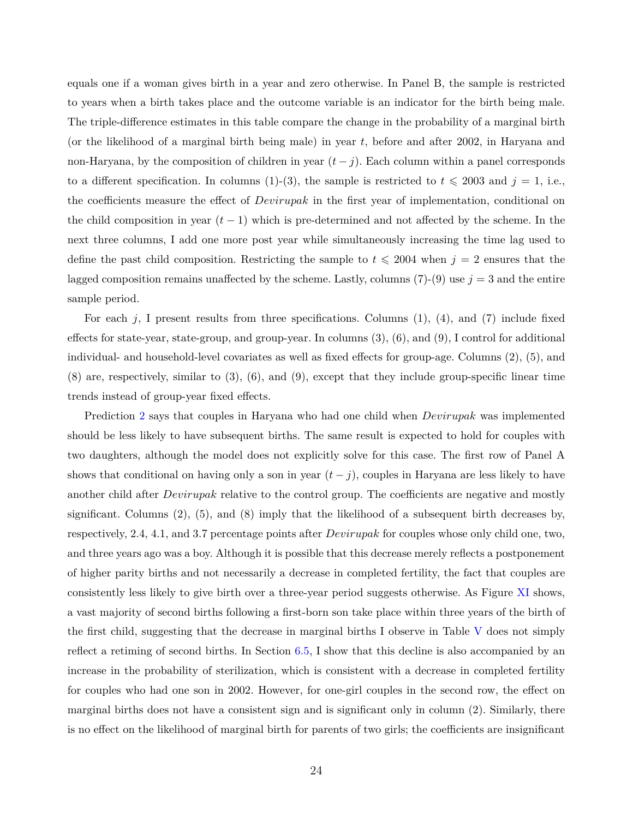equals one if a woman gives birth in a year and zero otherwise. In Panel B, the sample is restricted to years when a birth takes place and the outcome variable is an indicator for the birth being male. The triple-difference estimates in this table compare the change in the probability of a marginal birth (or the likelihood of a marginal birth being male) in year *t*, before and after 2002, in Haryana and non-Haryana, by the composition of children in year  $(t-j)$ . Each column within a panel corresponds to a different specification. In columns (1)-(3), the sample is restricted to  $t \le 2003$  and  $j = 1$ , i.e., the coefficients measure the effect of *Devirupak* in the first year of implementation, conditional on the child composition in year  $(t-1)$  which is pre-determined and not affected by the scheme. In the next three columns, I add one more post year while simultaneously increasing the time lag used to define the past child composition. Restricting the sample to  $t \le 2004$  when  $j = 2$  ensures that the lagged composition remains unaffected by the scheme. Lastly, columns  $(7)-(9)$  use  $j=3$  and the entire sample period.

For each *j*, I present results from three specifications. Columns (1), (4), and (7) include fixed effects for state-year, state-group, and group-year. In columns (3), (6), and (9), I control for additional individual- and household-level covariates as well as fixed effects for group-age. Columns (2), (5), and (8) are, respectively, similar to (3), (6), and (9), except that they include group-specific linear time trends instead of group-year fixed effects.

Prediction [2](#page-17-3) says that couples in Haryana who had one child when *Devirupak* was implemented should be less likely to have subsequent births. The same result is expected to hold for couples with two daughters, although the model does not explicitly solve for this case. The first row of Panel A shows that conditional on having only a son in year  $(t - j)$ , couples in Haryana are less likely to have another child after *Devirupak* relative to the control group. The coefficients are negative and mostly significant. Columns  $(2)$ ,  $(5)$ , and  $(8)$  imply that the likelihood of a subsequent birth decreases by, respectively, 2.4, 4.1, and 3.7 percentage points after *Devirupak* for couples whose only child one, two, and three years ago was a boy. Although it is possible that this decrease merely reflects a postponement of higher parity births and not necessarily a decrease in completed fertility, the fact that couples are consistently less likely to give birth over a three-year period suggests otherwise. As Figure [XI](#page-65-0) shows, a vast majority of second births following a first-born son take place within three years of the birth of the first child, suggesting that the decrease in marginal births I observe in Table [V](#page-53-0) does not simply reflect a retiming of second births. In Section [6.5,](#page-33-0) I show that this decline is also accompanied by an increase in the probability of sterilization, which is consistent with a decrease in completed fertility for couples who had one son in 2002. However, for one-girl couples in the second row, the effect on marginal births does not have a consistent sign and is significant only in column (2). Similarly, there is no effect on the likelihood of marginal birth for parents of two girls; the coefficients are insignificant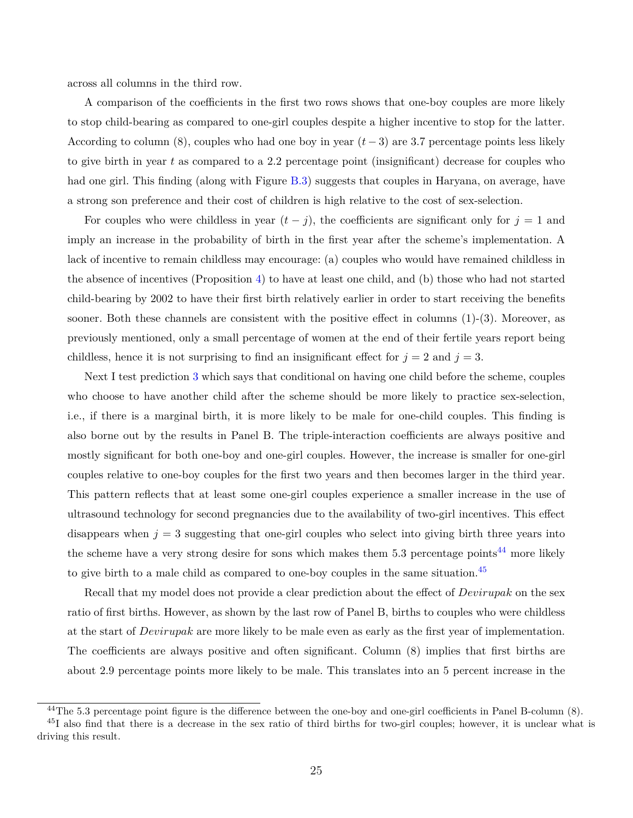across all columns in the third row.

A comparison of the coefficients in the first two rows shows that one-boy couples are more likely to stop child-bearing as compared to one-girl couples despite a higher incentive to stop for the latter. According to column (8), couples who had one boy in year  $(t-3)$  are 3.7 percentage points less likely to give birth in year *t* as compared to a 2.2 percentage point (insignificant) decrease for couples who had one girl. This finding (along with Figure [B.3\)](#page-46-0) suggests that couples in Haryana, on average, have a strong son preference and their cost of children is high relative to the cost of sex-selection.

For couples who were childless in year  $(t - j)$ , the coefficients are significant only for  $j = 1$  and imply an increase in the probability of birth in the first year after the scheme's implementation. A lack of incentive to remain childless may encourage: (a) couples who would have remained childless in the absence of incentives (Proposition [4\)](#page-16-1) to have at least one child, and (b) those who had not started child-bearing by 2002 to have their first birth relatively earlier in order to start receiving the benefits sooner. Both these channels are consistent with the positive effect in columns  $(1)-(3)$ . Moreover, as previously mentioned, only a small percentage of women at the end of their fertile years report being childless, hence it is not surprising to find an insignificant effect for  $j = 2$  and  $j = 3$ .

Next I test prediction [3](#page-17-4) which says that conditional on having one child before the scheme, couples who choose to have another child after the scheme should be more likely to practice sex-selection, i.e., if there is a marginal birth, it is more likely to be male for one-child couples. This finding is also borne out by the results in Panel B. The triple-interaction coefficients are always positive and mostly significant for both one-boy and one-girl couples. However, the increase is smaller for one-girl couples relative to one-boy couples for the first two years and then becomes larger in the third year. This pattern reflects that at least some one-girl couples experience a smaller increase in the use of ultrasound technology for second pregnancies due to the availability of two-girl incentives. This effect disappears when  $j = 3$  suggesting that one-girl couples who select into giving birth three years into the scheme have a very strong desire for sons which makes them  $5.3$  percentage points<sup>[44](#page-27-0)</sup> more likely to give birth to a male child as compared to one-boy couples in the same situation.[45](#page-27-1)

Recall that my model does not provide a clear prediction about the effect of *Devirupak* on the sex ratio of first births. However, as shown by the last row of Panel B, births to couples who were childless at the start of *Devirupak* are more likely to be male even as early as the first year of implementation. The coefficients are always positive and often significant. Column (8) implies that first births are about 2.9 percentage points more likely to be male. This translates into an 5 percent increase in the

<span id="page-27-1"></span><span id="page-27-0"></span><sup>44</sup>The 5.3 percentage point figure is the difference between the one-boy and one-girl coefficients in Panel B-column (8).  $^{45}I$  also find that there is a decrease in the sex ratio of third births for two-girl couples; however, it is unclear what is driving this result.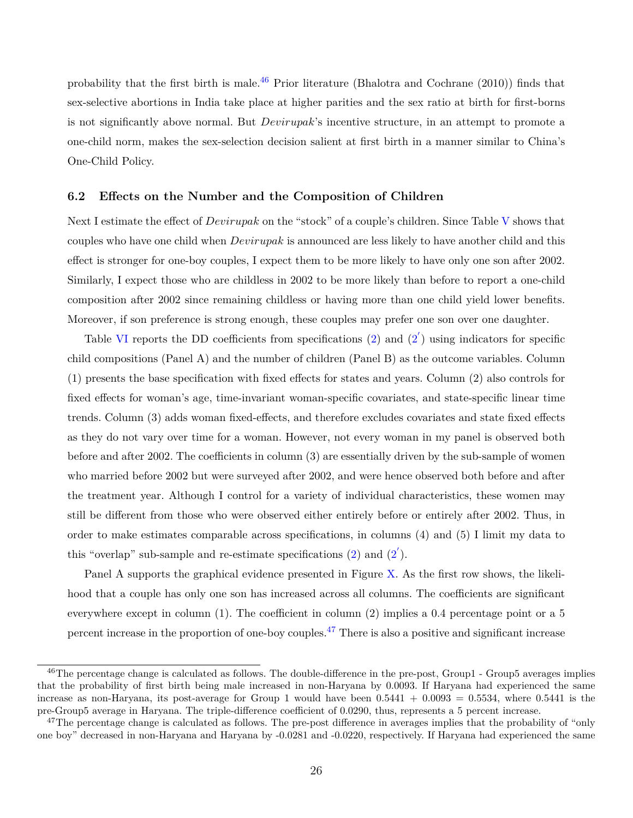probability that the first birth is male.<sup>[46](#page-28-0)</sup> Prior literature [\(Bhalotra and Cochrane](#page-36-0) [\(2010\)](#page-36-0)) finds that sex-selective abortions in India take place at higher parities and the sex ratio at birth for first-borns is not significantly above normal. But *Devirupak*'s incentive structure, in an attempt to promote a one-child norm, makes the sex-selection decision salient at first birth in a manner similar to China's One-Child Policy.

#### **6.2 Effects on the Number and the Composition of Children**

Next I estimate the effect of *Devirupak* on the "stock" of a couple's children. Since Table [V](#page-53-0) shows that couples who have one child when *Devirupak* is announced are less likely to have another child and this effect is stronger for one-boy couples, I expect them to be more likely to have only one son after 2002. Similarly, I expect those who are childless in 2002 to be more likely than before to report a one-child composition after 2002 since remaining childless or having more than one child yield lower benefits. Moreover, if son preference is strong enough, these couples may prefer one son over one daughter.

Table [VI](#page-54-0) reports the DD coefficients from specifications  $(2)$  and  $(2')$  $(2')$  using indicators for specific child compositions (Panel A) and the number of children (Panel B) as the outcome variables. Column (1) presents the base specification with fixed effects for states and years. Column (2) also controls for fixed effects for woman's age, time-invariant woman-specific covariates, and state-specific linear time trends. Column (3) adds woman fixed-effects, and therefore excludes covariates and state fixed effects as they do not vary over time for a woman. However, not every woman in my panel is observed both before and after 2002. The coefficients in column (3) are essentially driven by the sub-sample of women who married before 2002 but were surveyed after 2002, and were hence observed both before and after the treatment year. Although I control for a variety of individual characteristics, these women may still be different from those who were observed either entirely before or entirely after 2002. Thus, in order to make estimates comparable across specifications, in columns (4) and (5) I limit my data to this "overlap" sub-sample and re-estimate specifications  $(2)$  and  $(2^{'})$  $(2^{'})$ .

Panel A supports the graphical evidence presented in Figure [X.](#page-64-0) As the first row shows, the likelihood that a couple has only one son has increased across all columns. The coefficients are significant everywhere except in column (1). The coefficient in column (2) implies a 0.4 percentage point or a 5 percent increase in the proportion of one-boy couples.<sup>[47](#page-28-1)</sup> There is also a positive and significant increase

<span id="page-28-0"></span><sup>&</sup>lt;sup>46</sup>The percentage change is calculated as follows. The double-difference in the pre-post, Group1 - Group5 averages implies that the probability of first birth being male increased in non-Haryana by 0.0093. If Haryana had experienced the same increase as non-Haryana, its post-average for Group 1 would have been  $0.5441 + 0.0093 = 0.5534$ , where  $0.5441$  is the pre-Group5 average in Haryana. The triple-difference coefficient of 0.0290, thus, represents a 5 percent increase.

<span id="page-28-1"></span><sup>&</sup>lt;sup>47</sup>The percentage change is calculated as follows. The pre-post difference in averages implies that the probability of "only" one boy" decreased in non-Haryana and Haryana by -0.0281 and -0.0220, respectively. If Haryana had experienced the same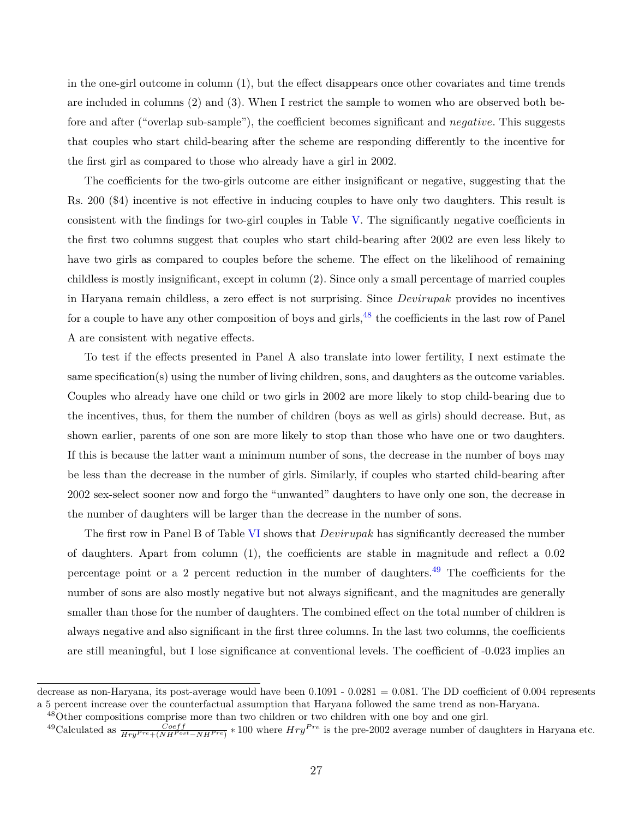in the one-girl outcome in column (1), but the effect disappears once other covariates and time trends are included in columns (2) and (3). When I restrict the sample to women who are observed both before and after ("overlap sub-sample"), the coefficient becomes significant and *negative*. This suggests that couples who start child-bearing after the scheme are responding differently to the incentive for the first girl as compared to those who already have a girl in 2002.

The coefficients for the two-girls outcome are either insignificant or negative, suggesting that the Rs. 200 (\$4) incentive is not effective in inducing couples to have only two daughters. This result is consistent with the findings for two-girl couples in Table [V.](#page-53-0) The significantly negative coefficients in the first two columns suggest that couples who start child-bearing after 2002 are even less likely to have two girls as compared to couples before the scheme. The effect on the likelihood of remaining childless is mostly insignificant, except in column (2). Since only a small percentage of married couples in Haryana remain childless, a zero effect is not surprising. Since *Devirupak* provides no incentives for a couple to have any other composition of boys and girls, $^{48}$  $^{48}$  $^{48}$  the coefficients in the last row of Panel A are consistent with negative effects.

To test if the effects presented in Panel A also translate into lower fertility, I next estimate the same specification(s) using the number of living children, sons, and daughters as the outcome variables. Couples who already have one child or two girls in 2002 are more likely to stop child-bearing due to the incentives, thus, for them the number of children (boys as well as girls) should decrease. But, as shown earlier, parents of one son are more likely to stop than those who have one or two daughters. If this is because the latter want a minimum number of sons, the decrease in the number of boys may be less than the decrease in the number of girls. Similarly, if couples who started child-bearing after 2002 sex-select sooner now and forgo the "unwanted" daughters to have only one son, the decrease in the number of daughters will be larger than the decrease in the number of sons.

The first row in Panel B of Table [VI](#page-54-0) shows that *Devirupak* has significantly decreased the number of daughters. Apart from column (1), the coefficients are stable in magnitude and reflect a 0.02 percentage point or a 2 percent reduction in the number of daughters.[49](#page-29-1) The coefficients for the number of sons are also mostly negative but not always significant, and the magnitudes are generally smaller than those for the number of daughters. The combined effect on the total number of children is always negative and also significant in the first three columns. In the last two columns, the coefficients are still meaningful, but I lose significance at conventional levels. The coefficient of -0.023 implies an

decrease as non-Haryana, its post-average would have been  $0.1091 - 0.0281 = 0.081$ . The DD coefficient of 0.004 represents a 5 percent increase over the counterfactual assumption that Haryana followed the same trend as non-Haryana.

<span id="page-29-0"></span><sup>48</sup>Other compositions comprise more than two children or two children with one boy and one girl.

<span id="page-29-1"></span><sup>&</sup>lt;sup>49</sup>Calculated as  $\frac{Coeff}{Hry^{Pre} + (NH^{Post} - NH^{Pre})} * 100$  where  $Hry^{Pre}$  is the pre-2002 average number of daughters in Haryana etc.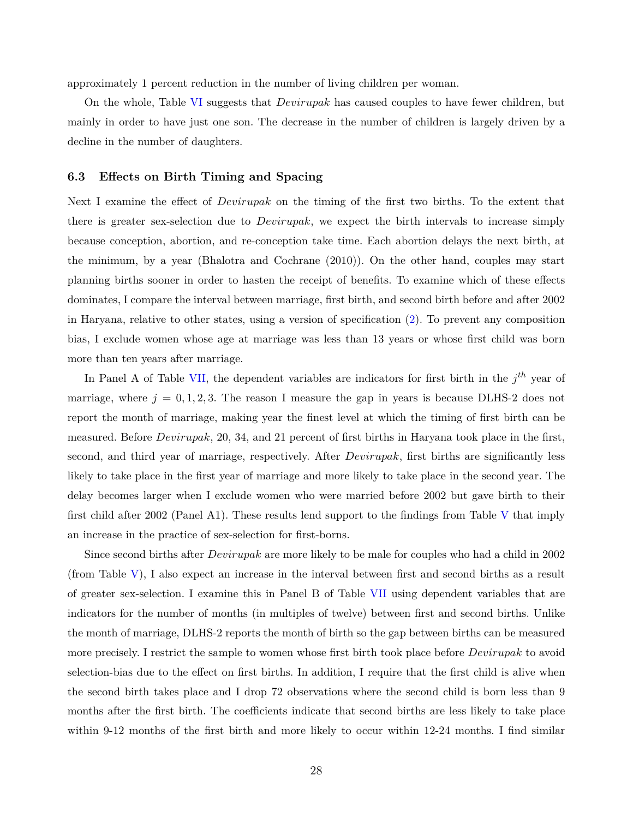approximately 1 percent reduction in the number of living children per woman.

On the whole, Table [VI](#page-54-0) suggests that *Devirupak* has caused couples to have fewer children, but mainly in order to have just one son. The decrease in the number of children is largely driven by a decline in the number of daughters.

#### **6.3 Effects on Birth Timing and Spacing**

Next I examine the effect of *Devirupak* on the timing of the first two births. To the extent that there is greater sex-selection due to *Devirupak*, we expect the birth intervals to increase simply because conception, abortion, and re-conception take time. Each abortion delays the next birth, at the minimum, by a year [\(Bhalotra and Cochrane](#page-36-0) [\(2010\)](#page-36-0)). On the other hand, couples may start planning births sooner in order to hasten the receipt of benefits. To examine which of these effects dominates, I compare the interval between marriage, first birth, and second birth before and after 2002 in Haryana, relative to other states, using a version of specification [\(2\)](#page-24-0). To prevent any composition bias, I exclude women whose age at marriage was less than 13 years or whose first child was born more than ten years after marriage.

In Panel A of Table [VII,](#page-55-0) the dependent variables are indicators for first birth in the  $j<sup>th</sup>$  year of marriage, where  $j = 0, 1, 2, 3$ . The reason I measure the gap in years is because DLHS-2 does not report the month of marriage, making year the finest level at which the timing of first birth can be measured. Before *Devirupak*, 20, 34, and 21 percent of first births in Haryana took place in the first, second, and third year of marriage, respectively. After *Devirupak*, first births are significantly less likely to take place in the first year of marriage and more likely to take place in the second year. The delay becomes larger when I exclude women who were married before 2002 but gave birth to their first child after 2002 (Panel A1). These results lend support to the findings from Table [V](#page-53-0) that imply an increase in the practice of sex-selection for first-borns.

Since second births after *Devirupak* are more likely to be male for couples who had a child in 2002 (from Table [V\)](#page-53-0), I also expect an increase in the interval between first and second births as a result of greater sex-selection. I examine this in Panel B of Table [VII](#page-55-0) using dependent variables that are indicators for the number of months (in multiples of twelve) between first and second births. Unlike the month of marriage, DLHS-2 reports the month of birth so the gap between births can be measured more precisely. I restrict the sample to women whose first birth took place before *Devirupak* to avoid selection-bias due to the effect on first births. In addition, I require that the first child is alive when the second birth takes place and I drop 72 observations where the second child is born less than 9 months after the first birth. The coefficients indicate that second births are less likely to take place within 9-12 months of the first birth and more likely to occur within 12-24 months. I find similar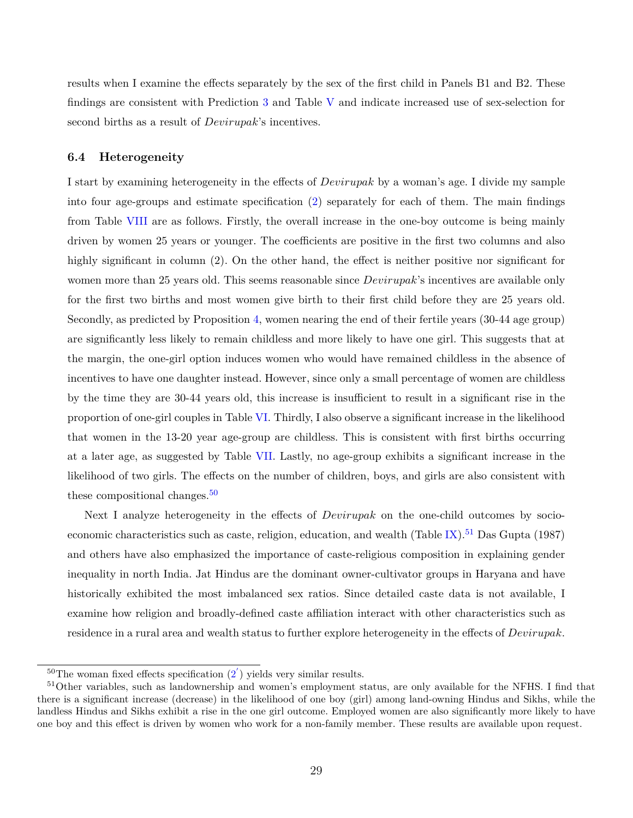results when I examine the effects separately by the sex of the first child in Panels B1 and B2. These findings are consistent with Prediction [3](#page-17-4) and Table [V](#page-53-0) and indicate increased use of sex-selection for second births as a result of *Devirupak*'s incentives.

### <span id="page-31-0"></span>**6.4 Heterogeneity**

I start by examining heterogeneity in the effects of *Devirupak* by a woman's age. I divide my sample into four age-groups and estimate specification [\(2\)](#page-24-0) separately for each of them. The main findings from Table [VIII](#page-56-0) are as follows. Firstly, the overall increase in the one-boy outcome is being mainly driven by women 25 years or younger. The coefficients are positive in the first two columns and also highly significant in column (2). On the other hand, the effect is neither positive nor significant for women more than 25 years old. This seems reasonable since *Devirupak*'s incentives are available only for the first two births and most women give birth to their first child before they are 25 years old. Secondly, as predicted by Proposition [4,](#page-16-1) women nearing the end of their fertile years (30-44 age group) are significantly less likely to remain childless and more likely to have one girl. This suggests that at the margin, the one-girl option induces women who would have remained childless in the absence of incentives to have one daughter instead. However, since only a small percentage of women are childless by the time they are 30-44 years old, this increase is insufficient to result in a significant rise in the proportion of one-girl couples in Table [VI.](#page-54-0) Thirdly, I also observe a significant increase in the likelihood that women in the 13-20 year age-group are childless. This is consistent with first births occurring at a later age, as suggested by Table [VII.](#page-55-0) Lastly, no age-group exhibits a significant increase in the likelihood of two girls. The effects on the number of children, boys, and girls are also consistent with these compositional changes.<sup>[50](#page-31-1)</sup>

Next I analyze heterogeneity in the effects of *Devirupak* on the one-child outcomes by socio-economic characteristics such as caste, religion, education, and wealth (Table [IX\)](#page-57-0).<sup>[51](#page-31-2)</sup> [Das Gupta](#page-37-1) [\(1987\)](#page-37-1) and others have also emphasized the importance of caste-religious composition in explaining gender inequality in north India. Jat Hindus are the dominant owner-cultivator groups in Haryana and have historically exhibited the most imbalanced sex ratios. Since detailed caste data is not available, I examine how religion and broadly-defined caste affiliation interact with other characteristics such as residence in a rural area and wealth status to further explore heterogeneity in the effects of *Devirupak*.

<span id="page-31-2"></span><span id="page-31-1"></span><sup>&</sup>lt;sup>50</sup>The woman fixed effects specification  $(2)$  $(2)$  yields very similar results.

<sup>51</sup>Other variables, such as landownership and women's employment status, are only available for the NFHS. I find that there is a significant increase (decrease) in the likelihood of one boy (girl) among land-owning Hindus and Sikhs, while the landless Hindus and Sikhs exhibit a rise in the one girl outcome. Employed women are also significantly more likely to have one boy and this effect is driven by women who work for a non-family member. These results are available upon request.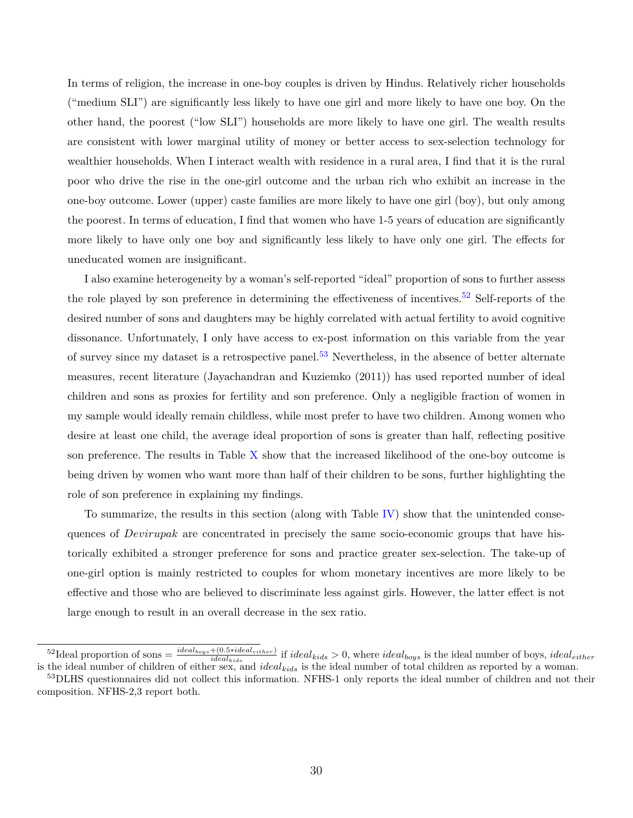In terms of religion, the increase in one-boy couples is driven by Hindus. Relatively richer households ("medium SLI") are significantly less likely to have one girl and more likely to have one boy. On the other hand, the poorest ("low SLI") households are more likely to have one girl. The wealth results are consistent with lower marginal utility of money or better access to sex-selection technology for wealthier households. When I interact wealth with residence in a rural area, I find that it is the rural poor who drive the rise in the one-girl outcome and the urban rich who exhibit an increase in the one-boy outcome. Lower (upper) caste families are more likely to have one girl (boy), but only among the poorest. In terms of education, I find that women who have 1-5 years of education are significantly more likely to have only one boy and significantly less likely to have only one girl. The effects for uneducated women are insignificant.

I also examine heterogeneity by a woman's self-reported "ideal" proportion of sons to further assess the role played by son preference in determining the effectiveness of incentives.<sup>[52](#page-32-0)</sup> Self-reports of the desired number of sons and daughters may be highly correlated with actual fertility to avoid cognitive dissonance. Unfortunately, I only have access to ex-post information on this variable from the year of survey since my dataset is a retrospective panel.<sup>[53](#page-32-1)</sup> Nevertheless, in the absence of better alternate measures, recent literature [\(Jayachandran and Kuziemko](#page-38-11) [\(2011\)](#page-38-11)) has used reported number of ideal children and sons as proxies for fertility and son preference. Only a negligible fraction of women in my sample would ideally remain childless, while most prefer to have two children. Among women who desire at least one child, the average ideal proportion of sons is greater than half, reflecting positive son preference. The results in Table [X](#page-58-0) show that the increased likelihood of the one-boy outcome is being driven by women who want more than half of their children to be sons, further highlighting the role of son preference in explaining my findings.

To summarize, the results in this section (along with Table [IV\)](#page-52-0) show that the unintended consequences of *Devirupak* are concentrated in precisely the same socio-economic groups that have historically exhibited a stronger preference for sons and practice greater sex-selection. The take-up of one-girl option is mainly restricted to couples for whom monetary incentives are more likely to be effective and those who are believed to discriminate less against girls. However, the latter effect is not large enough to result in an overall decrease in the sex ratio.

<span id="page-32-0"></span><sup>&</sup>lt;sup>52</sup>Ideal proportion of sons =  $\frac{ideal_{boys} + (0.5 * ideal_{either})}{ideal_{kids}}$  if  $ideal_{kids} > 0$ , where  $ideal_{boys}$  is the ideal number of boys,  $ideal_{either}$ is the ideal number of children of either sex, and *idealkids* is the ideal number of total children as reported by a woman.

<span id="page-32-1"></span><sup>53</sup>DLHS questionnaires did not collect this information. NFHS-1 only reports the ideal number of children and not their composition. NFHS-2,3 report both.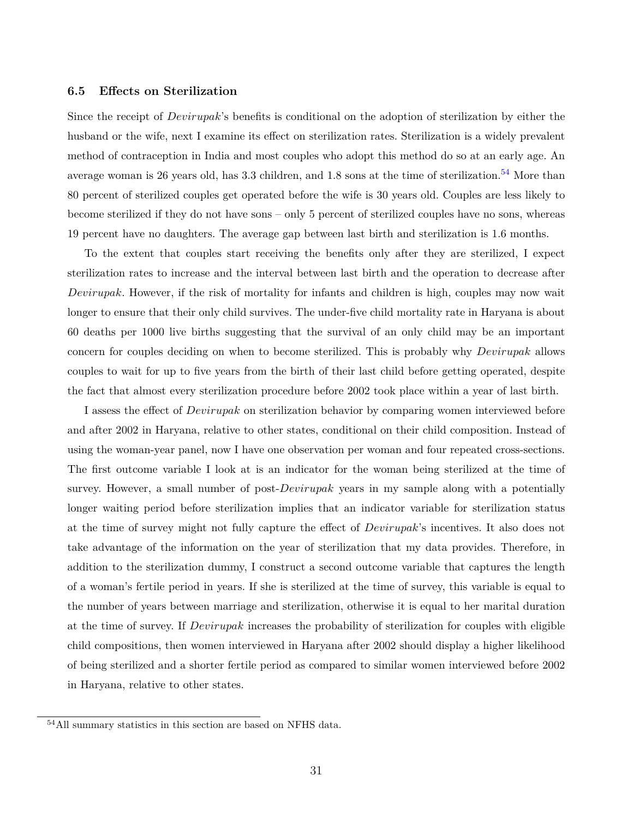### <span id="page-33-0"></span>**6.5 Effects on Sterilization**

Since the receipt of *Devirupak*'s benefits is conditional on the adoption of sterilization by either the husband or the wife, next I examine its effect on sterilization rates. Sterilization is a widely prevalent method of contraception in India and most couples who adopt this method do so at an early age. An average woman is 26 years old, has  $3.3$  children, and  $1.8$  sons at the time of sterilization.<sup>[54](#page-33-1)</sup> More than 80 percent of sterilized couples get operated before the wife is 30 years old. Couples are less likely to become sterilized if they do not have sons – only 5 percent of sterilized couples have no sons, whereas 19 percent have no daughters. The average gap between last birth and sterilization is 1.6 months.

To the extent that couples start receiving the benefits only after they are sterilized, I expect sterilization rates to increase and the interval between last birth and the operation to decrease after *Devirupak*. However, if the risk of mortality for infants and children is high, couples may now wait longer to ensure that their only child survives. The under-five child mortality rate in Haryana is about 60 deaths per 1000 live births suggesting that the survival of an only child may be an important concern for couples deciding on when to become sterilized. This is probably why *Devirupak* allows couples to wait for up to five years from the birth of their last child before getting operated, despite the fact that almost every sterilization procedure before 2002 took place within a year of last birth.

I assess the effect of *Devirupak* on sterilization behavior by comparing women interviewed before and after 2002 in Haryana, relative to other states, conditional on their child composition. Instead of using the woman-year panel, now I have one observation per woman and four repeated cross-sections. The first outcome variable I look at is an indicator for the woman being sterilized at the time of survey. However, a small number of post-*Devirupak* years in my sample along with a potentially longer waiting period before sterilization implies that an indicator variable for sterilization status at the time of survey might not fully capture the effect of *Devirupak*'s incentives. It also does not take advantage of the information on the year of sterilization that my data provides. Therefore, in addition to the sterilization dummy, I construct a second outcome variable that captures the length of a woman's fertile period in years. If she is sterilized at the time of survey, this variable is equal to the number of years between marriage and sterilization, otherwise it is equal to her marital duration at the time of survey. If *Devirupak* increases the probability of sterilization for couples with eligible child compositions, then women interviewed in Haryana after 2002 should display a higher likelihood of being sterilized and a shorter fertile period as compared to similar women interviewed before 2002 in Haryana, relative to other states.

<span id="page-33-1"></span><sup>54</sup>All summary statistics in this section are based on NFHS data.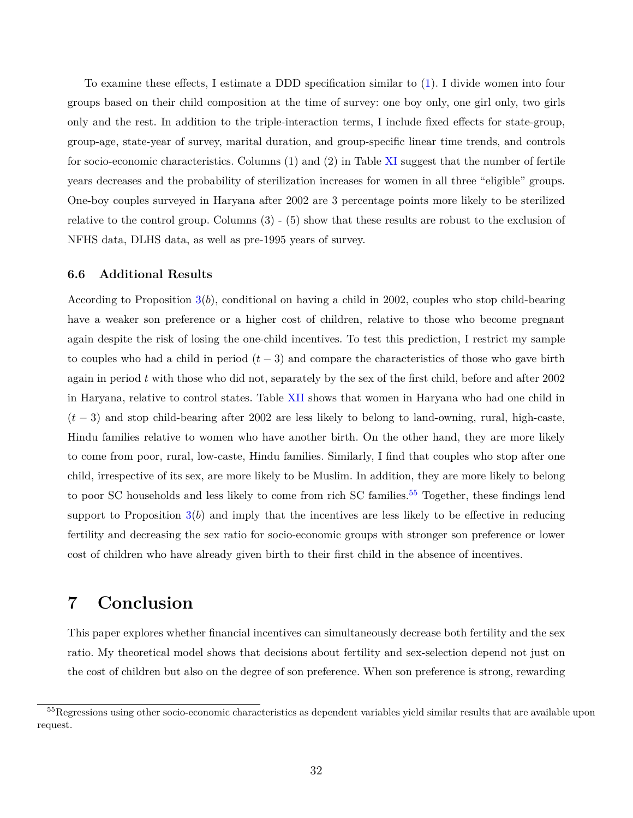To examine these effects, I estimate a DDD specification similar to [\(1\)](#page-23-1). I divide women into four groups based on their child composition at the time of survey: one boy only, one girl only, two girls only and the rest. In addition to the triple-interaction terms, I include fixed effects for state-group, group-age, state-year of survey, marital duration, and group-specific linear time trends, and controls for socio-economic characteristics. Columns (1) and (2) in Table [XI](#page-59-0) suggest that the number of fertile years decreases and the probability of sterilization increases for women in all three "eligible" groups. One-boy couples surveyed in Haryana after 2002 are 3 percentage points more likely to be sterilized relative to the control group. Columns (3) - (5) show that these results are robust to the exclusion of NFHS data, DLHS data, as well as pre-1995 years of survey.

#### **6.6 Additional Results**

According to Proposition [3\(](#page-14-2)*b*), conditional on having a child in 2002, couples who stop child-bearing have a weaker son preference or a higher cost of children, relative to those who become pregnant again despite the risk of losing the one-child incentives. To test this prediction, I restrict my sample to couples who had a child in period (*t* − 3) and compare the characteristics of those who gave birth again in period *t* with those who did not, separately by the sex of the first child, before and after 2002 in Haryana, relative to control states. Table [XII](#page-60-0) shows that women in Haryana who had one child in (*t* − 3) and stop child-bearing after 2002 are less likely to belong to land-owning, rural, high-caste, Hindu families relative to women who have another birth. On the other hand, they are more likely to come from poor, rural, low-caste, Hindu families. Similarly, I find that couples who stop after one child, irrespective of its sex, are more likely to be Muslim. In addition, they are more likely to belong to poor SC households and less likely to come from rich SC families.<sup>[55](#page-34-1)</sup> Together, these findings lend support to Proposition  $3(b)$  $3(b)$  and imply that the incentives are less likely to be effective in reducing fertility and decreasing the sex ratio for socio-economic groups with stronger son preference or lower cost of children who have already given birth to their first child in the absence of incentives.

### <span id="page-34-0"></span>**7 Conclusion**

This paper explores whether financial incentives can simultaneously decrease both fertility and the sex ratio. My theoretical model shows that decisions about fertility and sex-selection depend not just on the cost of children but also on the degree of son preference. When son preference is strong, rewarding

<span id="page-34-1"></span><sup>55</sup>Regressions using other socio-economic characteristics as dependent variables yield similar results that are available upon request.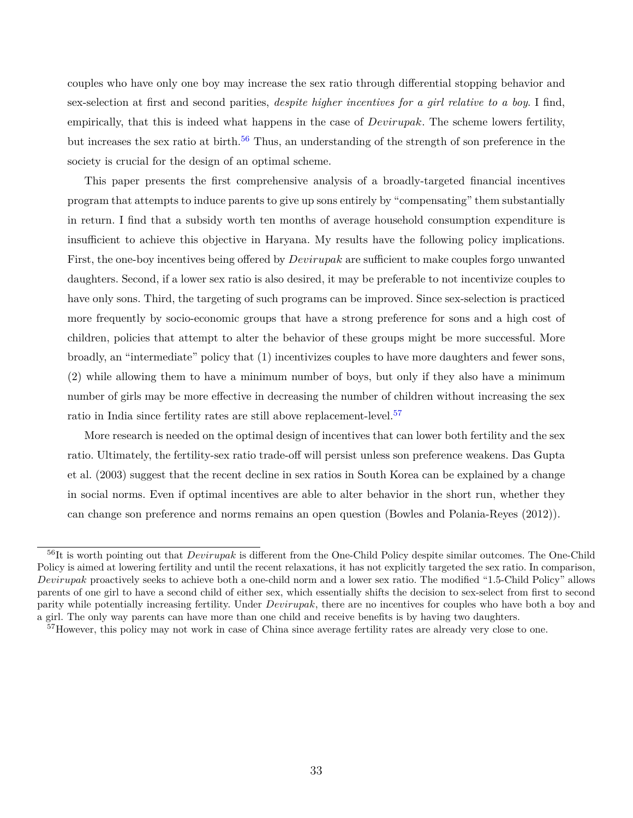couples who have only one boy may increase the sex ratio through differential stopping behavior and sex-selection at first and second parities, *despite higher incentives for a girl relative to a boy*. I find, empirically, that this is indeed what happens in the case of *Devirupak*. The scheme lowers fertility, but increases the sex ratio at birth.<sup>[56](#page-35-0)</sup> Thus, an understanding of the strength of son preference in the society is crucial for the design of an optimal scheme.

This paper presents the first comprehensive analysis of a broadly-targeted financial incentives program that attempts to induce parents to give up sons entirely by "compensating" them substantially in return. I find that a subsidy worth ten months of average household consumption expenditure is insufficient to achieve this objective in Haryana. My results have the following policy implications. First, the one-boy incentives being offered by *Devirupak* are sufficient to make couples forgo unwanted daughters. Second, if a lower sex ratio is also desired, it may be preferable to not incentivize couples to have only sons. Third, the targeting of such programs can be improved. Since sex-selection is practiced more frequently by socio-economic groups that have a strong preference for sons and a high cost of children, policies that attempt to alter the behavior of these groups might be more successful. More broadly, an "intermediate" policy that (1) incentivizes couples to have more daughters and fewer sons, (2) while allowing them to have a minimum number of boys, but only if they also have a minimum number of girls may be more effective in decreasing the number of children without increasing the sex ratio in India since fertility rates are still above replacement-level.<sup>[57](#page-35-1)</sup>

More research is needed on the optimal design of incentives that can lower both fertility and the sex ratio. Ultimately, the fertility-sex ratio trade-off will persist unless son preference weakens. [Das Gupta](#page-37-9) [et al.](#page-37-9) [\(2003\)](#page-37-9) suggest that the recent decline in sex ratios in South Korea can be explained by a change in social norms. Even if optimal incentives are able to alter behavior in the short run, whether they can change son preference and norms remains an open question [\(Bowles and Polania-Reyes](#page-36-15) [\(2012\)](#page-36-15)).

<span id="page-35-0"></span><sup>56</sup>It is worth pointing out that *Devirupak* is different from the One-Child Policy despite similar outcomes. The One-Child Policy is aimed at lowering fertility and until the recent relaxations, it has not explicitly targeted the sex ratio. In comparison, *Devirupak* proactively seeks to achieve both a one-child norm and a lower sex ratio. The modified "1.5-Child Policy" allows parents of one girl to have a second child of either sex, which essentially shifts the decision to sex-select from first to second parity while potentially increasing fertility. Under *Devirupak*, there are no incentives for couples who have both a boy and a girl. The only way parents can have more than one child and receive benefits is by having two daughters.

<span id="page-35-1"></span><sup>57</sup>However, this policy may not work in case of China since average fertility rates are already very close to one.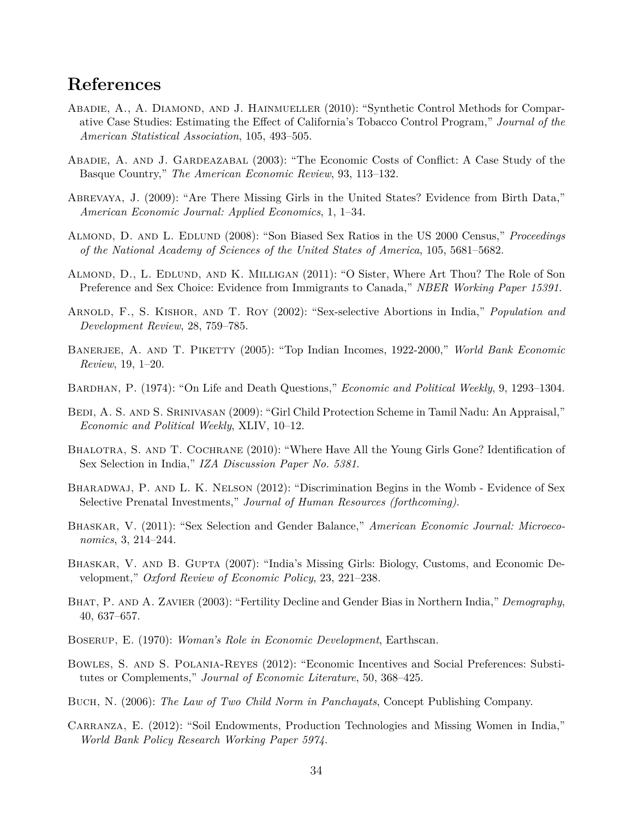### **References**

- <span id="page-36-2"></span>ABADIE, A., A. DIAMOND, AND J. HAINMUELLER (2010): "Synthetic Control Methods for Comparative Case Studies: Estimating the Effect of California's Tobacco Control Program," *Journal of the American Statistical Association*, 105, 493–505.
- <span id="page-36-1"></span>Abadie, A. and J. Gardeazabal (2003): "The Economic Costs of Conflict: A Case Study of the Basque Country," *The American Economic Review*, 93, 113–132.
- Abrevaya, J. (2009): "Are There Missing Girls in the United States? Evidence from Birth Data," *American Economic Journal: Applied Economics*, 1, 1–34.
- Almond, D. and L. Edlund (2008): "Son Biased Sex Ratios in the US 2000 Census," *Proceedings of the National Academy of Sciences of the United States of America*, 105, 5681–5682.
- Almond, D., L. Edlund, and K. Milligan (2011): "O Sister, Where Art Thou? The Role of Son Preference and Sex Choice: Evidence from Immigrants to Canada," *NBER Working Paper 15391*.
- Arnold, F., S. Kishor, and T. Roy (2002): "Sex-selective Abortions in India," *Population and Development Review*, 28, 759–785.
- BANERJEE, A. AND T. PIKETTY (2005): "Top Indian Incomes, 1922-2000," *World Bank Economic Review*, 19, 1–20.
- Bardhan, P. (1974): "On Life and Death Questions," *Economic and Political Weekly*, 9, 1293–1304.
- BEDI, A. S. AND S. SRINIVASAN (2009): "Girl Child Protection Scheme in Tamil Nadu: An Appraisal," *Economic and Political Weekly*, XLIV, 10–12.
- <span id="page-36-0"></span>BHALOTRA, S. AND T. COCHRANE (2010): "Where Have All the Young Girls Gone? Identification of Sex Selection in India," *IZA Discussion Paper No. 5381*.
- Bharadwaj, P. and L. K. Nelson (2012): "Discrimination Begins in the Womb Evidence of Sex Selective Prenatal Investments," *Journal of Human Resources (forthcoming)*.
- Bhaskar, V. (2011): "Sex Selection and Gender Balance," *American Economic Journal: Microeconomics*, 3, 214–244.
- Bhaskar, V. and B. Gupta (2007): "India's Missing Girls: Biology, Customs, and Economic Development," *Oxford Review of Economic Policy*, 23, 221–238.
- Bhat, P. and A. Zavier (2003): "Fertility Decline and Gender Bias in Northern India," *Demography*, 40, 637–657.
- Boserup, E. (1970): *Woman's Role in Economic Development*, Earthscan.
- Bowles, S. and S. Polania-Reyes (2012): "Economic Incentives and Social Preferences: Substitutes or Complements," *Journal of Economic Literature*, 50, 368–425.
- Buch, N. (2006): *The Law of Two Child Norm in Panchayats*, Concept Publishing Company.
- Carranza, E. (2012): "Soil Endowments, Production Technologies and Missing Women in India," *World Bank Policy Research Working Paper 5974*.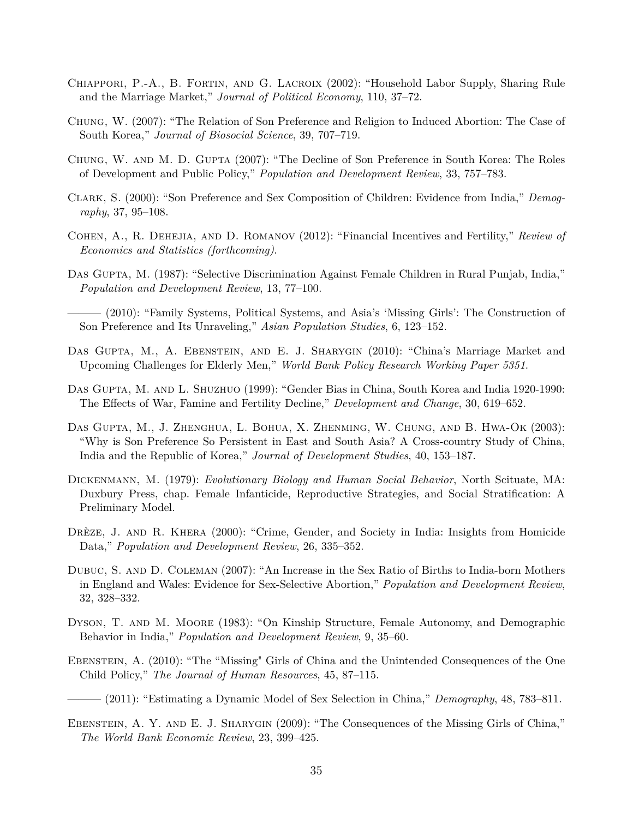- Chiappori, P.-A., B. Fortin, and G. Lacroix (2002): "Household Labor Supply, Sharing Rule and the Marriage Market," *Journal of Political Economy*, 110, 37–72.
- Chung, W. (2007): "The Relation of Son Preference and Religion to Induced Abortion: The Case of South Korea," *Journal of Biosocial Science*, 39, 707–719.
- Chung, W. and M. D. Gupta (2007): "The Decline of Son Preference in South Korea: The Roles of Development and Public Policy," *Population and Development Review*, 33, 757–783.
- Clark, S. (2000): "Son Preference and Sex Composition of Children: Evidence from India," *Demography*, 37, 95–108.
- Cohen, A., R. Dehejia, and D. Romanov (2012): "Financial Incentives and Fertility," *Review of Economics and Statistics (forthcoming)*.
- Das Gupta, M. (1987): "Selective Discrimination Against Female Children in Rural Punjab, India," *Population and Development Review*, 13, 77–100.

——— (2010): "Family Systems, Political Systems, and Asia's 'Missing Girls': The Construction of Son Preference and Its Unraveling," *Asian Population Studies*, 6, 123–152.

- Das Gupta, M., A. Ebenstein, and E. J. Sharygin (2010): "China's Marriage Market and Upcoming Challenges for Elderly Men," *World Bank Policy Research Working Paper 5351*.
- Das Gupta, M. and L. Shuzhuo (1999): "Gender Bias in China, South Korea and India 1920-1990: The Effects of War, Famine and Fertility Decline," *Development and Change*, 30, 619–652.
- Das Gupta, M., J. Zhenghua, L. Bohua, X. Zhenming, W. Chung, and B. Hwa-Ok (2003): "Why is Son Preference So Persistent in East and South Asia? A Cross-country Study of China, India and the Republic of Korea," *Journal of Development Studies*, 40, 153–187.
- Dickenmann, M. (1979): *Evolutionary Biology and Human Social Behavior*, North Scituate, MA: Duxbury Press, chap. Female Infanticide, Reproductive Strategies, and Social Stratification: A Preliminary Model.
- Drèze, J. and R. Khera (2000): "Crime, Gender, and Society in India: Insights from Homicide Data," *Population and Development Review*, 26, 335–352.
- Dubuc, S. and D. Coleman (2007): "An Increase in the Sex Ratio of Births to India-born Mothers in England and Wales: Evidence for Sex-Selective Abortion," *Population and Development Review*, 32, 328–332.
- Dyson, T. and M. Moore (1983): "On Kinship Structure, Female Autonomy, and Demographic Behavior in India," *Population and Development Review*, 9, 35–60.
- Ebenstein, A. (2010): "The "Missing" Girls of China and the Unintended Consequences of the One Child Policy," *The Journal of Human Resources*, 45, 87–115.
- ——— (2011): "Estimating a Dynamic Model of Sex Selection in China," *Demography*, 48, 783–811.
- EBENSTEIN, A. Y. AND E. J. SHARYGIN (2009): "The Consequences of the Missing Girls of China," *The World Bank Economic Review*, 23, 399–425.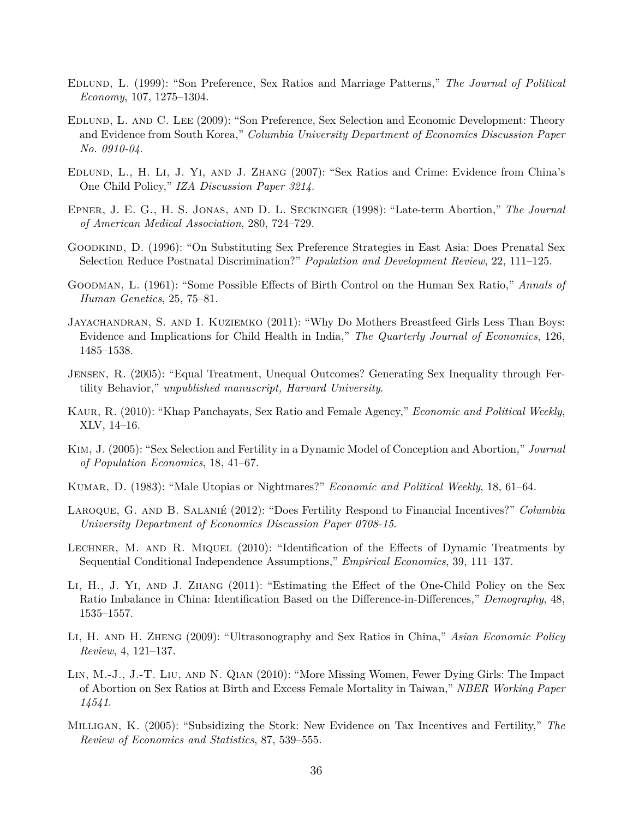- Edlund, L. (1999): "Son Preference, Sex Ratios and Marriage Patterns," *The Journal of Political Economy*, 107, 1275–1304.
- Edlund, L. and C. Lee (2009): "Son Preference, Sex Selection and Economic Development: Theory and Evidence from South Korea," *Columbia University Department of Economics Discussion Paper No. 0910-04*.
- Edlund, L., H. Li, J. Yi, and J. Zhang (2007): "Sex Ratios and Crime: Evidence from China's One Child Policy," *IZA Discussion Paper 3214*.
- Epner, J. E. G., H. S. Jonas, and D. L. Seckinger (1998): "Late-term Abortion," *The Journal of American Medical Association*, 280, 724–729.
- Goodkind, D. (1996): "On Substituting Sex Preference Strategies in East Asia: Does Prenatal Sex Selection Reduce Postnatal Discrimination?" *Population and Development Review*, 22, 111–125.
- Goodman, L. (1961): "Some Possible Effects of Birth Control on the Human Sex Ratio," *Annals of Human Genetics*, 25, 75–81.
- Jayachandran, S. and I. Kuziemko (2011): "Why Do Mothers Breastfeed Girls Less Than Boys: Evidence and Implications for Child Health in India," *The Quarterly Journal of Economics*, 126, 1485–1538.
- Jensen, R. (2005): "Equal Treatment, Unequal Outcomes? Generating Sex Inequality through Fertility Behavior," *unpublished manuscript, Harvard University*.
- Kaur, R. (2010): "Khap Panchayats, Sex Ratio and Female Agency," *Economic and Political Weekly*, XLV, 14–16.
- Kim, J. (2005): "Sex Selection and Fertility in a Dynamic Model of Conception and Abortion," *Journal of Population Economics*, 18, 41–67.
- Kumar, D. (1983): "Male Utopias or Nightmares?" *Economic and Political Weekly*, 18, 61–64.
- Laroque, G. and B. Salanié (2012): "Does Fertility Respond to Financial Incentives?" *Columbia University Department of Economics Discussion Paper 0708-15*.
- Lechner, M. and R. Miquel (2010): "Identification of the Effects of Dynamic Treatments by Sequential Conditional Independence Assumptions," *Empirical Economics*, 39, 111–137.
- Li, H., J. Yi, and J. Zhang (2011): "Estimating the Effect of the One-Child Policy on the Sex Ratio Imbalance in China: Identification Based on the Difference-in-Differences," *Demography*, 48, 1535–1557.
- Li, H. and H. Zheng (2009): "Ultrasonography and Sex Ratios in China," *Asian Economic Policy Review*, 4, 121–137.
- Lin, M.-J., J.-T. Liu, and N. Qian (2010): "More Missing Women, Fewer Dying Girls: The Impact of Abortion on Sex Ratios at Birth and Excess Female Mortality in Taiwan," *NBER Working Paper 14541*.
- Milligan, K. (2005): "Subsidizing the Stork: New Evidence on Tax Incentives and Fertility," *The Review of Economics and Statistics*, 87, 539–555.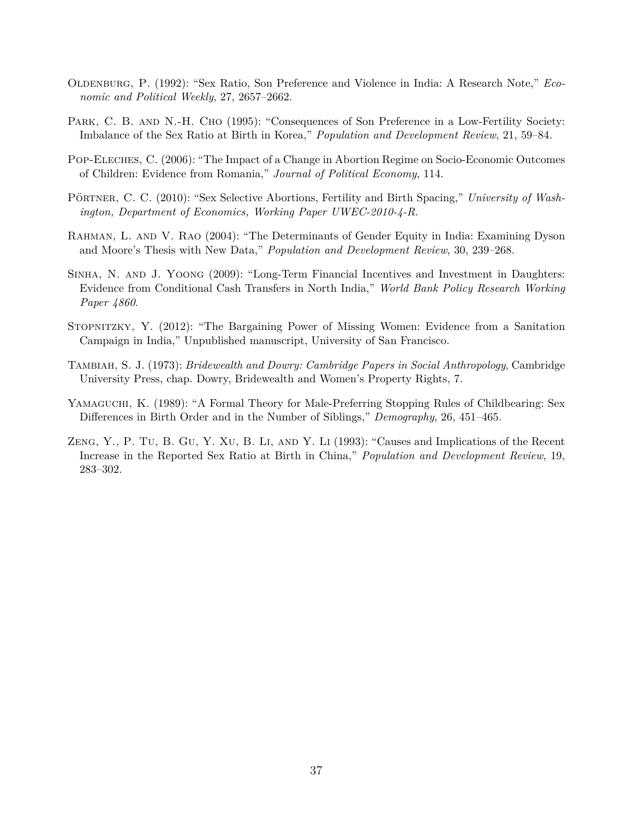- OLDENBURG, P. (1992): "Sex Ratio, Son Preference and Violence in India: A Research Note," *Economic and Political Weekly*, 27, 2657–2662.
- PARK, C. B. AND N.-H. CHO (1995): "Consequences of Son Preference in a Low-Fertility Society: Imbalance of the Sex Ratio at Birth in Korea," *Population and Development Review*, 21, 59–84.
- Pop-Eleches, C. (2006): "The Impact of a Change in Abortion Regime on Socio-Economic Outcomes of Children: Evidence from Romania," *Journal of Political Economy*, 114.
- Pörtner, C. C. (2010): "Sex Selective Abortions, Fertility and Birth Spacing," *University of Washington, Department of Economics, Working Paper UWEC-2010-4-R*.
- RAHMAN, L. AND V. RAO (2004): "The Determinants of Gender Equity in India: Examining Dyson and Moore's Thesis with New Data," *Population and Development Review*, 30, 239–268.
- <span id="page-39-0"></span>Sinha, N. and J. Yoong (2009): "Long-Term Financial Incentives and Investment in Daughters: Evidence from Conditional Cash Transfers in North India," *World Bank Policy Research Working Paper 4860*.
- Stopnitzky, Y. (2012): "The Bargaining Power of Missing Women: Evidence from a Sanitation Campaign in India," Unpublished manuscript, University of San Francisco.
- Tambiah, S. J. (1973): *Bridewealth and Dowry: Cambridge Papers in Social Anthropology*, Cambridge University Press, chap. Dowry, Bridewealth and Women's Property Rights, 7.
- Yamaguchi, K. (1989): "A Formal Theory for Male-Preferring Stopping Rules of Childbearing: Sex Differences in Birth Order and in the Number of Siblings," *Demography*, 26, 451–465.
- Zeng, Y., P. Tu, B. Gu, Y. Xu, B. Li, and Y. Li (1993): "Causes and Implications of the Recent Increase in the Reported Sex Ratio at Birth in China," *Population and Development Review*, 19, 283–302.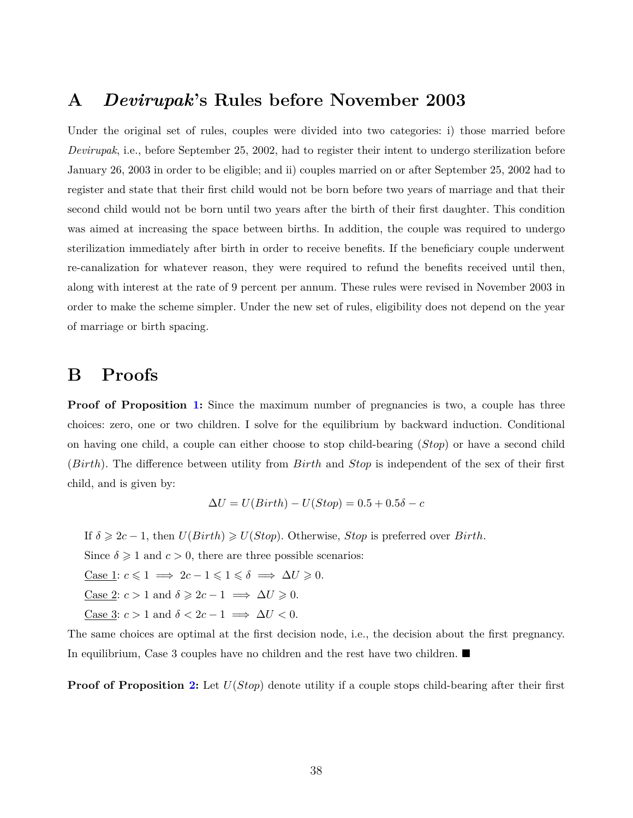### **A** *Devirupak***'s Rules before November 2003**

Under the original set of rules, couples were divided into two categories: i) those married before *Devirupak*, i.e., before September 25, 2002, had to register their intent to undergo sterilization before January 26, 2003 in order to be eligible; and ii) couples married on or after September 25, 2002 had to register and state that their first child would not be born before two years of marriage and that their second child would not be born until two years after the birth of their first daughter. This condition was aimed at increasing the space between births. In addition, the couple was required to undergo sterilization immediately after birth in order to receive benefits. If the beneficiary couple underwent re-canalization for whatever reason, they were required to refund the benefits received until then, along with interest at the rate of 9 percent per annum. These rules were revised in November 2003 in order to make the scheme simpler. Under the new set of rules, eligibility does not depend on the year of marriage or birth spacing.

### **B Proofs**

**Proof of Proposition [1:](#page-12-0)** Since the maximum number of pregnancies is two, a couple has three choices: zero, one or two children. I solve for the equilibrium by backward induction. Conditional on having one child, a couple can either choose to stop child-bearing (*Stop*) or have a second child (*Birth*). The difference between utility from *Birth* and *Stop* is independent of the sex of their first child, and is given by:

$$
\Delta U = U(Birth) - U(Stop) = 0.5 + 0.5\delta - c
$$

If  $\delta \geqslant 2c - 1$ , then  $U(Birth) \geqslant U(Stop)$ . Otherwise, *Stop* is preferred over *Birth*.

Since  $\delta \geq 1$  and  $c > 0$ , there are three possible scenarios:

 $\text{Case 1: } c \leq 1 \implies 2c - 1 \leq 1 \leq \delta \implies \Delta U \geq 0.$ 

 $\text{Case 2: } c > 1 \text{ and } \delta \geqslant 2c - 1 \implies \Delta U \geqslant 0.$ 

 $\text{Case 3: } c > 1 \text{ and } \delta < 2c - 1 \implies \Delta U < 0.$ 

The same choices are optimal at the first decision node, i.e., the decision about the first pregnancy. In equilibrium, Case 3 couples have no children and the rest have two children.

**Proof of Proposition [2:](#page-13-0)** Let *U*(*Stop*) denote utility if a couple stops child-bearing after their first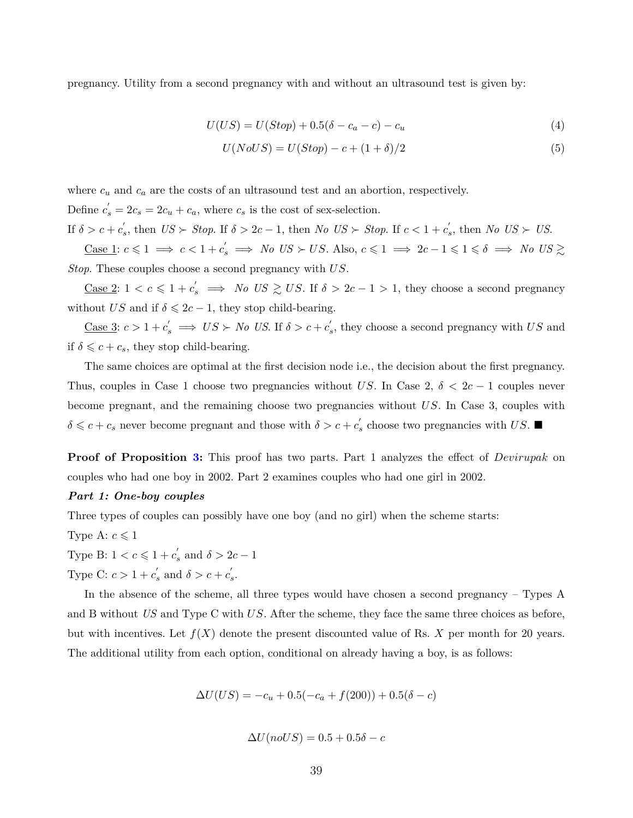pregnancy. Utility from a second pregnancy with and without an ultrasound test is given by:

$$
U(US) = U(Stop) + 0.5(\delta - c_a - c) - c_u \tag{4}
$$

$$
U(NoUS) = U(Stop) - c + (1+\delta)/2
$$
\n<sup>(5)</sup>

where  $c_u$  and  $c_a$  are the costs of an ultrasound test and an abortion, respectively. Define  $c'_{s} = 2c_{s} = 2c_{u} + c_{a}$ , where  $c_{s}$  is the cost of sex-selection. If  $\delta > c + c'_s$ , then  $US \succ Stop$ . If  $\delta > 2c - 1$ , then  $No \text{ } US \succ Stop$ . If  $c < 1 + c'_s$ , then  $No \text{ } US \succ US$ .

 $\frac{\text{Case 1: }}{c \leq 1} \implies c < 1 + c'_s \implies No \text{ } US \succ US.$  Also,  $c \leq 1 \implies 2c - 1 \leq 1 \leq \delta \implies No \text{ } US \gtrsim$ *Stop*. These couples choose a second pregnancy with *US*.

 $\frac{\text{Case 2: } 1 < c \leqslant 1 + c_s' \implies No \text{ } US \geqslant US.$  If  $\delta > 2c - 1 > 1$ , they choose a second pregnancy without *US* and if  $\delta \leq 2c - 1$ , they stop child-bearing.

 $\frac{\text{Case 3: }}{c}$  > 1 +  $c'_{s} \implies US \succ No$  *US*. If  $\delta > c + c'_{s}$ , they choose a second pregnancy with *US* and if  $\delta \leq c + c_s$ , they stop child-bearing.

The same choices are optimal at the first decision node i.e., the decision about the first pregnancy. Thus, couples in Case 1 choose two pregnancies without *US*. In Case 2,  $\delta < 2c - 1$  couples never become pregnant, and the remaining choose two pregnancies without *US*. In Case 3, couples with  $\delta \leq c + c_s$  never become pregnant and those with  $\delta > c + c'_s$  choose two pregnancies with *US*.

**Proof of Proposition [3:](#page-14-0)** This proof has two parts. Part 1 analyzes the effect of *Devirupak* on couples who had one boy in 2002. Part 2 examines couples who had one girl in 2002.

#### *Part 1: One-boy couples*

Three types of couples can possibly have one boy (and no girl) when the scheme starts:

Type A:  $c \leq 1$ 

Type B:  $1 < c \leqslant 1 + c'_{s}$  and  $\delta > 2c - 1$ 

Type C:  $c > 1 + c'_{s}$  and  $\delta > c + c'_{s}$ .

In the absence of the scheme, all three types would have chosen a second pregnancy – Types A and B without *US* and Type C with *US*. After the scheme, they face the same three choices as before, but with incentives. Let  $f(X)$  denote the present discounted value of Rs. X per month for 20 years. The additional utility from each option, conditional on already having a boy, is as follows:

$$
\Delta U(US) = -c_u + 0.5(-c_a + f(200)) + 0.5(\delta - c)
$$

$$
\Delta U(noUS) = 0.5 + 0.5\delta - c
$$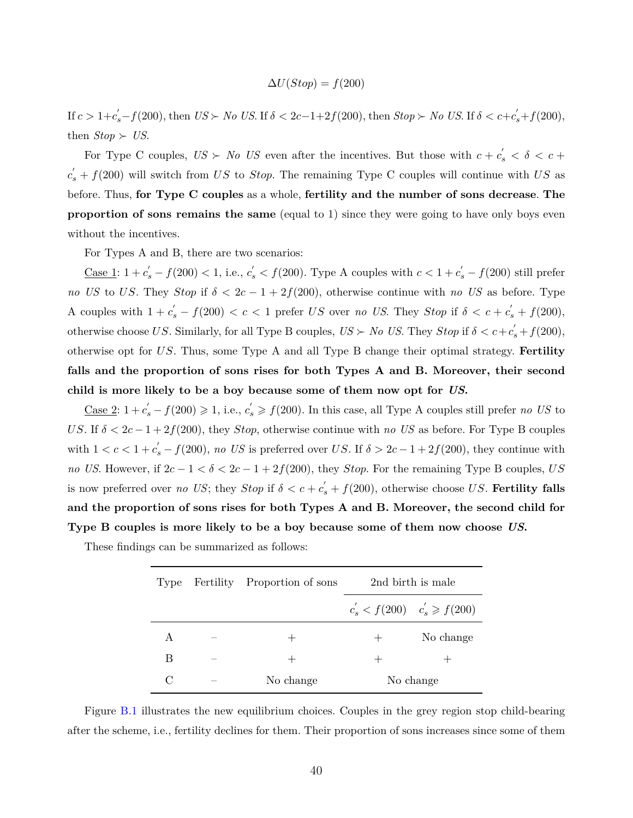$$
\Delta U(Stop) = f(200)
$$

If  $c > 1+c'_s - f(200)$ , then  $US \succ No$  US. If  $\delta < 2c-1+2f(200)$ , then  $Stop \succ No$  US. If  $\delta < c+c'_s + f(200)$ , then  $Stop \succ US$ .

For Type C couples,  $US \succ No$  US even after the incentives. But those with  $c + c'_{s} < \delta < c + c'_{s}$  $c'_{s} + f(200)$  will switch from *US* to *Stop*. The remaining Type C couples will continue with *US* as before. Thus, **for Type C couples** as a whole, **fertility and the number of sons decrease**. **The proportion of sons remains the same** (equal to 1) since they were going to have only boys even without the incentives.

For Types A and B, there are two scenarios:

<u>Case 1</u>: 1 +  $c'_s$  −  $f(200)$  < 1, i.e.,  $c'_s$  <  $f(200)$ . Type A couples with  $c$  < 1 +  $c'_s$  −  $f(200)$  still prefer *no US* to *US*. They *Stop* if  $\delta < 2c - 1 + 2f(200)$ , otherwise continue with *no US* as before. Type A couples with  $1 + c_s' - f(200) < c < 1$  prefer *US* over *no US*. They *Stop* if  $\delta < c + c_s' + f(200)$ , otherwise choose *US*. Similarly, for all Type B couples,  $US \succ No$  *US*. They *Stop* if  $\delta < c + c'_{s} + f(200)$ , otherwise opt for *US*. Thus, some Type A and all Type B change their optimal strategy. **Fertility falls and the proportion of sons rises for both Types A and B. Moreover, their second child is more likely to be a boy because some of them now opt for** *US***.**

 $\frac{\text{Case 2: 1}}{s} + c'_{s} - f(200) \geq 1$ , i.e.,  $c'_{s} \geq f(200)$ . In this case, all Type A couples still prefer *no US* to *US*. If  $\delta < 2c - 1 + 2f(200)$ , they *Stop*, otherwise continue with *no US* as before. For Type B couples with  $1 < c < 1 + c'_{s} - f(200)$ , *no US* is preferred over *US*. If  $\delta > 2c - 1 + 2f(200)$ , they continue with *no US*. However, if  $2c - 1 < \delta < 2c - 1 + 2f(200)$ , they *Stop*. For the remaining Type B couples, *US* is now preferred over *no US*; they *Stop* if  $\delta < c + c'_{s} + f(200)$ , otherwise choose *US*. Fertility falls **and the proportion of sons rises for both Types A and B. Moreover, the second child for Type B couples is more likely to be a boy because some of them now choose** *US***.**

These findings can be summarized as follows:

| Type   | Fertility Proportion of sons |                                       | 2nd birth is male |
|--------|------------------------------|---------------------------------------|-------------------|
|        |                              | $c'_{s} < f(200)$ $c'_{s} \ge f(200)$ |                   |
| А      |                              |                                       | No change         |
| В      |                              |                                       |                   |
| $\cap$ | No change                    |                                       | No change         |

Figure [B.1](#page-43-0) illustrates the new equilibrium choices. Couples in the grey region stop child-bearing after the scheme, i.e., fertility declines for them. Their proportion of sons increases since some of them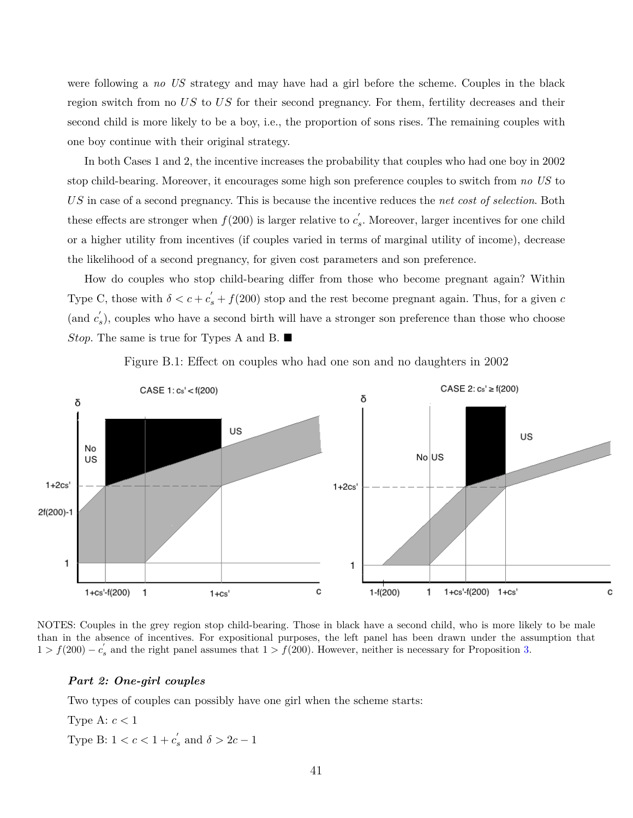were following a *no US* strategy and may have had a girl before the scheme. Couples in the black region switch from no *US* to *US* for their second pregnancy. For them, fertility decreases and their second child is more likely to be a boy, i.e., the proportion of sons rises. The remaining couples with one boy continue with their original strategy.

In both Cases 1 and 2, the incentive increases the probability that couples who had one boy in 2002 stop child-bearing. Moreover, it encourages some high son preference couples to switch from *no US* to *US* in case of a second pregnancy. This is because the incentive reduces the *net cost of selection*. Both these effects are stronger when  $f(200)$  is larger relative to  $c'_{s}$ . Moreover, larger incentives for one child or a higher utility from incentives (if couples varied in terms of marginal utility of income), decrease the likelihood of a second pregnancy, for given cost parameters and son preference.

How do couples who stop child-bearing differ from those who become pregnant again? Within Type C, those with  $\delta < c + c'_{s} + f(200)$  stop and the rest become pregnant again. Thus, for a given *c* (and  $c'_{s}$ ), couples who have a second birth will have a stronger son preference than those who choose *Stop*. The same is true for Types A and B. ■

<span id="page-43-0"></span>

Figure B.1: Effect on couples who had one son and no daughters in 2002

NOTES: Couples in the grey region stop child-bearing. Those in black have a second child, who is more likely to be male than in the absence of incentives. For expositional purposes, the left panel has been drawn under the assumption that  $1 > f(200) - c'_s$  and the right panel assumes that  $1 > f(200)$ . However, neither is necessary for Proposition [3.](#page-14-0)

#### *Part 2: One-girl couples*

Two types of couples can possibly have one girl when the scheme starts:

Type A: *c <* 1 Type B:  $1 < c < 1 + c'_s$  and  $\delta > 2c - 1$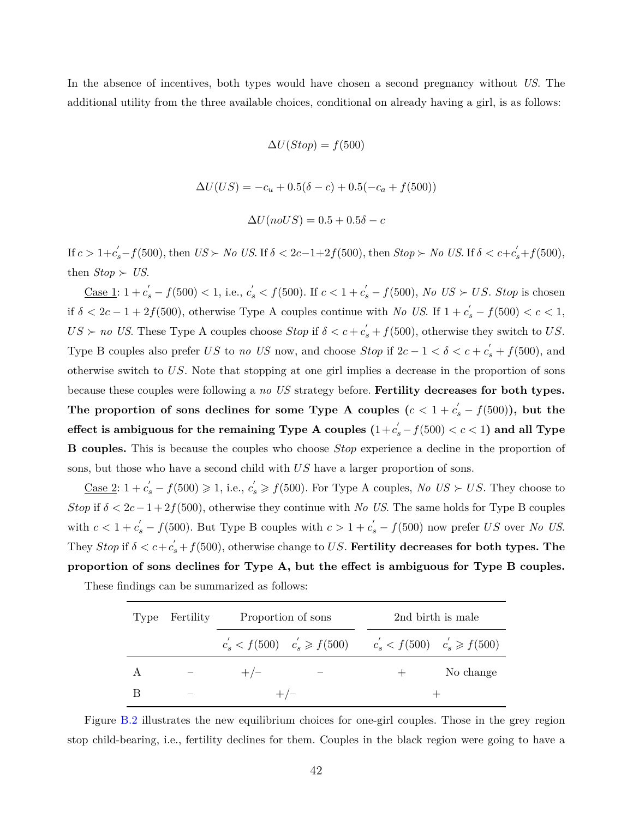In the absence of incentives, both types would have chosen a second pregnancy without *US*. The additional utility from the three available choices, conditional on already having a girl, is as follows:

$$
\Delta U(Stop) = f(500)
$$

 $\Delta U(US) = -c_u + 0.5(\delta - c) + 0.5(-c_a + f(500))$ 

$$
\Delta U(noUS) = 0.5 + 0.5\delta - c
$$

If  $c > 1+c'_s - f(500)$ , then  $US \succ No$  US. If  $\delta < 2c-1+2f(500)$ , then  $Stop \succ No$  US. If  $\delta < c+c'_s+f(500)$ , then  $Stop \succ US$ .

<u>Case 1</u>: 1 +  $c'_s$  −  $f(500)$  < 1, i.e.,  $c'_s$  <  $f(500)$ . If  $c$  < 1 +  $c'_s$  −  $f(500)$ , No US ≻ US. Stop is chosen if  $\delta < 2c - 1 + 2f(500)$ , otherwise Type A couples continue with *No US*. If  $1 + c_s' - f(500) < c < 1$ ,  $US \succ no \text{ } US.$  These Type A couples choose  $Stop$  if  $\delta < c + c'_{s} + f(500)$ , otherwise they switch to *US*. Type B couples also prefer *US* to *no US* now, and choose *Stop* if  $2c - 1 < \delta < c + c'_{s} + f(500)$ , and otherwise switch to *US*. Note that stopping at one girl implies a decrease in the proportion of sons because these couples were following a *no US* strategy before. **Fertility decreases for both types.** The proportion of sons declines for some Type A couples  $(c < 1 + c_s' - f(500))$ , but the **effect is ambiguous for the remaining Type A couples**  $(1+c_s^{'}-f(500) < c < 1)$  **and all Type B couples.** This is because the couples who choose *Stop* experience a decline in the proportion of sons, but those who have a second child with *US* have a larger proportion of sons.

<u>Case 2</u>:  $1 + c'_s - f(500) \geq 1$ , i.e.,  $c'_s \geq f(500)$ . For Type A couples, *No US*  $\succ U.S$ . They choose to *Stop* if  $\delta < 2c - 1 + 2f(500)$ , otherwise they continue with *No US*. The same holds for Type B couples with  $c < 1 + c'_{s} - f(500)$ . But Type B couples with  $c > 1 + c'_{s} - f(500)$  now prefer *US* over *No US*. They  $Stop$  if  $\delta < c + c'_{s} + f(500)$ , otherwise change to *US*. **Fertility decreases for both types. The proportion of sons declines for Type A, but the effect is ambiguous for Type B couples.**

These findings can be summarized as follows:

| Type | Fertility |       | Proportion of sons                                                  | 2nd birth is male |
|------|-----------|-------|---------------------------------------------------------------------|-------------------|
|      |           |       | $c'_s < f(500)$ $c'_s \ge f(500)$ $c'_s < f(500)$ $c'_s \ge f(500)$ |                   |
| A    |           | $+/-$ |                                                                     | No change         |
|      |           |       | $+/-$                                                               |                   |

Figure [B.2](#page-45-0) illustrates the new equilibrium choices for one-girl couples. Those in the grey region stop child-bearing, i.e., fertility declines for them. Couples in the black region were going to have a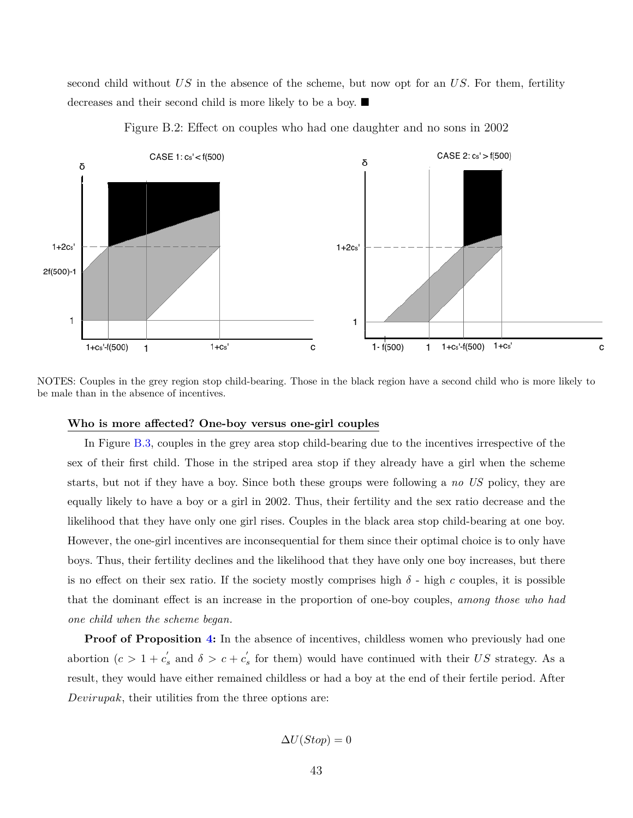second child without *US* in the absence of the scheme, but now opt for an *US*. For them, fertility decreases and their second child is more likely to be a boy.

<span id="page-45-0"></span>

Figure B.2: Effect on couples who had one daughter and no sons in 2002

NOTES: Couples in the grey region stop child-bearing. Those in the black region have a second child who is more likely to be male than in the absence of incentives.

#### **Who is more affected? One-boy versus one-girl couples**

In Figure [B.3,](#page-46-0) couples in the grey area stop child-bearing due to the incentives irrespective of the sex of their first child. Those in the striped area stop if they already have a girl when the scheme starts, but not if they have a boy. Since both these groups were following a *no US* policy, they are equally likely to have a boy or a girl in 2002. Thus, their fertility and the sex ratio decrease and the likelihood that they have only one girl rises. Couples in the black area stop child-bearing at one boy. However, the one-girl incentives are inconsequential for them since their optimal choice is to only have boys. Thus, their fertility declines and the likelihood that they have only one boy increases, but there is no effect on their sex ratio. If the society mostly comprises high  $\delta$  - high *c* couples, it is possible that the dominant effect is an increase in the proportion of one-boy couples, *among those who had one child when the scheme began.*

**Proof of Proposition [4:](#page-16-0)** In the absence of incentives, childless women who previously had one abortion  $(c > 1 + c'_{s}$  and  $\delta > c + c'_{s}$  for them) would have continued with their *US* strategy. As a result, they would have either remained childless or had a boy at the end of their fertile period. After *Devirupak*, their utilities from the three options are:

$$
\Delta U(Stop) = 0
$$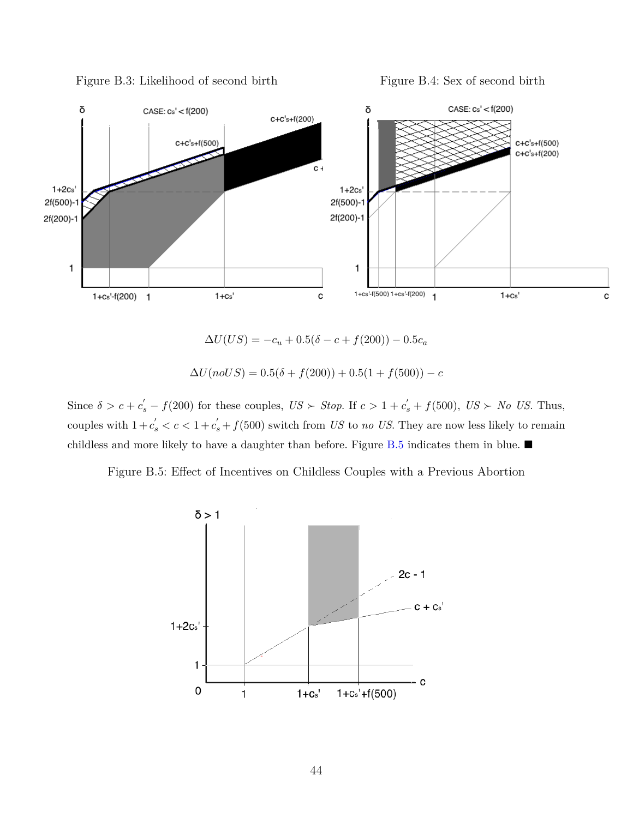<span id="page-46-0"></span>

Figure B.3: Likelihood of second birth Figure B.4: Sex of second birth

 $\Delta U(US) = -c_u + 0.5(\delta - c + f(200)) - 0.5c_a$ 

 $\Delta U(noUS) = 0.5(\delta + f(200)) + 0.5(1 + f(500)) - c$ 

<span id="page-46-1"></span>Since  $\delta > c + c'_{s} - f(200)$  for these couples,  $US \succ Stop$ . If  $c > 1 + c'_{s} + f(500)$ ,  $US \succ No$  *US*. Thus, couples with  $1 + c_s' < c < 1 + c_s' + f(500)$  switch from *US* to *no US*. They are now less likely to remain childless and more likely to have a daughter than before. Figure [B.5](#page-46-1) indicates them in blue.  $\blacksquare$ 

Figure B.5: Effect of Incentives on Childless Couples with a Previous Abortion

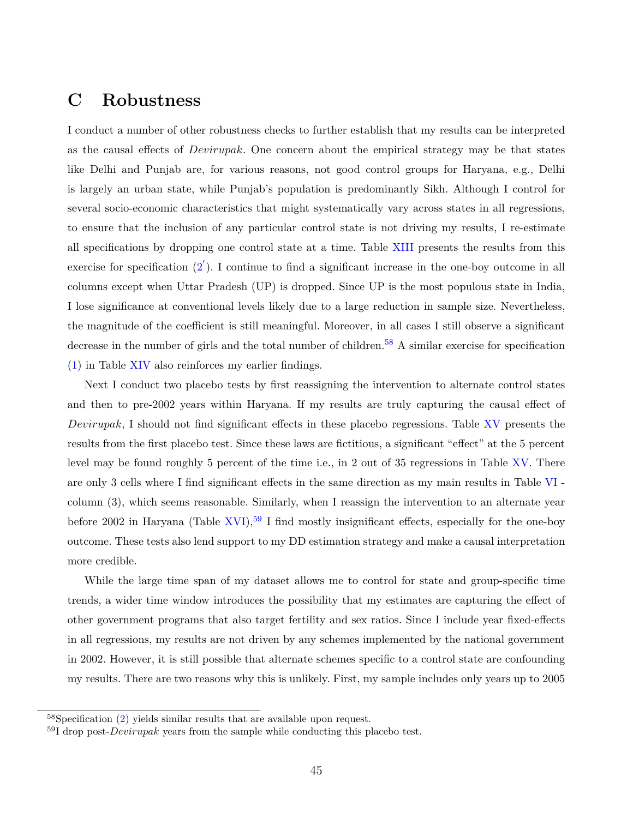## **C Robustness**

I conduct a number of other robustness checks to further establish that my results can be interpreted as the causal effects of *Devirupak*. One concern about the empirical strategy may be that states like Delhi and Punjab are, for various reasons, not good control groups for Haryana, e.g., Delhi is largely an urban state, while Punjab's population is predominantly Sikh. Although I control for several socio-economic characteristics that might systematically vary across states in all regressions, to ensure that the inclusion of any particular control state is not driving my results, I re-estimate all specifications by dropping one control state at a time. Table [XIII](#page-66-0) presents the results from this exercise for specification  $(2')$  $(2')$ . I continue to find a significant increase in the one-boy outcome in all columns except when Uttar Pradesh (UP) is dropped. Since UP is the most populous state in India, I lose significance at conventional levels likely due to a large reduction in sample size. Nevertheless, the magnitude of the coefficient is still meaningful. Moreover, in all cases I still observe a significant decrease in the number of girls and the total number of children.<sup>[58](#page-47-0)</sup> A similar exercise for specification [\(1\)](#page-23-0) in Table [XIV](#page-67-0) also reinforces my earlier findings.

Next I conduct two placebo tests by first reassigning the intervention to alternate control states and then to pre-2002 years within Haryana. If my results are truly capturing the causal effect of *Devirupak*, I should not find significant effects in these placebo regressions. Table [XV](#page-68-0) presents the results from the first placebo test. Since these laws are fictitious, a significant "effect" at the 5 percent level may be found roughly 5 percent of the time i.e., in 2 out of 35 regressions in Table [XV.](#page-68-0) There are only 3 cells where I find significant effects in the same direction as my main results in Table [VI](#page-54-0) column (3), which seems reasonable. Similarly, when I reassign the intervention to an alternate year before 2002 in Haryana (Table [XVI\)](#page-69-0),<sup>[59](#page-47-1)</sup> I find mostly insignificant effects, especially for the one-boy outcome. These tests also lend support to my DD estimation strategy and make a causal interpretation more credible.

While the large time span of my dataset allows me to control for state and group-specific time trends, a wider time window introduces the possibility that my estimates are capturing the effect of other government programs that also target fertility and sex ratios. Since I include year fixed-effects in all regressions, my results are not driven by any schemes implemented by the national government in 2002. However, it is still possible that alternate schemes specific to a control state are confounding my results. There are two reasons why this is unlikely. First, my sample includes only years up to 2005

<span id="page-47-0"></span><sup>58</sup>Specification [\(2\)](#page-24-1) yields similar results that are available upon request.

<span id="page-47-1"></span><sup>59</sup>I drop post-*Devirupak* years from the sample while conducting this placebo test.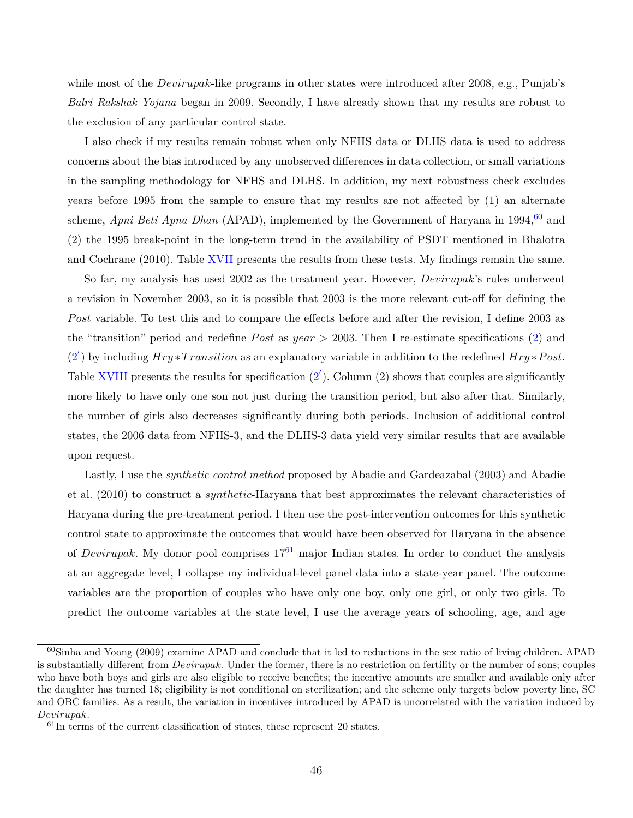while most of the *Devirupak*-like programs in other states were introduced after 2008, e.g., Punjab's *Balri Rakshak Yojana* began in 2009. Secondly, I have already shown that my results are robust to the exclusion of any particular control state.

I also check if my results remain robust when only NFHS data or DLHS data is used to address concerns about the bias introduced by any unobserved differences in data collection, or small variations in the sampling methodology for NFHS and DLHS. In addition, my next robustness check excludes years before 1995 from the sample to ensure that my results are not affected by (1) an alternate scheme, *Apni Beti Apna Dhan* (APAD), implemented by the Government of Haryana in 1994,<sup>[60](#page-48-0)</sup> and (2) the 1995 break-point in the long-term trend in the availability of PSDT mentioned in [Bhalotra](#page-36-0) [and Cochrane](#page-36-0) [\(2010\)](#page-36-0). Table [XVII](#page-70-0) presents the results from these tests. My findings remain the same.

So far, my analysis has used 2002 as the treatment year. However, *Devirupak*'s rules underwent a revision in November 2003, so it is possible that 2003 is the more relevant cut-off for defining the *P ost* variable. To test this and to compare the effects before and after the revision, I define 2003 as the "transition" period and redefine *P ost* as *year >* 2003. Then I re-estimate specifications [\(2\)](#page-24-1) and  $(2')$  $(2')$  by including  $Hry * Transition$  as an explanatory variable in addition to the redefined  $Hry * Post$ . Table [XVIII](#page-71-0) presents the results for specification  $(2')$  $(2')$ . Column  $(2)$  shows that couples are significantly more likely to have only one son not just during the transition period, but also after that. Similarly, the number of girls also decreases significantly during both periods. Inclusion of additional control states, the 2006 data from NFHS-3, and the DLHS-3 data yield very similar results that are available upon request.

Lastly, I use the *synthetic control method* proposed by [Abadie and Gardeazabal](#page-36-1) [\(2003\)](#page-36-1) and [Abadie](#page-36-2) [et al.](#page-36-2) [\(2010\)](#page-36-2) to construct a *synthetic*-Haryana that best approximates the relevant characteristics of Haryana during the pre-treatment period. I then use the post-intervention outcomes for this synthetic control state to approximate the outcomes that would have been observed for Haryana in the absence of *Devirupak*. My donor pool comprises  $17<sup>61</sup>$  $17<sup>61</sup>$  $17<sup>61</sup>$  major Indian states. In order to conduct the analysis at an aggregate level, I collapse my individual-level panel data into a state-year panel. The outcome variables are the proportion of couples who have only one boy, only one girl, or only two girls. To predict the outcome variables at the state level, I use the average years of schooling, age, and age

<span id="page-48-0"></span> $60\text{Sinha}$  and Yoong [\(2009\)](#page-39-0) examine APAD and conclude that it led to reductions in the sex ratio of living children. APAD is substantially different from *Devirupak*. Under the former, there is no restriction on fertility or the number of sons; couples who have both boys and girls are also eligible to receive benefits; the incentive amounts are smaller and available only after the daughter has turned 18; eligibility is not conditional on sterilization; and the scheme only targets below poverty line, SC and OBC families. As a result, the variation in incentives introduced by APAD is uncorrelated with the variation induced by *Devirupak*.

<span id="page-48-1"></span> $61$ In terms of the current classification of states, these represent 20 states.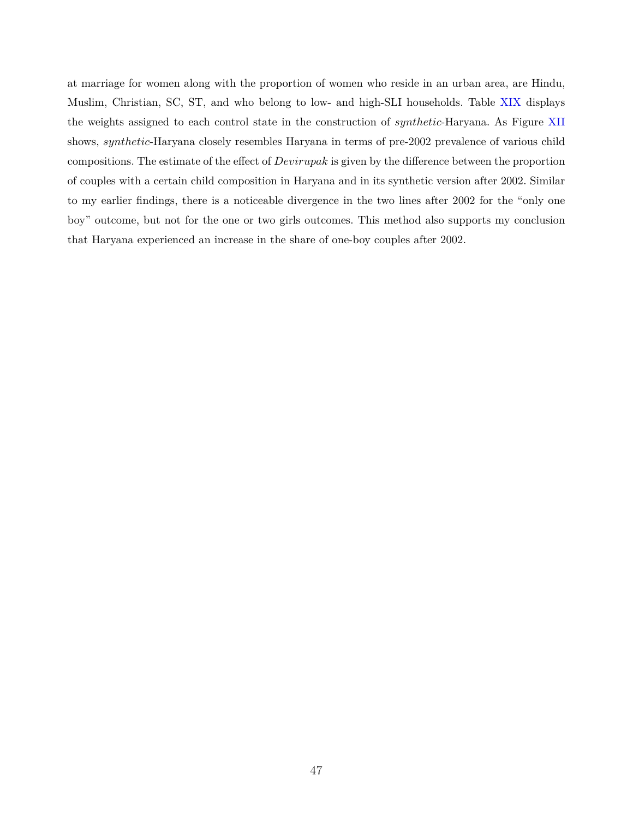at marriage for women along with the proportion of women who reside in an urban area, are Hindu, Muslim, Christian, SC, ST, and who belong to low- and high-SLI households. Table [XIX](#page-71-1) displays the weights assigned to each control state in the construction of *synthetic*-Haryana. As Figure [XII](#page-72-0) shows, *synthetic*-Haryana closely resembles Haryana in terms of pre-2002 prevalence of various child compositions. The estimate of the effect of *Devirupak* is given by the difference between the proportion of couples with a certain child composition in Haryana and in its synthetic version after 2002. Similar to my earlier findings, there is a noticeable divergence in the two lines after 2002 for the "only one boy" outcome, but not for the one or two girls outcomes. This method also supports my conclusion that Haryana experienced an increase in the share of one-boy couples after 2002.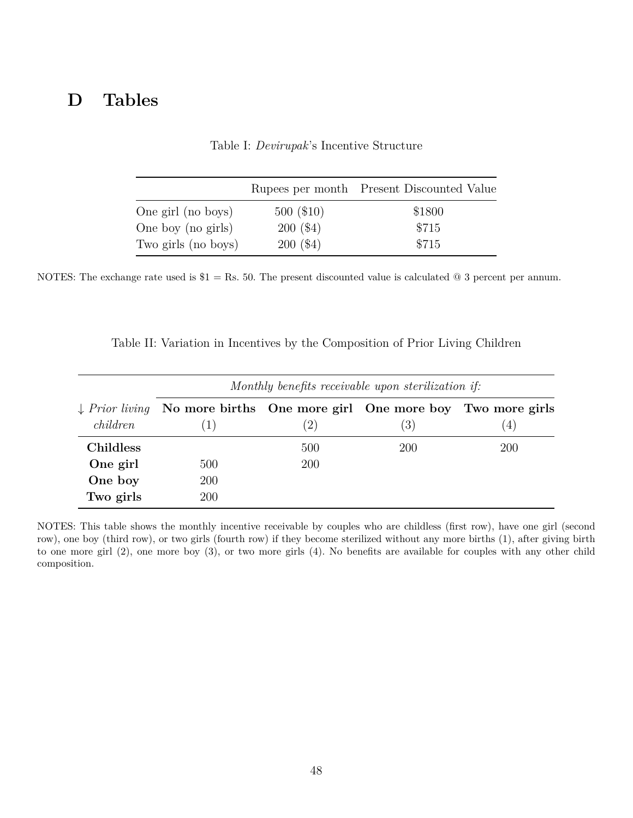## **D Tables**

|                     |             | Rupees per month Present Discounted Value |
|---------------------|-------------|-------------------------------------------|
| One girl (no boys)  | 500(\$10)   | \$1800                                    |
| One boy (no girls)  | $200($ \$4) | \$715                                     |
| Two girls (no boys) | 200(\$4)    | \$715                                     |

Table I: *Devirupak*'s Incentive Structure

NOTES: The exchange rate used is  $$1 = \text{Rs. 50}$ . The present discounted value is calculated  $@$  3 percent per annum.

|           |                                                                                    |     | Monthly benefits receivable upon sterilization if: |                  |
|-----------|------------------------------------------------------------------------------------|-----|----------------------------------------------------|------------------|
|           | $\downarrow$ Prior living No more births One more girl One more boy Two more girls |     |                                                    |                  |
| children  | (1)                                                                                | (2) | (3)                                                | $\left(4\right)$ |
| Childless |                                                                                    | 500 | 200                                                | 200              |
| One girl  | 500                                                                                | 200 |                                                    |                  |
| One boy   | 200                                                                                |     |                                                    |                  |
| Two girls | 200                                                                                |     |                                                    |                  |

Table II: Variation in Incentives by the Composition of Prior Living Children

NOTES: This table shows the monthly incentive receivable by couples who are childless (first row), have one girl (second row), one boy (third row), or two girls (fourth row) if they become sterilized without any more births (1), after giving birth to one more girl (2), one more boy (3), or two more girls (4). No benefits are available for couples with any other child composition.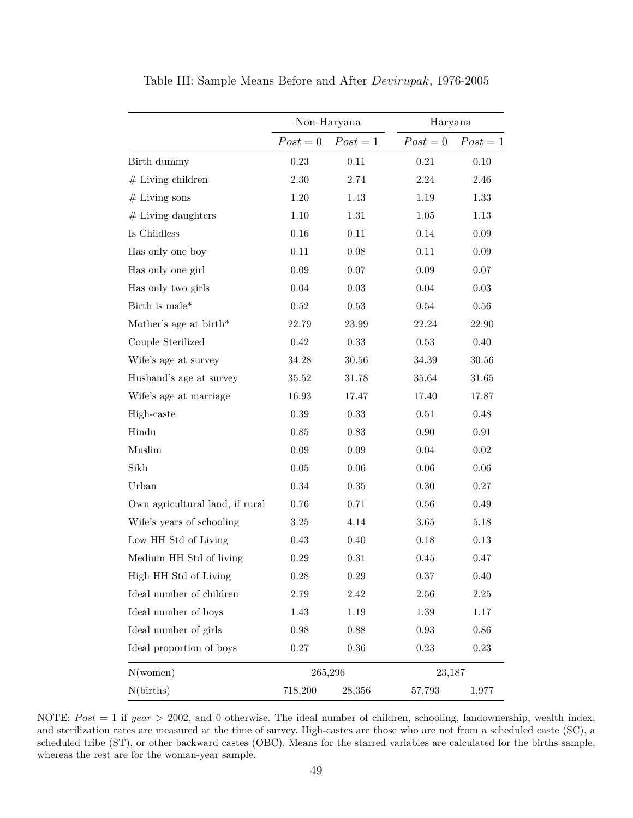|                                 |            | Non-Haryana | Haryana    |            |
|---------------------------------|------------|-------------|------------|------------|
|                                 | $Post = 0$ | $Post = 1$  | $Post = 0$ | $Post = 1$ |
| Birth dummy                     | 0.23       | 0.11        | $\rm 0.21$ | 0.10       |
| $#$ Living children             | $2.30\,$   | 2.74        | 2.24       | 2.46       |
| $#$ Living sons                 | $1.20\,$   | 1.43        | 1.19       | 1.33       |
| $#$ Living daughters            | $1.10\,$   | 1.31        | 1.05       | $1.13\,$   |
| Is Childless                    | $0.16\,$   | $0.11\,$    | 0.14       | $0.09\,$   |
| Has only one boy                | 0.11       | 0.08        | 0.11       | $0.09\,$   |
| Has only one girl               | $0.09\,$   | $0.07\,$    | $0.09\,$   | $0.07\,$   |
| Has only two girls              | 0.04       | $\,0.03\,$  | 0.04       | $0.03\,$   |
| Birth is male*                  | 0.52       | 0.53        | 0.54       | 0.56       |
| Mother's age at $birth*$        | 22.79      | 23.99       | 22.24      | 22.90      |
| Couple Sterilized               | $0.42\,$   | 0.33        | 0.53       | 0.40       |
| Wife's age at survey            | 34.28      | $30.56\,$   | $34.39\,$  | 30.56      |
| Husband's age at survey         | 35.52      | 31.78       | 35.64      | 31.65      |
| Wife's age at marriage          | 16.93      | 17.47       | 17.40      | 17.87      |
| High-caste                      | 0.39       | 0.33        | 0.51       | 0.48       |
| Hindu                           | $0.85\,$   | 0.83        | $0.90\,$   | $\rm 0.91$ |
| Muslim                          | $0.09\,$   | $0.09\,$    | 0.04       | $0.02\,$   |
| Sikh                            | $0.05\,$   | $0.06\,$    | $0.06\,$   | $0.06\,$   |
| Urban                           | $0.34\,$   | 0.35        | 0.30       | $0.27\,$   |
| Own agricultural land, if rural | 0.76       | 0.71        | 0.56       | 0.49       |
| Wife's years of schooling       | 3.25       | 4.14        | 3.65       | $5.18\,$   |
| Low HH Std of Living            | 0.43       | 0.40        | 0.18       | 0.13       |
| Medium HH Std of living         | 0.29       | 0.31        | 0.45       | 0.47       |
| High HH Std of Living           | $0.28\,$   | $0.29\,$    | 0.37       | 0.40       |
| Ideal number of children        | 2.79       | $2.42\,$    | 2.56       | $2.25\,$   |
| Ideal number of boys            | 1.43       | 1.19        | 1.39       | 1.17       |
| Ideal number of girls           | 0.98       | $0.88\,$    | 0.93       | $0.86\,$   |
| Ideal proportion of boys        | $0.27\,$   | 0.36        | 0.23       | $0.23\,$   |
| N(women)                        |            | 265,296     | 23,187     |            |
| N(births)                       | 718,200    | 28,356      | 57,793     | 1,977      |

Table III: Sample Means Before and After *Devirupak*, 1976-2005

NOTE:  $Post = 1$  if  $year > 2002$ , and 0 otherwise. The ideal number of children, schooling, landownership, wealth index, and sterilization rates are measured at the time of survey. High-castes are those who are not from a scheduled caste (SC), a scheduled tribe (ST), or other backward castes (OBC). Means for the starred variables are calculated for the births sample, whereas the rest are for the woman-year sample.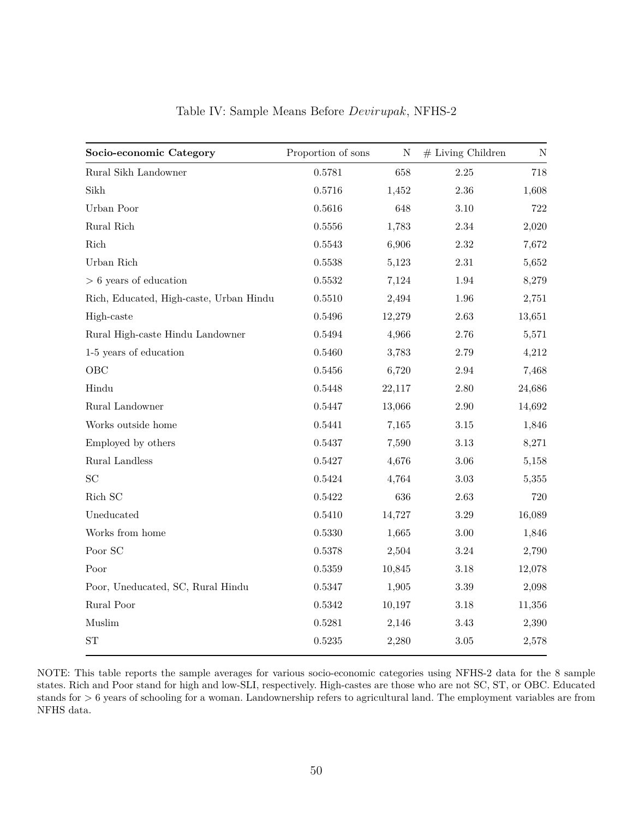| Socio-economic Category                 | Proportion of sons | ${\bf N}$ | $#$ Living Children | $\mathbf N$ |
|-----------------------------------------|--------------------|-----------|---------------------|-------------|
| Rural Sikh Landowner                    | 0.5781             | 658       | $2.25\,$            | 718         |
| Sikh                                    | 0.5716             | 1,452     | 2.36                | 1,608       |
| Urban Poor                              | 0.5616             | 648       | $3.10\,$            | $722\,$     |
| Rural Rich                              | 0.5556             | 1,783     | $2.34\,$            | 2,020       |
| $\operatorname{Rich}$                   | 0.5543             | 6,906     | $2.32\,$            | 7,672       |
| Urban Rich                              | 0.5538             | 5,123     | $2.31\,$            | 5,652       |
| $> 6$ years of education                | 0.5532             | 7,124     | 1.94                | 8,279       |
| Rich, Educated, High-caste, Urban Hindu | 0.5510             | 2,494     | $1.96\,$            | 2,751       |
| High-caste                              | 0.5496             | 12,279    | $2.63\,$            | 13,651      |
| Rural High-caste Hindu Landowner        | 0.5494             | 4,966     | 2.76                | 5,571       |
| 1-5 years of education                  | 0.5460             | 3,783     | $2.79\,$            | 4,212       |
| OBC                                     | 0.5456             | 6,720     | $\;\:2.94$          | 7,468       |
| Hindu                                   | 0.5448             | 22,117    | 2.80                | 24,686      |
| Rural Landowner                         | 0.5447             | 13,066    | $2.90\,$            | 14,692      |
| Works outside home                      | 0.5441             | 7,165     | $3.15\,$            | 1,846       |
| Employed by others                      | 0.5437             | 7,590     | $3.13\,$            | 8,271       |
| Rural Landless                          | 0.5427             | 4,676     | $3.06\,$            | 5,158       |
| SC                                      | 0.5424             | 4,764     | $3.03\,$            | 5,355       |
| Rich SC                                 | 0.5422             | 636       | $2.63\,$            | 720         |
| Uneducated                              | 0.5410             | 14,727    | $3.29\,$            | 16,089      |
| Works from home                         | 0.5330             | 1,665     | $3.00\,$            | 1,846       |
| Poor SC                                 | 0.5378             | 2,504     | $3.24\,$            | 2,790       |
| Poor                                    | 0.5359             | 10,845    | $3.18\,$            | 12,078      |
| Poor, Uneducated, SC, Rural Hindu       | 0.5347             | 1,905     | $3.39\,$            | 2,098       |
| Rural Poor                              | 0.5342             | 10,197    | $3.18\,$            | 11,356      |
| Muslim                                  | 0.5281             | 2,146     | 3.43                | 2,390       |
| ${\rm ST}$                              | 0.5235             | 2,280     | $3.05\,$            | 2,578       |

Table IV: Sample Means Before *Devirupak*, NFHS-2

NOTE: This table reports the sample averages for various socio-economic categories using NFHS-2 data for the 8 sample states. Rich and Poor stand for high and low-SLI, respectively. High-castes are those who are not SC, ST, or OBC. Educated stands for *>* 6 years of schooling for a woman. Landownership refers to agricultural land. The employment variables are from NFHS data.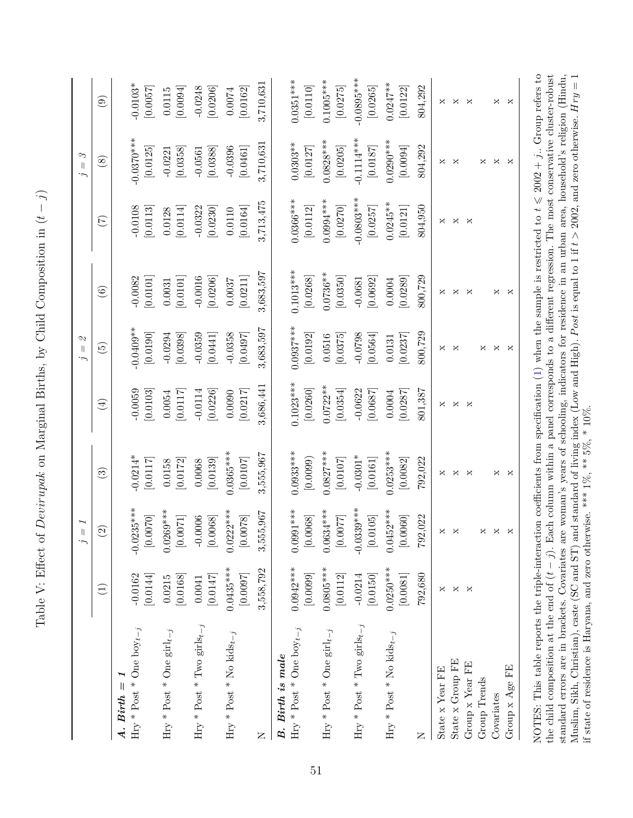| $\frac{1}{\sqrt{2}}$                                  |
|-------------------------------------------------------|
|                                                       |
| $\frac{1}{2}$                                         |
|                                                       |
|                                                       |
| l<br>i                                                |
| $\frac{1}{2}$                                         |
| く・・・<br>) ここころ                                        |
| Í                                                     |
| <br> <br>                                             |
|                                                       |
| )<br> <br> <br>$\frac{1}{2}$                          |
|                                                       |
| i                                                     |
| $\sim$ $\sim$ $\sim$ $\sim$ $\sim$ $\sim$ $\sim$<br>7 |
| $-2 - 1 - 1$                                          |
|                                                       |
|                                                       |
|                                                       |
|                                                       |
| ĺ                                                     |
|                                                       |
| ة<br>أ                                                |
|                                                       |
|                                                       |
| )<br>2<br>1<br>2<br>1                                 |
| E ir rF                                               |

<span id="page-53-0"></span>

|                                                                                                                                                                                                                                                                                                                                                                                                                                                                                                                                                                                                                                                                                                                                  |                         | $=$ $\overline{1}$<br>$\dot{z}$                                                       |                          |                         | $\infty$<br>$\dot{z}$                |                                     |                          | $j=\mathcal{I}$                      |                          |
|----------------------------------------------------------------------------------------------------------------------------------------------------------------------------------------------------------------------------------------------------------------------------------------------------------------------------------------------------------------------------------------------------------------------------------------------------------------------------------------------------------------------------------------------------------------------------------------------------------------------------------------------------------------------------------------------------------------------------------|-------------------------|---------------------------------------------------------------------------------------|--------------------------|-------------------------|--------------------------------------|-------------------------------------|--------------------------|--------------------------------------|--------------------------|
|                                                                                                                                                                                                                                                                                                                                                                                                                                                                                                                                                                                                                                                                                                                                  | $\widehat{\Xi}$         | $\widehat{\mathfrak{D}}$                                                              | $\widehat{\mathbb{G}}$   | $\bigoplus$             | $\widetilde{5}$                      | $\odot$                             | $(\vec{z})$              | $\circledast$                        | $\widehat{\mathbf{e}}$   |
| $A.$ Birth = 1                                                                                                                                                                                                                                                                                                                                                                                                                                                                                                                                                                                                                                                                                                                   |                         |                                                                                       |                          |                         |                                      |                                     |                          |                                      |                          |
| Hry * Post * One $\text{boy}_{t-j}$                                                                                                                                                                                                                                                                                                                                                                                                                                                                                                                                                                                                                                                                                              | [0.0144]<br>$-0.0162$   | $-0.0235***$<br>[0.0070]                                                              | $-0.0214*$<br>[0.0117]   | $-0.0059$<br>[0.0103]   | $0.0409**$<br>$\left[ 0.0190\right]$ | $-0.0082$<br>$\left[ 0.0101\right]$ | $-0.0108$<br>[0.0113]    | $-0.0370***$<br>[0.0125]             | $-0.0103*$<br>[0.0057]   |
| Hry * Post * One girl $_{t-j}$                                                                                                                                                                                                                                                                                                                                                                                                                                                                                                                                                                                                                                                                                                   | [0.0168]<br>0.0215      | $0.0269***$<br>$\left[0.0071\right]$                                                  | [0.0172]<br>0.0158       | [0.0117]<br>0.0054      | [0.0398]<br>$-0.0294$                | [0.0101]<br>0.0031                  | [0.0114]<br>0.0128       | [0.0358]<br>$-0.0221$                | [0.0094]<br>0.0115       |
| Hry * Post * Two girls $_{t-j}$                                                                                                                                                                                                                                                                                                                                                                                                                                                                                                                                                                                                                                                                                                  | [0.0147]<br>0.0041      | $-0.0006$<br>$\left[0.0068\right]$                                                    | [0.0139]<br>0.0068       | [0.0226]<br>$-0.0114$   | $-0.0359$<br>[0.0441]                | $-0.0016$<br>[0.0206]               | [0.0230]<br>$-0.0322$    | [0.0388]<br>$-0.0561$                | $-0.0248$<br>[0.0206]    |
| Hry * Post * No kids<br>$t-j$                                                                                                                                                                                                                                                                                                                                                                                                                                                                                                                                                                                                                                                                                                    | $0.0435***$<br>[0.0097] | $0.0222***$<br>[0.0078]                                                               | $0.0365***$<br>[0.0107]  | 0.0090<br>[0.0217]      | $-0.0358$<br>[0.0497]                | [0.0211]<br>0.0037                  | [0.0164]<br>0.0110       | $-0.0396$<br>[0.0461]                | [0.0162]<br>0.0074       |
| Z                                                                                                                                                                                                                                                                                                                                                                                                                                                                                                                                                                                                                                                                                                                                | 3,558,792               | 5,967<br>3,55                                                                         | 3,555,967                | 3,686,441               | 3,683,597                            | 3,683,597                           | 3,713,475                | 3,710,631                            | 3,710,631                |
| B. Birth is male                                                                                                                                                                                                                                                                                                                                                                                                                                                                                                                                                                                                                                                                                                                 |                         |                                                                                       |                          |                         |                                      |                                     |                          |                                      |                          |
| Hry * Post * One boy $_{t-j}$                                                                                                                                                                                                                                                                                                                                                                                                                                                                                                                                                                                                                                                                                                    | $0.0942***$<br>[0.0099] | $0.0991***$<br>$\left[ 0.0068\right]$                                                 | $0.0933***$<br>[0.0099]  | $0.1023***$<br>[0.0260] | $0.0937***$<br>[0.0192]              | $0.1013***$<br>[0.0268]             | $0.0366***$<br>[0.0112]  | $0.0303**$<br>[0.0127]               | $0.0351***$<br>[0.0110]  |
| Hry * Post * One $\mathrm{girl}_{t-j}$                                                                                                                                                                                                                                                                                                                                                                                                                                                                                                                                                                                                                                                                                           | $0.0805***$<br>[0.0112] | $0.0634***$<br>[7700.0]                                                               | $0.0827***$<br>[0.0107]  | $0.0722**$<br>[0.0354]  | 0.0516<br>[0.0375]                   | $0.0736**$<br>[0.0350]              | $0.0994***$<br>[0.0270]  | $0.0828***$<br>$\left[0.0205\right]$ | $0.1005***$<br>[0.0275]  |
| Hry * Post * Two girls $_{t-j}$                                                                                                                                                                                                                                                                                                                                                                                                                                                                                                                                                                                                                                                                                                  | [0.0150]<br>$-0.0214$   | $-0.0339***$<br>[0.0105]                                                              | $-0.0301*$<br>$[0.0161]$ | $-0.0622$<br>[0.0687]   | $-0.0798$<br>[0.0564]                | $-0.0681$<br>[0.0692]               | $-0.0803***$<br>[0.0257] | $-0.1114***$<br>[0.0187]             | $-0.0895***$<br>[0.0265] |
| Hry * Post * No kids $_{t-j}$                                                                                                                                                                                                                                                                                                                                                                                                                                                                                                                                                                                                                                                                                                    | $0.0250***$<br>[0.0081] | $0.0452***$<br>[0.0060]                                                               | $0.0253***$<br>[0.0082]  | [0.0287]<br>0.0004      | [0.0237]<br>0.0131                   | [0.0289]<br>0.0004                  | $0.0245***$<br>[0.0121]  | $0.0290***$<br>[0.0094]              | $0.0247***$<br>[0.0122]  |
| Z                                                                                                                                                                                                                                                                                                                                                                                                                                                                                                                                                                                                                                                                                                                                | 792,680                 | 792,022                                                                               | 792,022                  | 801,387                 | 800,729                              | 800,729                             | 804,950                  | 804,292                              | 804,292                  |
| State x Year FE                                                                                                                                                                                                                                                                                                                                                                                                                                                                                                                                                                                                                                                                                                                  | ×                       | $\boldsymbol{\times}$                                                                 | ×                        | ×                       | ×                                    | ×                                   | ×                        | ×                                    | ×                        |
| State x Group FE                                                                                                                                                                                                                                                                                                                                                                                                                                                                                                                                                                                                                                                                                                                 | ×                       | ×                                                                                     | ×                        | ×                       | ×                                    | ×                                   | ×                        | $\bowtie$                            | ×                        |
| Group x Year FE                                                                                                                                                                                                                                                                                                                                                                                                                                                                                                                                                                                                                                                                                                                  | X                       |                                                                                       | ×                        | ×                       |                                      | ×                                   | ×                        |                                      | ×                        |
| Group Trends                                                                                                                                                                                                                                                                                                                                                                                                                                                                                                                                                                                                                                                                                                                     |                         | $\mathsf{X}% _{T}=\mathsf{X}_{T}\!\left( a,b\right) ,\ \mathsf{X}_{T}=\mathsf{X}_{T}$ |                          |                         | ×                                    |                                     |                          | ×                                    |                          |
| Covariates                                                                                                                                                                                                                                                                                                                                                                                                                                                                                                                                                                                                                                                                                                                       |                         | ×                                                                                     | ×                        |                         | ×                                    | ×                                   |                          | ×                                    | ×                        |
| Group x Age FE                                                                                                                                                                                                                                                                                                                                                                                                                                                                                                                                                                                                                                                                                                                   |                         | X                                                                                     | $\mathbf{x}$             |                         | X                                    | ×                                   |                          | X                                    | ×                        |
| NOTES: This table reports the triple-interaction coefficients from specification (1) when the sample is restricted to $t \leq 2002 + j$ . Group refers to<br>the child composition at the end of $(t-j)$ . Each column within a panel corresponds to a different regression. The most conservative cluster-robust<br>standard errors are in brackets. Covariates are woman's years of schooling, indicators for residence in an urban area, household's religion (Hindu,<br>Muslim, Sikh, Christian), caste (SC and ST) and standard of living index (Low and High). Post is equal to 1 if $t > 2002$ , and zero otherwise. $Hry = 1$<br>if state of residence is Haryana, and zero otherwise. *** $1\%$ , ** $5\%$ , * $10\%$ . |                         |                                                                                       |                          |                         |                                      |                                     |                          |                                      |                          |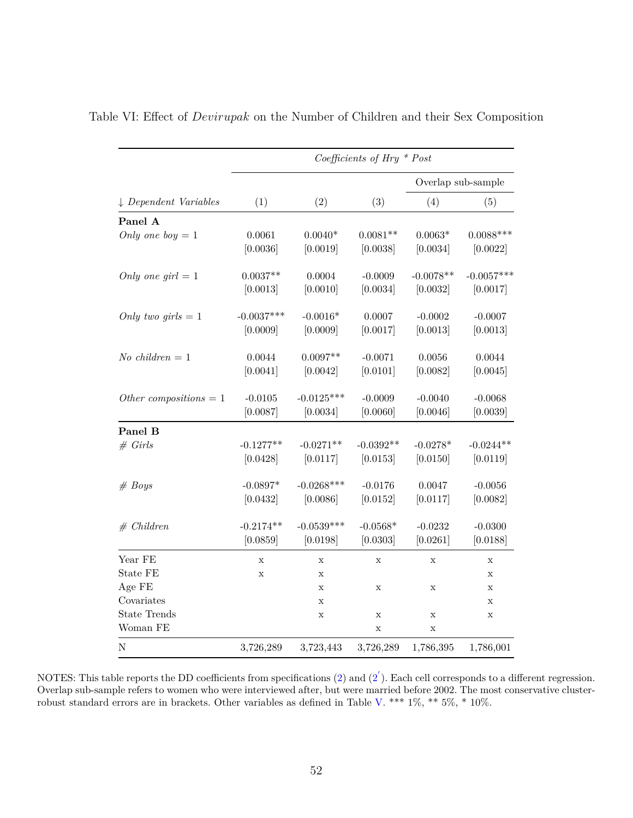|                                  |              |              | Coefficients of Hry $*$ Post |             |                    |
|----------------------------------|--------------|--------------|------------------------------|-------------|--------------------|
|                                  |              |              |                              |             | Overlap sub-sample |
| $\downarrow$ Dependent Variables | (1)          | (2)          | (3)                          | (4)         | (5)                |
| Panel A                          |              |              |                              |             |                    |
| Only one boy $= 1$               | 0.0061       | $0.0040*$    | $0.0081**$                   | $0.0063*$   | $0.0088***$        |
|                                  | [0.0036]     | [0.0019]     | [0.0038]                     | [0.0034]    | [0.0022]           |
| Only one girl $= 1$              | $0.0037**$   | 0.0004       | $-0.0009$                    | $-0.0078**$ | $-0.0057***$       |
|                                  | [0.0013]     | [0.0010]     | [0.0034]                     | [0.0032]    | [0.0017]           |
| Only two girls $= 1$             | $-0.0037***$ | $-0.0016*$   | 0.0007                       | $-0.0002$   | $-0.0007$          |
|                                  | [0.0009]     | [0.0009]     | [0.0017]                     | [0.0013]    | [0.0013]           |
| No children $= 1$                | 0.0044       | $0.0097**$   | $-0.0071$                    | 0.0056      | 0.0044             |
|                                  | [0.0041]     | [0.0042]     | [0.0101]                     | [0.0082]    | [0.0045]           |
| Other compositions $= 1$         | $-0.0105$    | $-0.0125***$ | $-0.0009$                    | $-0.0040$   | $-0.0068$          |
|                                  | [0.0087]     | [0.0034]     | [0.0060]                     | [0.0046]    | [0.0039]           |
| Panel B                          |              |              |                              |             |                    |
| # Grils                          | $-0.1277**$  | $-0.0271**$  | $-0.0392**$                  | $-0.0278*$  | $-0.0244**$        |
|                                  | [0.0428]     | [0.0117]     | [0.0153]                     | [0.0150]    | [0.0119]           |
| # Boys                           | $-0.0897*$   | $-0.0268***$ | $-0.0176$                    | 0.0047      | $-0.0056$          |
|                                  | [0.0432]     | [0.0086]     | [0.0152]                     | [0.0117]    | [0.0082]           |
| # Children                       | $-0.2174**$  | $-0.0539***$ | $-0.0568*$                   | $-0.0232$   | $-0.0300$          |
|                                  | [0.0859]     | [0.0198]     | [0.0303]                     | [0.0261]    | [0.0188]           |
| Year FE                          | $\mathbf X$  | X            | $\mathbf X$                  | $\mathbf X$ | X                  |
| State FE                         | $\mathbf x$  | X            |                              |             | $\mathbf X$        |
| Age FE                           |              | X            | $\mathbf x$                  | $\mathbf x$ | $\mathbf x$        |
| Covariates                       |              | X            |                              |             | $\mathbf X$        |
| <b>State Trends</b>              |              | X            | $\mathbf X$                  | $\mathbf x$ | $\mathbf x$        |
| Woman FE                         |              |              | $\mathbf x$                  | $\mathbf x$ |                    |
| N                                | 3,726,289    | 3,723,443    | 3,726,289                    | 1,786,395   | 1,786,001          |

<span id="page-54-0"></span>Table VI: Effect of *Devirupak* on the Number of Children and their Sex Composition

NOTES: This table reports the DD coefficients from specifications  $(2)$  and  $(2^{'})$  $(2^{'})$ . Each cell corresponds to a different regression. Overlap sub-sample refers to women who were interviewed after, but were married before 2002. The most conservative clusterrobust standard errors are in brackets. Other variables as defined in Table [V.](#page-53-0) \*\*\* 1%, \*\* 5%, \* 10%.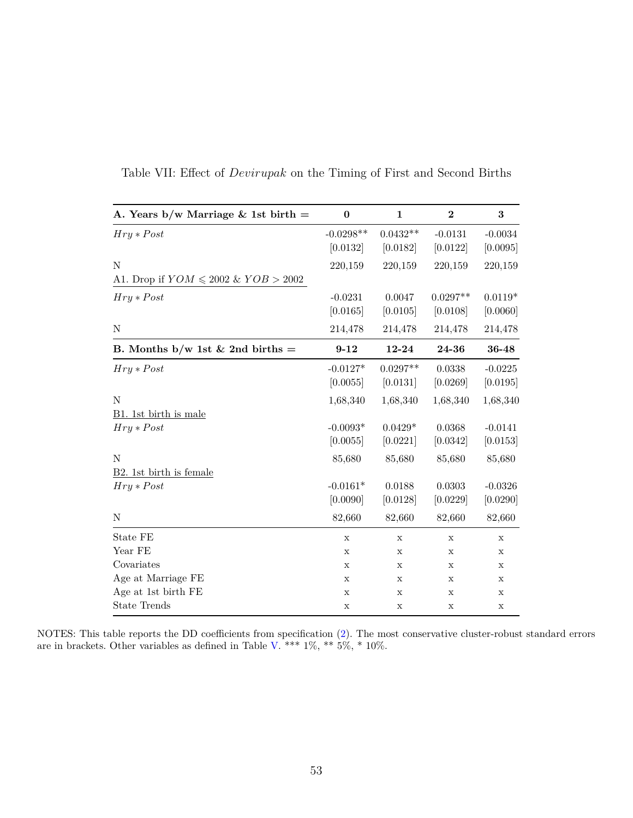| A. Years $b/w$ Marriage & 1st birth $=$   | $\bf{0}$                | $\mathbf{1}$           | $\overline{2}$         | 3                     |
|-------------------------------------------|-------------------------|------------------------|------------------------|-----------------------|
| $Hry * Post$                              | $-0.0298**$<br>[0.0132] | $0.0432**$<br>[0.0182] | $-0.0131$<br>[0.0122]  | $-0.0034$<br>[0.0095] |
| N                                         | 220,159                 | 220,159                | 220,159                | 220,159               |
| A1. Drop if $YOM \leq 2002 \& YOB > 2002$ |                         |                        |                        |                       |
| $Hry * Post$                              | $-0.0231$<br>[0.0165]   | 0.0047<br>[0.0105]     | $0.0297**$<br>[0.0108] | $0.0119*$<br>[0.0060] |
| N                                         | 214,478                 | 214,478                | 214,478                | 214,478               |
| B. Months b/w 1st & 2nd births =          | $9 - 12$                | 12-24                  | 24-36                  | 36-48                 |
| $Hry * Post$                              | $-0.0127*$<br>[0.0055]  | $0.0297**$<br>[0.0131] | 0.0338<br>[0.0269]     | $-0.0225$<br>[0.0195] |
| N                                         | 1,68,340                | 1,68,340               | 1,68,340               | 1,68,340              |
| B1. 1st birth is male<br>$Hry * Post$     | $-0.0093*$<br>[0.0055]  | $0.0429*$<br>[0.0221]  | 0.0368<br>[0.0342]     | $-0.0141$<br>[0.0153] |
| N<br>B2. 1st birth is female              | 85,680                  | 85,680                 | 85,680                 | 85,680                |
| $Hry * Post$                              | $-0.0161*$<br>[0.0090]  | 0.0188<br>[0.0128]     | 0.0303<br>[0.0229]     | $-0.0326$<br>[0.0290] |
| N                                         | 82,660                  | 82,660                 | 82,660                 | 82,660                |
| State FE                                  | $\mathbf X$             | $\mathbf X$            | $\mathbf X$            | $\mathbf X$           |
| Year FE                                   | X                       | X                      | X                      | $\mathbf X$           |
| Covariates                                | $\mathbf X$             | $\mathbf X$            | $\mathbf X$            | $\mathbf X$           |
| Age at Marriage FE                        | X                       | X                      | X                      | $\mathbf x$           |
| Age at 1st birth FE                       | $\mathbf X$             | X                      | Х                      | $\mathbf X$           |
| <b>State Trends</b>                       | $\mathbf X$             | X                      | $\mathbf X$            | $\mathbf X$           |

Table VII: Effect of *Devirupak* on the Timing of First and Second Births

NOTES: This table reports the DD coefficients from specification [\(2\)](#page-24-1). The most conservative cluster-robust standard errors are in brackets. Other variables as defined in Table [V.](#page-53-0) \*\*\*  $1\%,$  \*\*  $5\%,$  \*  $10\%$ .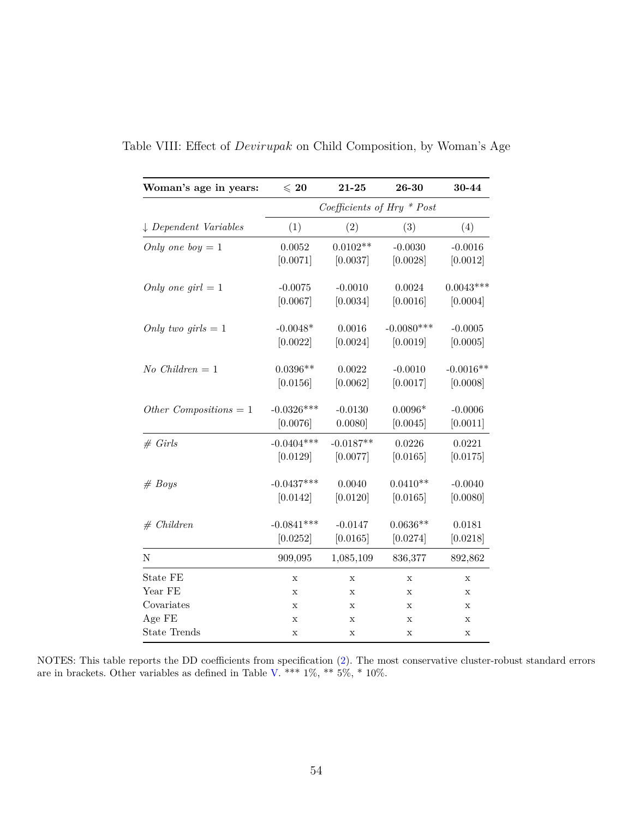| Woman's age in years:            | $\leqslant 20$ | $21 - 25$   | 26-30                        | 30-44       |
|----------------------------------|----------------|-------------|------------------------------|-------------|
|                                  |                |             | Coefficients of Hry $*$ Post |             |
| $\downarrow$ Dependent Variables | (1)            | (2)         | (3)                          | (4)         |
| Only one boy $= 1$               | 0.0052         | $0.0102**$  | $-0.0030$                    | $-0.0016$   |
|                                  | [0.0071]       | [0.0037]    | [0.0028]                     | [0.0012]    |
| Only one girl $= 1$              | $-0.0075$      | $-0.0010$   | 0.0024                       | $0.0043***$ |
|                                  | [0.0067]       | [0.0034]    | [0.0016]                     | [0.0004]    |
| Only two girls $= 1$             | $-0.0048*$     | 0.0016      | $-0.0080***$                 | $-0.0005$   |
|                                  | [0.0022]       | [0.0024]    | [0.0019]                     | [0.0005]    |
| $No$ Children = 1                | $0.0396**$     | 0.0022      | $-0.0010$                    | $-0.0016**$ |
|                                  | [0.0156]       | [0.0062]    | [0.0017]                     | [0.0008]    |
| Other Compositions = $1$         | $-0.0326***$   | $-0.0130$   | $0.0096*$                    | $-0.0006$   |
|                                  | [0.0076]       | 0.0080]     | [0.0045]                     | [0.0011]    |
| # Girls                          | $-0.0404***$   | $-0.0187**$ | 0.0226                       | 0.0221      |
|                                  | [0.0129]       | [0.0077]    | [0.0165]                     | [0.0175]    |
| # Boys                           | $-0.0437***$   | 0.0040      | $0.0410**$                   | $-0.0040$   |
|                                  | [0.0142]       | [0.0120]    | [0.0165]                     | [0.0080]    |
| # Children                       | $-0.0841***$   | $-0.0147$   | $0.0636**$                   | 0.0181      |
|                                  | [0.0252]       | [0.0165]    | [0.0274]                     | [0.0218]    |
| Ν                                | 909,095        | 1,085,109   | 836,377                      | 892,862     |
| State FE                         | X              | $\mathbf X$ | $\mathbf X$                  | $\mathbf X$ |
| Year FE                          | X              | $\mathbf X$ | X                            | $\mathbf x$ |
| Covariates                       | $\mathbf x$    | X           | Х                            | X           |
| Age FE                           | $\mathbf x$    | X           | $\mathbf X$                  | $\mathbf x$ |
| <b>State Trends</b>              | $\mathbf X$    | $\mathbf X$ | $\mathbf X$                  | X           |

Table VIII: Effect of *Devirupak* on Child Composition, by Woman's Age

NOTES: This table reports the DD coefficients from specification [\(2\)](#page-24-1). The most conservative cluster-robust standard errors are in brackets. Other variables as defined in Table [V.](#page-53-0) \*\*\*  $1\%,$  \*\*  $5\%,$  \*  $10\%$ .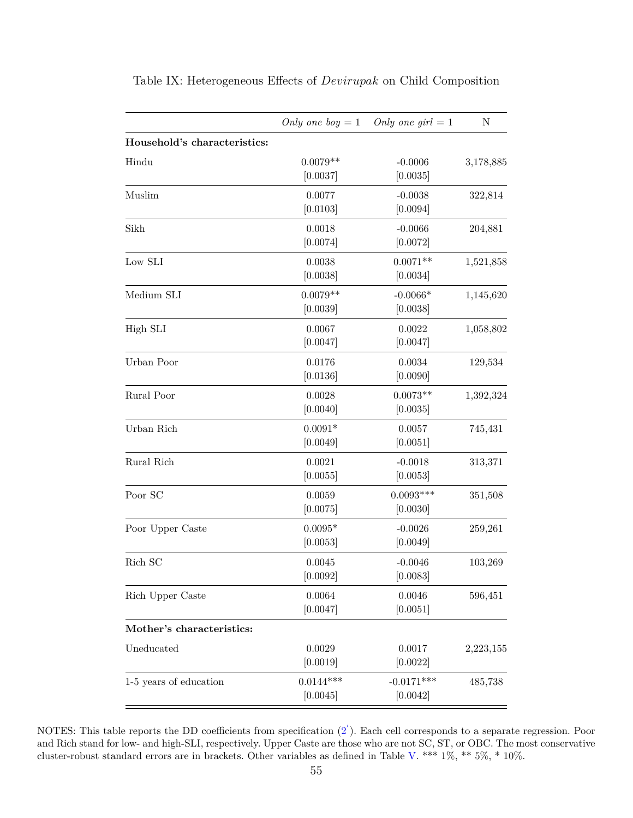| Household's characteristics:<br>$0.0079**$<br>Hindu<br>$-0.0006$<br>[0.0037]<br>[0.0035]<br>0.0077<br>Muslim<br>$-0.0038$<br>[0.0103]<br>[0.0094]<br>Sikh<br>0.0018<br>$-0.0066$<br>[0.0074]<br>[0.0072]<br>$0.0071**$<br>Low SLI<br>0.0038<br>[0.0038]<br>[0.0034]<br>$0.0079**$<br>$-0.0066*$<br>Medium SLI<br>[0.0039]<br>[0.0038]<br>0.0067<br>0.0022<br>High SLI<br>[0.0047]<br>[0.0047]<br>Urban Poor<br>0.0176<br>0.0034<br>[0.0136]<br>[0.0090]<br>$0.0073**$<br>Rural Poor<br>0.0028<br>[0.0040]<br>[0.0035]<br>$0.0091*$<br>Urban Rich<br>0.0057<br>[0.0049]<br>[0.0051]<br>Rural Rich<br>0.0021<br>$-0.0018$<br>[0.0055]<br>[0.0053]<br>$0.0093***$<br>Poor SC<br>0.0059 |          |          |           |
|-------------------------------------------------------------------------------------------------------------------------------------------------------------------------------------------------------------------------------------------------------------------------------------------------------------------------------------------------------------------------------------------------------------------------------------------------------------------------------------------------------------------------------------------------------------------------------------------------------------------------------------------------------------------------------------|----------|----------|-----------|
|                                                                                                                                                                                                                                                                                                                                                                                                                                                                                                                                                                                                                                                                                     |          |          |           |
|                                                                                                                                                                                                                                                                                                                                                                                                                                                                                                                                                                                                                                                                                     |          |          | 3,178,885 |
|                                                                                                                                                                                                                                                                                                                                                                                                                                                                                                                                                                                                                                                                                     |          |          |           |
|                                                                                                                                                                                                                                                                                                                                                                                                                                                                                                                                                                                                                                                                                     |          |          | 322,814   |
|                                                                                                                                                                                                                                                                                                                                                                                                                                                                                                                                                                                                                                                                                     |          |          |           |
|                                                                                                                                                                                                                                                                                                                                                                                                                                                                                                                                                                                                                                                                                     |          |          | 204,881   |
|                                                                                                                                                                                                                                                                                                                                                                                                                                                                                                                                                                                                                                                                                     |          |          |           |
|                                                                                                                                                                                                                                                                                                                                                                                                                                                                                                                                                                                                                                                                                     |          |          | 1,521,858 |
|                                                                                                                                                                                                                                                                                                                                                                                                                                                                                                                                                                                                                                                                                     |          |          |           |
|                                                                                                                                                                                                                                                                                                                                                                                                                                                                                                                                                                                                                                                                                     |          |          | 1,145,620 |
|                                                                                                                                                                                                                                                                                                                                                                                                                                                                                                                                                                                                                                                                                     |          |          |           |
|                                                                                                                                                                                                                                                                                                                                                                                                                                                                                                                                                                                                                                                                                     |          |          | 1,058,802 |
|                                                                                                                                                                                                                                                                                                                                                                                                                                                                                                                                                                                                                                                                                     |          |          |           |
|                                                                                                                                                                                                                                                                                                                                                                                                                                                                                                                                                                                                                                                                                     |          |          | 129,534   |
|                                                                                                                                                                                                                                                                                                                                                                                                                                                                                                                                                                                                                                                                                     |          |          |           |
|                                                                                                                                                                                                                                                                                                                                                                                                                                                                                                                                                                                                                                                                                     |          |          | 1,392,324 |
|                                                                                                                                                                                                                                                                                                                                                                                                                                                                                                                                                                                                                                                                                     |          |          |           |
|                                                                                                                                                                                                                                                                                                                                                                                                                                                                                                                                                                                                                                                                                     |          |          | 745,431   |
|                                                                                                                                                                                                                                                                                                                                                                                                                                                                                                                                                                                                                                                                                     |          |          |           |
|                                                                                                                                                                                                                                                                                                                                                                                                                                                                                                                                                                                                                                                                                     |          |          | 313,371   |
|                                                                                                                                                                                                                                                                                                                                                                                                                                                                                                                                                                                                                                                                                     |          |          |           |
|                                                                                                                                                                                                                                                                                                                                                                                                                                                                                                                                                                                                                                                                                     |          |          | 351,508   |
|                                                                                                                                                                                                                                                                                                                                                                                                                                                                                                                                                                                                                                                                                     | [0.0075] | [0.0030] |           |
| Poor Upper Caste<br>$0.0095*$<br>$-0.0026$                                                                                                                                                                                                                                                                                                                                                                                                                                                                                                                                                                                                                                          |          |          | 259,261   |
| [0.0053]<br>[0.0049]                                                                                                                                                                                                                                                                                                                                                                                                                                                                                                                                                                                                                                                                |          |          |           |
| Rich SC<br>0.0045<br>$-0.0046$                                                                                                                                                                                                                                                                                                                                                                                                                                                                                                                                                                                                                                                      |          |          | 103,269   |
| [0.0092]<br>[0.0083]                                                                                                                                                                                                                                                                                                                                                                                                                                                                                                                                                                                                                                                                |          |          |           |
| Rich Upper Caste<br>0.0064<br>0.0046                                                                                                                                                                                                                                                                                                                                                                                                                                                                                                                                                                                                                                                |          |          | 596,451   |
| [0.0047]<br>[0.0051]                                                                                                                                                                                                                                                                                                                                                                                                                                                                                                                                                                                                                                                                |          |          |           |
| Mother's characteristics:                                                                                                                                                                                                                                                                                                                                                                                                                                                                                                                                                                                                                                                           |          |          |           |
| Uneducated<br>0.0029<br>0.0017                                                                                                                                                                                                                                                                                                                                                                                                                                                                                                                                                                                                                                                      |          |          | 2,223,155 |
| [0.0019]<br>[0.0022]                                                                                                                                                                                                                                                                                                                                                                                                                                                                                                                                                                                                                                                                |          |          |           |
| $0.0144***$<br>1-5 years of education<br>$-0.0171***$                                                                                                                                                                                                                                                                                                                                                                                                                                                                                                                                                                                                                               |          |          | 485,738   |
| [0.0045]<br>[0.0042]                                                                                                                                                                                                                                                                                                                                                                                                                                                                                                                                                                                                                                                                |          |          |           |

Table IX: Heterogeneous Effects of *Devirupak* on Child Composition

NOTES: This table reports the DD coefficients from specification  $(2^{'})$  $(2^{'})$ . Each cell corresponds to a separate regression. Poor and Rich stand for low- and high-SLI, respectively. Upper Caste are those who are not SC, ST, or OBC. The most conservative cluster-robust standard errors are in brackets. Other variables as defined in Table [V.](#page-53-0) \*\*\* 1%, \*\* 5%, \* 10%.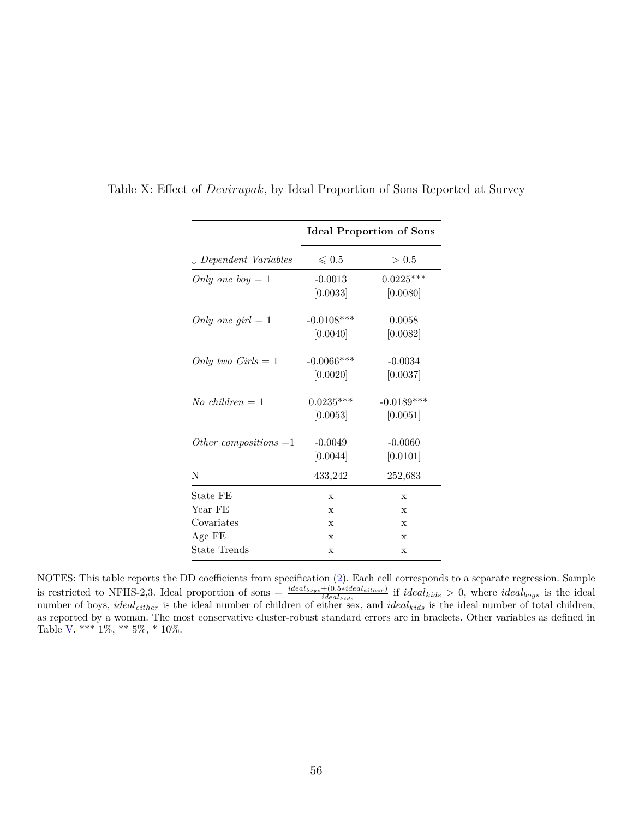|                                  |                 | <b>Ideal Proportion of Sons</b> |
|----------------------------------|-----------------|---------------------------------|
| $\downarrow$ Dependent Variables | $\leqslant 0.5$ | > 0.5                           |
| Only one boy $= 1$               | $-0.0013$       | $0.0225***$                     |
|                                  | [0.0033]        | [0.0080]                        |
| Only one girl $= 1$              | $-0.0108***$    | 0.0058                          |
|                                  | [0.0040]        | [0.0082]                        |
| Only two $Girls = 1$             | $-0.0066$ ***   | $-0.0034$                       |
|                                  | [0.0020]        | [0.0037]                        |
| $No$ children = 1                | $0.0235***$     | $-0.0189***$                    |
|                                  | [0.0053]        | [0.0051]                        |
| Other compositions $=1$          | $-0.0049$       | $-0.0060$                       |
|                                  | [0.0044]        | [0.0101]                        |
| N                                | 433,242         | 252,683                         |
| State FE                         | X               | X                               |
| Year FE                          | X               | X                               |
| Covariates                       | X               | X                               |
| Age FE                           | $\mathbf x$     | $\mathbf{x}$                    |
| State Trends                     | $\mathbf x$     | X                               |

Table X: Effect of *Devirupak*, by Ideal Proportion of Sons Reported at Survey

NOTES: This table reports the DD coefficients from specification [\(2\)](#page-24-1). Each cell corresponds to a separate regression. Sample is restricted to NFHS-2,3. Ideal proportion of sons =  $\frac{ideal_{boys} + (0.5 * ideal_{either})}{ideal_{kids}}$  if  $ideal_{kids} > 0$ , where  $ideal_{boys}$  is the ideal number of boys, *idealeither* is the ideal number of children of either sex, and *idealkids* is the ideal number of total children, as reported by a woman. The most conservative cluster-robust standard errors are in brackets. Other variables as defined in Table [V.](#page-53-0) \*\*\* 1%, \*\* 5%, \* 10%.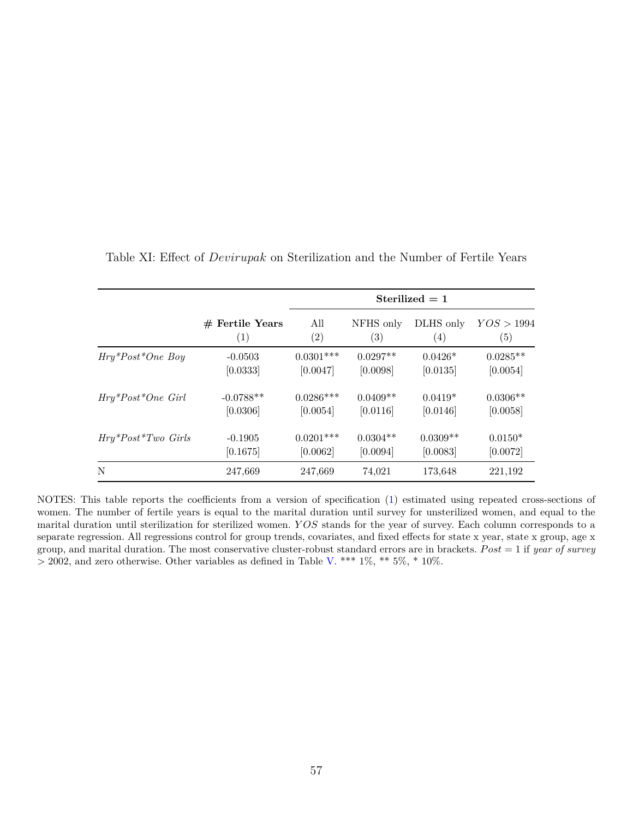|                         |                   |             |                   | Sterilized $= 1$ |            |
|-------------------------|-------------------|-------------|-------------------|------------------|------------|
|                         | $#$ Fertile Years | All         | NFHS only         | DLHS only        | YOS > 1994 |
|                         | (1)               | (2)         | $\left( 3\right)$ | (4)              | (5)        |
| $Hry^*Post^*One$ Boy    | $-0.0503$         | $0.0301***$ | $0.0297**$        | $0.0426*$        | $0.0285**$ |
|                         | [0.0333]          | [0.0047]    | [0.0098]          | [0.0135]         | [0.0054]   |
| $Hry^*Post^*One\ Girl$  | $-0.0788**$       | $0.0286***$ | $0.0409**$        | $0.0419*$        | $0.0306**$ |
|                         | [0.0306]          | [0.0054]    | [0.0116]          | [0.0146]         | [0.0058]   |
| $Hry^*Post^*Two\ Girls$ | $-0.1905$         | $0.0201***$ | $0.0304**$        | $0.0309**$       | $0.0150*$  |
|                         | [0.1675]          | [0.0062]    | [0.0094]          | [0.0083]         | [0.0072]   |
| N                       | 247,669           | 247,669     | 74,021            | 173,648          | 221,192    |

Table XI: Effect of *Devirupak* on Sterilization and the Number of Fertile Years

NOTES: This table reports the coefficients from a version of specification [\(1\)](#page-23-0) estimated using repeated cross-sections of women. The number of fertile years is equal to the marital duration until survey for unsterilized women, and equal to the marital duration until sterilization for sterilized women. *Y OS* stands for the year of survey. Each column corresponds to a separate regression. All regressions control for group trends, covariates, and fixed effects for state x year, state x group, age x group, and marital duration. The most conservative cluster-robust standard errors are in brackets. *P ost* = 1 if *year of survey*  $>$  2002, and zero otherwise. Other variables as defined in Table [V.](#page-53-0) \*\*\* 1%, \*\* 5%, \* 10%.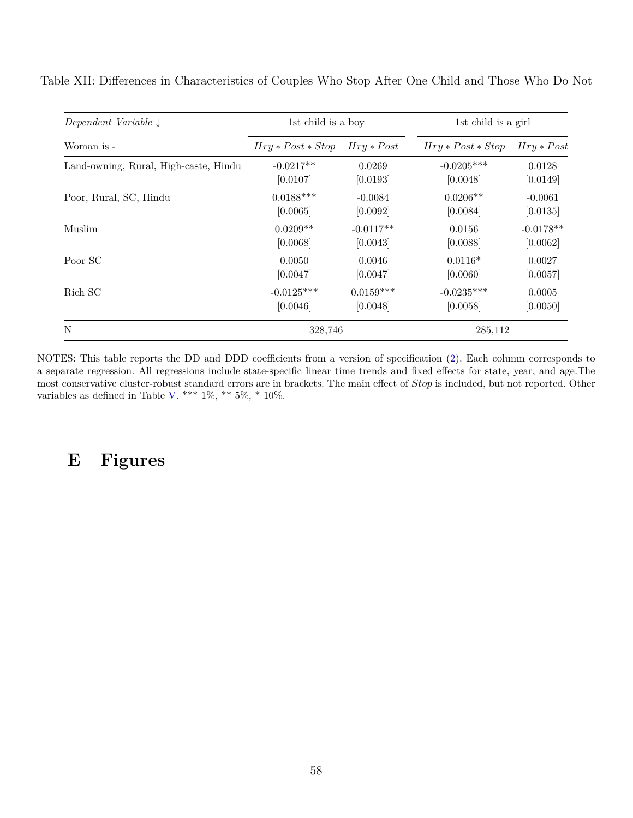| Dependent Variable $\downarrow$       | 1st child is a boy  |              | 1st child is a girl |              |
|---------------------------------------|---------------------|--------------|---------------------|--------------|
| Woman is -                            | $Hry * Post * Stop$ | $Hry * Post$ | $Hry * Post * Stop$ | $Hry * Post$ |
| Land-owning, Rural, High-caste, Hindu | $-0.0217**$         | 0.0269       | $-0.0205***$        | 0.0128       |
|                                       | [0.0107]            | [0.0193]     | [0.0048]            | [0.0149]     |
| Poor, Rural, SC, Hindu                | $0.0188***$         | $-0.0084$    | $0.0206**$          | $-0.0061$    |
|                                       | [0.0065]            | [0.0092]     | [0.0084]            | [0.0135]     |
| <b>Muslim</b>                         | $0.0209**$          | $-0.0117**$  | 0.0156              | $-0.0178**$  |
|                                       | [0.0068]            | [0.0043]     | [0.0088]            | [0.0062]     |
| Poor SC                               | 0.0050              | 0.0046       | $0.0116*$           | 0.0027       |
|                                       | [0.0047]            | [0.0047]     | [0.0060]            | [0.0057]     |
| Rich SC                               | $-0.0125***$        | $0.0159***$  | $-0.0235***$        | 0.0005       |
|                                       | [0.0046]            | [0.0048]     | [0.0058]            | [0.0050]     |
| N                                     | 328,746             |              | 285,112             |              |

Table XII: Differences in Characteristics of Couples Who Stop After One Child and Those Who Do Not

NOTES: This table reports the DD and DDD coefficients from a version of specification [\(2\)](#page-24-1). Each column corresponds to a separate regression. All regressions include state-specific linear time trends and fixed effects for state, year, and age.The most conservative cluster-robust standard errors are in brackets. The main effect of *Stop* is included, but not reported. Other variables as defined in Table [V.](#page-53-0) \*\*\*  $1\%$ , \*\*  $5\%$ , \*  $10\%$ .

## **E Figures**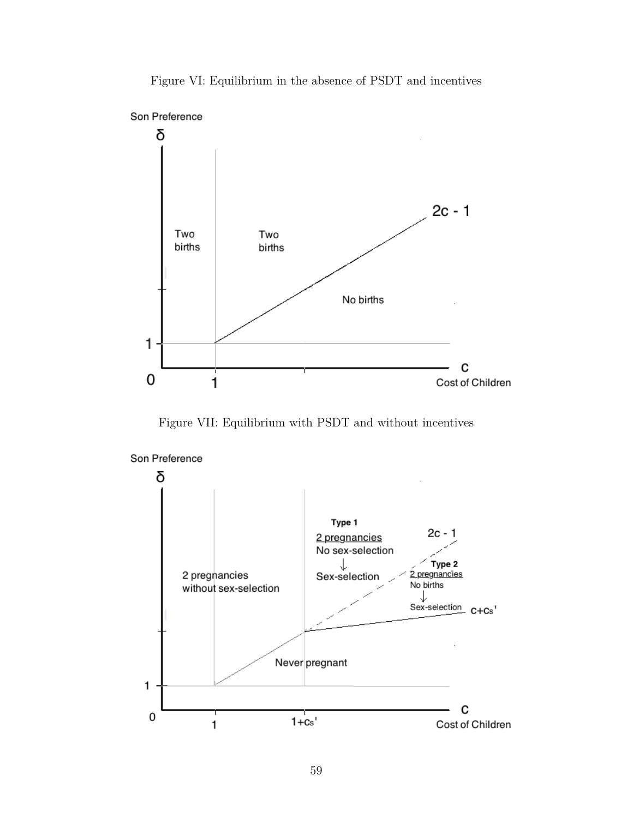



Figure VII: Equilibrium with PSDT and without incentives



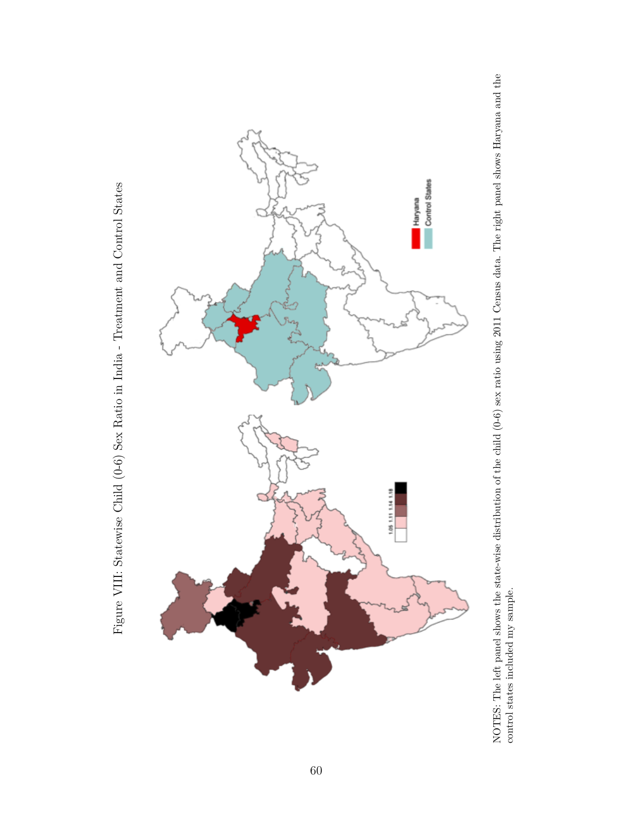

NOTES: The left panel shows the state-wise distribution of the child (0-6) sex ratio using 2011 Census data. The right panel shows Haryana and the control states included my sample. NOTES: The left panel shows the state-wise distribution of the child (0-6) sex ratio using 2011 Census data. The right panel shows Haryana and the control states included my sample.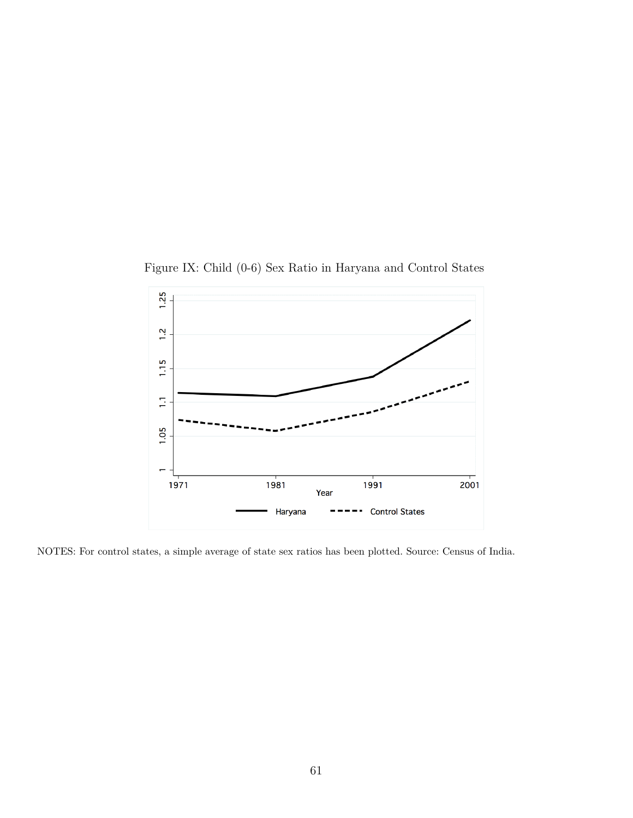Figure IX: Child (0-6) Sex Ratio in Haryana and Control States



NOTES: For control states, a simple average of state sex ratios has been plotted. Source: Census of India.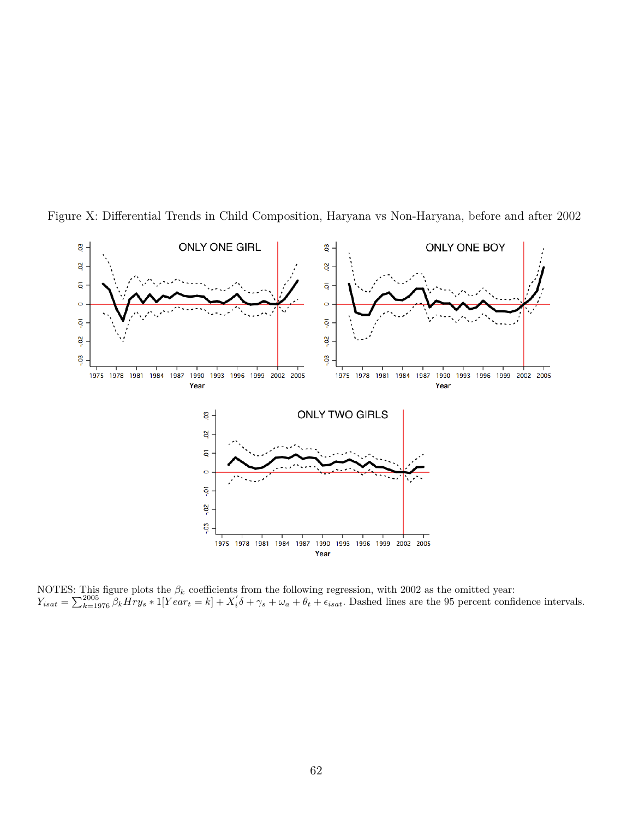

Figure X: Differential Trends in Child Composition, Haryana vs Non-Haryana, before and after 2002

NOTES: This figure plots the *β<sup>k</sup>* coefficients from the following regression, with 2002 as the omitted year:  $Y_{isat} = \sum_{k=1976}^{2005} \beta_k \overrightarrow{H} \overrightarrow{r}$  \* 1[ $Year_t = k$ ] +  $X_i' \delta + \gamma_s + \omega_a + \theta_t + \epsilon_{isat}$ . Dashed lines are the 95 percent confidence intervals.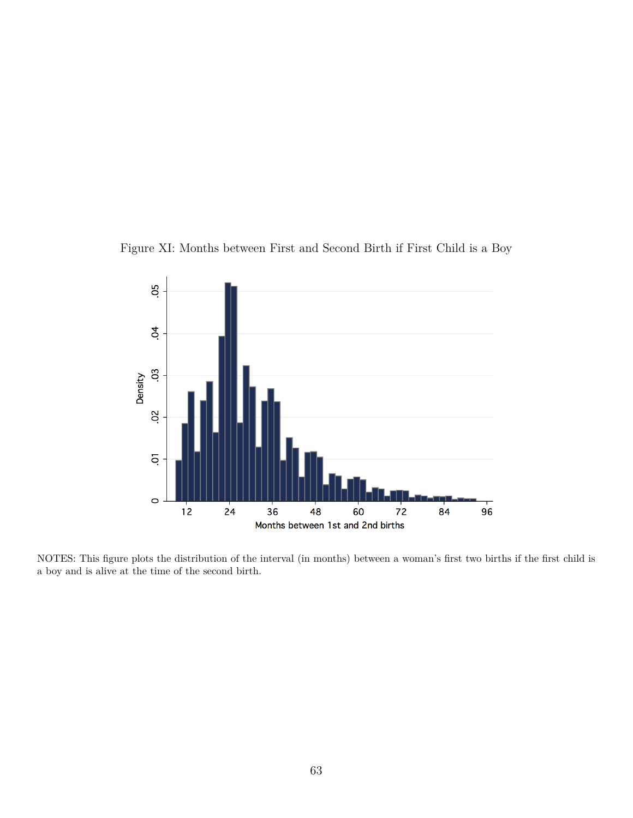



NOTES: This figure plots the distribution of the interval (in months) between a woman's first two births if the first child is a boy and is alive at the time of the second birth.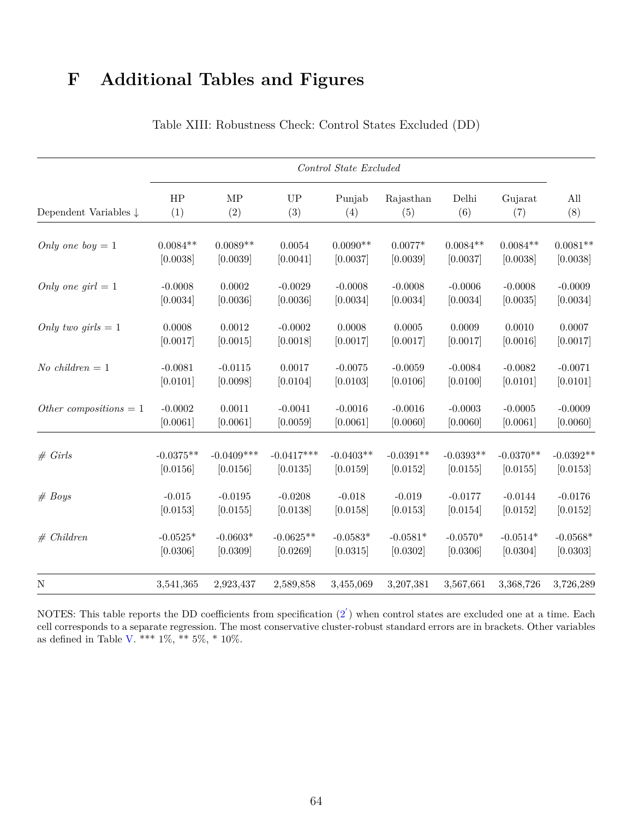# **F Additional Tables and Figures**

<span id="page-66-0"></span>

|                                  |                |              |              | Control State Excluded |             |             |             |             |
|----------------------------------|----------------|--------------|--------------|------------------------|-------------|-------------|-------------|-------------|
| Dependent Variables $\downarrow$ | HP             | MP           | <b>UP</b>    | Punjab                 | Rajasthan   | Delhi       | Gujarat     | All         |
|                                  | (1)            | (2)          | (3)          | (4)                    | (5)         | (6)         | (7)         | (8)         |
| Only one boy $= 1$               | $0.0084**$     | $0.0089**$   | 0.0054       | $0.0090**$             | $0.0077*$   | $0.0084**$  | $0.0084**$  | $0.0081**$  |
|                                  | [0.0038]       | [0.0039]     | [0.0041]     | [0.0037]               | [0.0039]    | [0.0037]    | [0.0038]    | [0.0038]    |
| Only one girl $= 1$              | $-0.0008$      | 0.0002       | $-0.0029$    | $-0.0008$              | $-0.0008$   | $-0.0006$   | $-0.0008$   | $-0.0009$   |
|                                  | [0.0034]       | [0.0036]     | [0.0036]     | [0.0034]               | [0.0034]    | [0.0034]    | [0.0035]    | [0.0034]    |
| Only two girls $= 1$             | 0.0008         | 0.0012       | $-0.0002$    | 0.0008                 | 0.0005      | 0.0009      | 0.0010      | 0.0007      |
|                                  | [0.0017]       | [0.0015]     | [0.0018]     | [0.0017]               | [0.0017]    | [0.0017]    | [0.0016]    | [0.0017]    |
| No children $= 1$                | $-0.0081$      | $-0.0115$    | 0.0017       | $-0.0075$              | $-0.0059$   | $-0.0084$   | $-0.0082$   | $-0.0071$   |
|                                  | [0.0101]       | [0.0098]     | [0.0104]     | [0.0103]               | [0.0106]    | [0.0100]    | [0.0101]    | [0.0101]    |
| Other compositions $= 1$         | $-0.0002$      | 0.0011       | $-0.0041$    | $-0.0016$              | $-0.0016$   | $-0.0003$   | $-0.0005$   | $-0.0009$   |
|                                  | [0.0061]       | [0.0061]     | [0.0059]     | [0.0061]               | [0.0060]    | [0.0060]    | [0.0061]    | [0.0060]    |
| # Grls                           | $-0.0375^{**}$ | $-0.0409***$ | $-0.0417***$ | $-0.0403**$            | $-0.0391**$ | $-0.0393**$ | $-0.0370**$ | $-0.0392**$ |
|                                  | [0.0156]       | [0.0156]     | [0.0135]     | [0.0159]               | [0.0152]    | [0.0155]    | [0.0155]    | [0.0153]    |
| # Boys                           | $-0.015$       | $-0.0195$    | $-0.0208$    | $-0.018$               | $-0.019$    | $-0.0177$   | $-0.0144$   | $-0.0176$   |
|                                  | [0.0153]       | [0.0155]     | [0.0138]     | [0.0158]               | [0.0153]    | [0.0154]    | [0.0152]    | [0.0152]    |
| # Children                       | $-0.0525*$     | $-0.0603*$   | $-0.0625**$  | $-0.0583*$             | $-0.0581*$  | $-0.0570*$  | $-0.0514*$  | $-0.0568*$  |
|                                  | [0.0306]       | [0.0309]     | [0.0269]     | [0.0315]               | [0.0302]    | [0.0306]    | [0.0304]    | [0.0303]    |
| $\mathbf N$                      | 3,541,365      | 2,923,437    | 2,589,858    | 3,455,069              | 3,207,381   | 3,567,661   | 3,368,726   | 3,726,289   |

Table XIII: Robustness Check: Control States Excluded (DD)

NOTES: This table reports the DD coefficients from specification  $(2)$  $(2)$  when control states are excluded one at a time. Each cell corresponds to a separate regression. The most conservative cluster-robust standard errors are in brackets. Other variables as defined in Table [V.](#page-53-0) \*\*\*  $1\%$ , \*\*  $5\%$ , \*  $10\%$ .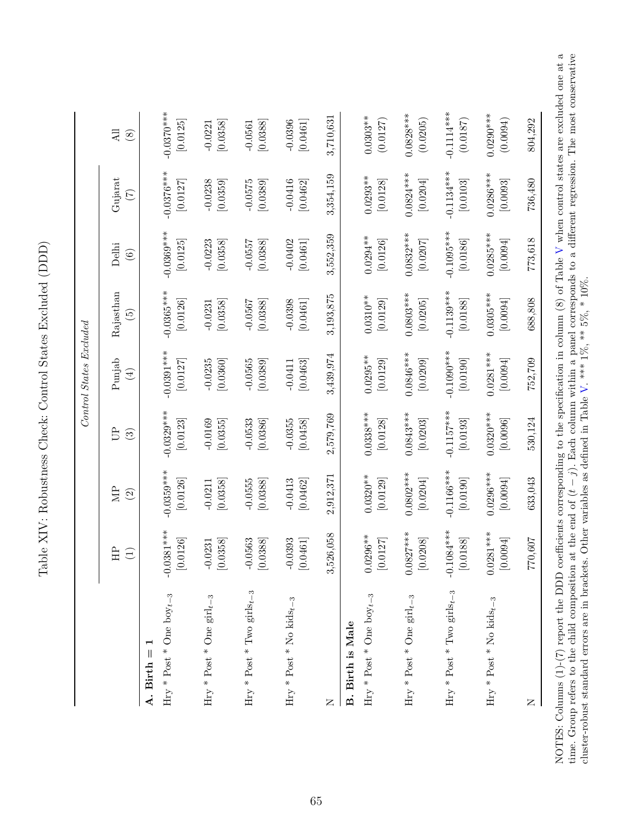<span id="page-67-0"></span>

|                                                         |                                                  |                          |                          | Control States Excluded  |                                       |                                 |                                       |                          |
|---------------------------------------------------------|--------------------------------------------------|--------------------------|--------------------------|--------------------------|---------------------------------------|---------------------------------|---------------------------------------|--------------------------|
|                                                         | H <sub>1</sub><br>$\bigoplus$                    | Ê<br>$\odot$             | Ê<br>$\odot$             | Punjab<br>$(\pm)$        | Rajasthan<br>$\widetilde{\mathbb{G}}$ | Delhi<br>$\widehat{\mathbf{e}}$ | Gujarat<br>E                          | All<br>$\circledast$     |
| A. Birth                                                |                                                  |                          |                          |                          |                                       |                                 |                                       |                          |
| Hry * Post * One $\mathrm{boy}_{t-3}$                   | $-0.0381***$<br>.0126<br>$\overline{c}$          | $-0.0359***$<br>[0.0126] | $-0.0329***$<br>[0.0123] | $-0.0391***$<br>[0.0127] | $-0.0365***$<br>[0.0126]              | $-0.0369***$<br>[0.0125]        | $-0.0376***$<br>[0.0127]              | $-0.0370***$<br>[0.0125] |
| Hry * Post * One girl $_{t-3}$                          | 0358<br>.0231<br>$\overline{0}$<br>$\subseteq$   | [0.0358]<br>$-0.0211$    | $-0.0169$<br>[0.0355]    | $-0.0235$<br>[0.0360]    | [0.0358]<br>$-0.0231$                 | $-0.0223$<br>[0.0358]           | $-0.0238$<br>[0.0359]                 | [0.0358]<br>$-0.0221$    |
| Hry * Post * Two girls<br>+_ -3                         | .0563<br>0388<br>$\bigcap$<br>$\subseteq$        | $-0.0555$<br>[0.0388]    | $-0.0533$<br>[0.0386]    | $-0.0565$<br>[0.0389]    | $-0.0567$<br>[0.0388]                 | $-0.0557$<br>[0.0388]           | $-0.0575$<br>[0.0389]                 | [0.0388]<br>$-0.0561$    |
| Hry * Post * No kids <sub>t-3</sub>                     | .0393<br>0461<br>$\bigcirc$<br>$\subseteq$       | $-0.0413$<br>[0.0462]    | $-0.0355$<br>[0.0458]    | [0.0463]<br>$-0.0411$    | [0.0461]<br>$-0.0398$                 | $-0.0402$<br>[0.0461]           | $-0.0416$<br>[0.0462]                 | [0.0461]<br>$-0.0396$    |
| $\square$                                               | 3,526,058                                        | 2,912,371                | 2,579,769                | 3,439,974                | 3,193,875                             | 3,552,359                       | 3,354,159                             | 3,710,631                |
| Hry * Post * One boy <sub>t-3</sub><br>B. Birth is Male | 1296**<br>.0127<br>$\overline{0}$<br>$\subseteq$ | $0.0320***$<br>[0.0129]  | $0.0338***$<br>[0.0128]  | $0.0295***$<br>[0.0129]  | $0.0310**$<br>[0.0129]                | $0.0294***$<br>[0.0126]         | $0.0293**$<br>$[0.0128]$              | $0.0303***$<br>(0.0127)  |
| Hry * Post * One girl <sub>t-3</sub>                    | $0.0827***$<br>.0208<br>$\subseteq$              | $0.0802***$<br>[0.0204]  | $0.0843***$<br>[0.0203]  | $0.0846***$<br>[0.0209]  | $0.0803***$<br>[0.0205]               | $0.0832***$<br>[0.0207]         | $0.0824***$<br>[0.0204]               | $0.0828***$<br>(0.0205)  |
| Hry * Post * Two girls<br>+–3                           | $-0.1084***$<br>0188<br>$\subseteq$              | $-0.1166***$<br>[0.0190] | $-0.1157***$<br>[0.0193] | $-0.1090***$<br>[0.0190] | $-0.1139***$<br>$[0.0188]$            | $-0.1095***$<br>[0.0186]        | $-0.1134***$<br>$\left[0.0103\right]$ | $-0.1114***$<br>(0.0187) |
| Hry * Post * No kids <sub>t-3</sub>                     | $0.0281***$<br>[1600]<br>$\subseteq$             | $0.0296***$<br>[0.0094]  | $0.0320***$<br>[0.0096]  | $0.0281***$<br>[0.0094]  | $0.0305***$<br>[0.0094]               | $0.0285***$<br>[0.0094]         | $0.0286***$<br>[0.0093]               | $0.0290***$<br>(10.0094) |
| $\simeq$                                                | 70,607<br>77                                     | 633,043                  | 530,124                  | 752,709                  | 688,808                               | 773,618                         | 736,480                               | 804,292                  |

NOTES: Columns (1)-(7) report the DDD coefficients corresponding to the specification in column (8) of Table V when control states are excluded one at a time. Group refers to the child composition at the end of  $(t-j)$ . Eac NOTES: Columns (1)-(7) report the DDD coefficients corresponding to the specification in column (8) of Table [V](#page-53-0) when control states are excluded one at a<br>... time. Group refers to the child composition at the end of (*t* − *j*). Each column within a panel corresponds to a different regression. The most conservative cluster-robust standard errors are in brackets. Other variables as defined in Table [V.](#page-53-0) \*\*\*  $1\%$ , \*\*  $5\%$ , \* $10\%$ .

Table XIV: Robustness Check: Control States Excluded (DDD) Table XIV: Robustness Check: Control States Excluded (DDD)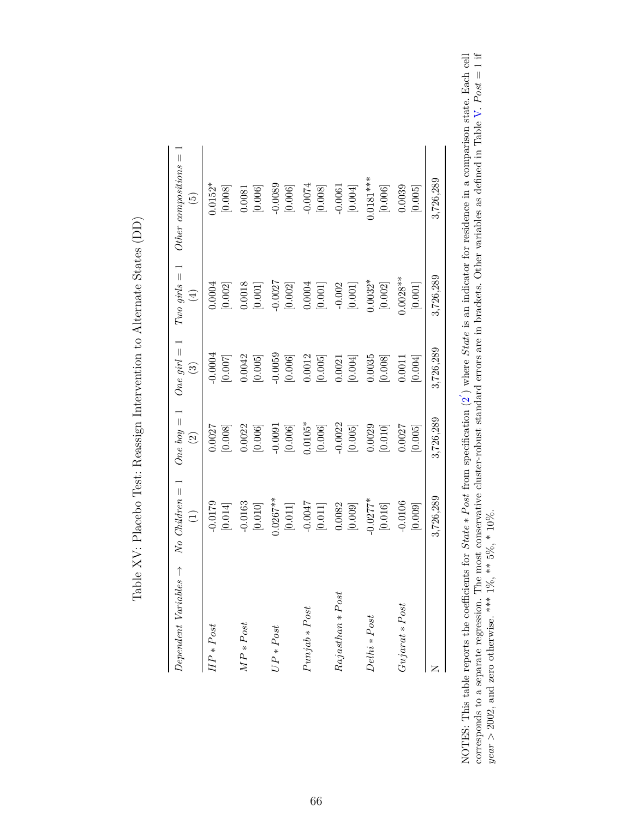<span id="page-68-0"></span>

| $Dependent \ Variables$ $\rightarrow$ | $No$ Children $=$     | One boy $= 1$                     | One girl $= 1$                 | $Two\ girls = 1$                | Other compositions $=$            |
|---------------------------------------|-----------------------|-----------------------------------|--------------------------------|---------------------------------|-----------------------------------|
|                                       | $\bigoplus$           | $\widehat{\mathfrak{D}}$          | $\odot$                        | $\bigoplus$                     | $\widetilde{\mathbf{e}}$          |
| $HP * Post$                           | $-0.0179$             | 0.0027                            | 0.0004                         | [0.002]                         | $0.0152*$                         |
|                                       | $\left[0.014\right]$  | $[0.008]$                         | [0.007]                        | 0.0004                          | $[0.008]$                         |
| $MP * Post$                           | $-0.0163$             | 0.0022                            | 0.0042                         | 0.0018                          | $\left[ 0.006\right]$             |
|                                       | $\left[ 0.010\right]$ | $\left[0.006\right]$              | $\left[0.005\right]$           | $\left[ 0.001\right]$           | 0.0081                            |
| $UP*Post$                             | $0.0267***$           | 0.0091                            | 0.0059                         | $-0.0027$                       | $-0.0089$                         |
|                                       | $\left[ 0.011\right]$ | $\left[0.006\right]$              | $\left[0.006\right]$           | $\left[ 0.002\right]$           | $\left[0.006\right]$              |
| $Punjab * Post$                       | [110.0]               | $0.0105*$<br>$\left[0.006\right]$ | 0.0012<br>$\left[0.005\right]$ | 0.0004<br>$\left[ 0.001\right]$ | $-0.0074$<br>$\left[0.008\right]$ |
| $Rajasthan * Post$                    | 0.0082                | $-0.0022$                         | $0.0021\,$                     | $-0.002$                        | $\left[0.004\right]$              |
|                                       | [0.009]               | $\left[0.005\right]$              | [0.004]                        | $\left[ 0.001\right]$           | $-0.0061$                         |
| Delhi * Post                          | $0.0277*$             | 0.0029                            | 0.0035                         | $0.0032*$                       | $0.0181***$                       |
|                                       | $\left[ 0.016\right]$ | [0.010]                           | [0.008]                        | [0.002]                         | $\left[0.006\right]$              |
| $Gujarat * Post$                      | $-0.0106$             | 0.0027                            | 0.0011                         | $0.0028**$                      | 0.0039                            |
|                                       | $[0.009]$             | [0.005]                           | [0.004]                        | [0.001]                         | [0.005]                           |
|                                       | 3,726,289             | 3,726,289                         | 3,726,289                      | 3,726,289                       | 3,726,289                         |

Table XV: Placebo Test: Reassign Intervention to Alternate States (DD) Table XV: Placebo Test: Reassign Intervention to Alternate States (DD)

NOTES: This table reports the coefficients for *State* ∗ *P ost* from specification [\(2](#page-24-0) NOTES: This table reports the coefficients for *State* \* *Post* from specification (2) where *State* is an indicator for residence in a comparison state. Each cell corresponds to a separate regression. The most conservati ) where *State* is an indicator for residence in a comparison state. Each cell corresponds to a separate regression. The most conservative cluster-robust standard errors are in brackets. Other variables as defined in Table  $V.$   $Post = 1$  if *year >* 2002, and zero otherwise. \*\*\* 1%, \*\* 5%, \* 10%.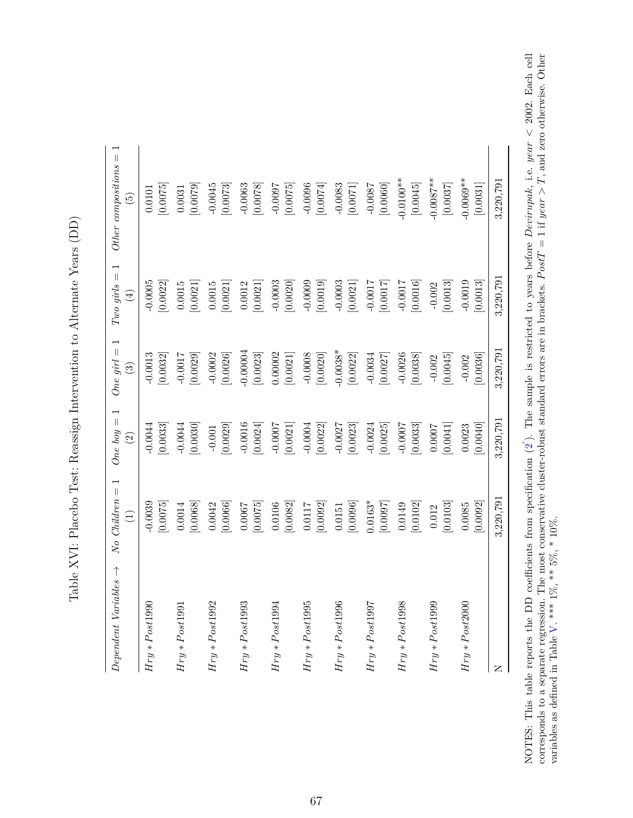| $\frac{1}{2}$<br> <br>                                                                                                                |
|---------------------------------------------------------------------------------------------------------------------------------------|
|                                                                                                                                       |
| ֧֧ׅ֦֧֧֧ׅ֧֧֦֧ׅ֧ׅ֧֧ׅ֧ׅ֧֧ׅ֧֦֧ׅ֧֧֧֧ׅ֧֧֛֚֚֚֚֚֚֚֚֚֚֚֚֚֚֚֚֚֝֘֜֓֡֘֩֩֓֡֟֓֡֟֓֡֟֓֡֟֩֓֡֟֓֟֓֟֓֜֓֟֓֜֓֜֜֜֜֜֜<br>֧֧֧֧֧֧֠֩֩֩֩<br>ļ<br>)<br>1<br>י<br>י |
| $\frac{1}{2}$<br>ׇ֚֘                                                                                                                  |
|                                                                                                                                       |
| $\vdots$<br>١<br>l<br>l<br>֚֘֝֬<br>$\ddot{\phantom{a}}$<br>l<br>;<br>;<br>;<br>ľ                                                      |
| こくし くろく こくさく<br>)<br>ł,<br>ו<br>ו<br>ĺ<br>l                                                                                           |
| 5<br>2<br>1<br>$\frac{1}{2}$<br>I                                                                                                     |
|                                                                                                                                       |
| ֕<br>l                                                                                                                                |
| $\frac{1}{2}$ , $\frac{1}{2}$ , $\frac{1}{2}$ , $\frac{1}{2}$ , $\frac{1}{2}$ , $\frac{1}{2}$ , $\frac{1}{2}$<br>l<br>$\frac{1}{2}$   |

<span id="page-69-0"></span>

| Dependent Variables $\rightarrow$ | $\overline{\phantom{0}}$<br>$No$ <i>Children</i> =<br>$\bigoplus$ | One boy $= 1$<br>$\widehat{\Omega}$ | One girl $= 1$<br>$\odot$ | $Two\,\,girls=1$<br>$\bigoplus$ | $Other\ compositions =$<br>$\widetilde{E}$ |
|-----------------------------------|-------------------------------------------------------------------|-------------------------------------|---------------------------|---------------------------------|--------------------------------------------|
| $Hry * Post1990$                  | $-0.0039$                                                         | [0.0033]                            | [0.0032]                  | [0.0022]                        | [0.0075]                                   |
|                                   | [0.0075]                                                          | $-0.0044$                           | $-0.0013$                 | $-0.0005$                       | 0.0101                                     |
| $Hry * Post1991$                  | [0.0068]                                                          | [0.0030]                            | $-0.0017$                 | [0.0021]                        | [0.0079]                                   |
|                                   | 0.0014                                                            | $-0.0044$                           | [0.0029]                  | 0.0015                          | 0.0031                                     |
| $Hry * Post1992$                  | [0.0066]                                                          | [0.0029]                            | $-0.0002$                 | 0.0015                          | $-0.0045$                                  |
|                                   | 0.0042                                                            | $-0.001$                            | [0.0026]                  | [0.0021]                        | [0.0073]                                   |
| $Hry * Post1993$                  | [0.0075]                                                          | $-0.0016$                           | $-0.00004$                | 0.0012                          | $-0.0063$                                  |
|                                   | 0.0067                                                            | [0.0024]                            | [0.0023]                  | [0.0021]                        | [0.0078]                                   |
| $Hry * Post1994$                  | [0.0082]                                                          | $-0.0007$                           | 0.00002                   | $-0.0003$                       | $-0.0097$                                  |
|                                   | 0.0106                                                            | [0.0021]                            | [0.0021]                  | [0.0020]                        | [0.0075]                                   |
| $Hry * Post1995$                  | [0.0092]                                                          | $-0.0004$                           | $-0.0008$                 | $-0.0009$                       | $-0.0096$                                  |
|                                   | 0.0117                                                            | [0.0022]                            | [0.0020]                  | [0.0019]                        | [0.0074]                                   |
| $Hry * Post1996$                  | [0.0096]                                                          | $-0.0027$                           | $-0.0038*$                | $-0.0003$                       | $-0.0083$                                  |
|                                   | 0.0151                                                            | [0.0023]                            | [0.0022]                  | [0.0021]                        | [0.0071]                                   |
| $Hry * Post1997$                  | $0.0163*$                                                         | $-0.0024$                           | $-0.0034$                 | $-0.0017$                       | [0.0060]                                   |
|                                   | [0.0097]                                                          | [0.0025]                            | [0.0027]                  | [0.0017]                        | $-0.0087$                                  |
| $Hry\ast Post1998$                | [0.0102]                                                          | $-0.0007$                           | $-0.0026$                 | $-0.0017$                       | $-0.0100**$                                |
|                                   | 0.0149                                                            | [0.0033]                            | [0.0038]                  | [0.0016]                        | [0.0045]                                   |
| $Hry * Post1999$                  | [0.0103]                                                          | [0.0041]                            | [0.0045]                  | [0.0013]                        | $-0.0087**$                                |
|                                   | 0.012                                                             | 0.0007                              | $-0.002$                  | $-0.002$                        | [0.0037]                                   |
| $Hry * Post2000$                  | [0.0092]                                                          | 0.0040                              | [0.0036]                  | $-0.0019$                       | $-0.0069**$                                |
|                                   | 0.0085                                                            | 0.0023                              | $-0.002$                  | 0.0013                          | [0.0031]                                   |
| z                                 | 3,220,791                                                         | 3,220,791                           | 3,220,791                 | 3,220,791                       | 3,220,791                                  |

NOTES: This table reports the DD coefficients from specification [\(2](#page-24-0) NOTES: This table reports the DD coefficients from specification  $(2')$ . The sample is restricted to years before *Devirupak*, i.e. year < 2002. Each cell corresponds to a separate regression. The most conservative cluster ). The sample is restricted to years before *Devirupak*, i.e. *year*  $\lt$  2002. Each cell corresponds to a separate regression. The most conservative cluster-robust standard errors are in brackets. *P ostT* = 1 if *year > T*, and zero otherwise. Other variables as defined in Table  $V.$  \*\*\* 1%, \*\* 5%, \* 10%.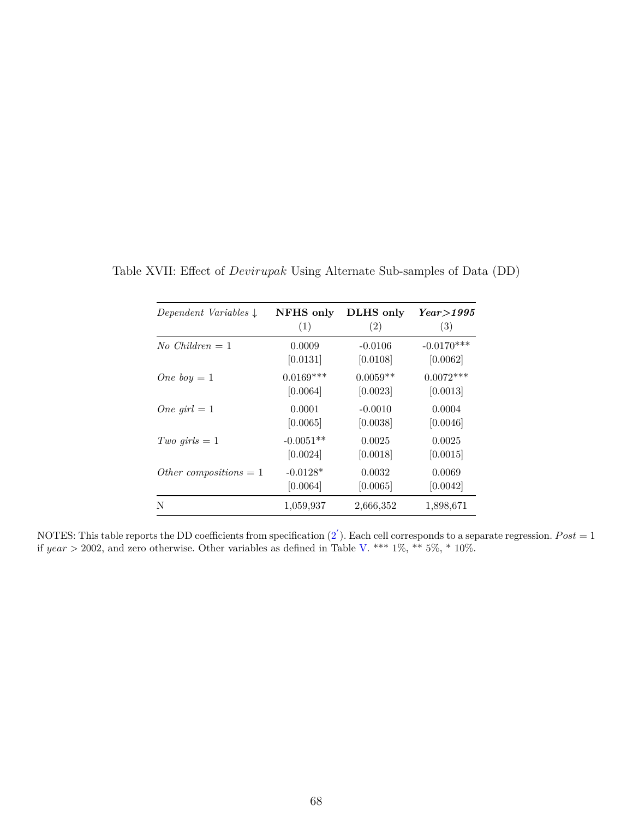| Dependent Variables $\downarrow$ | NFHS only   | DLHS only  | $Year\geq 1995$ |
|----------------------------------|-------------|------------|-----------------|
|                                  | (1)         | (2)        | (3)             |
| No Children $= 1$                | 0.0009      | $-0.0106$  | $-0.0170***$    |
|                                  | [0.0131]    | [0.0108]   | [0.0062]        |
| One boy $=1$                     | $0.0169***$ | $0.0059**$ | $0.0072***$     |
|                                  | [0.0064]    | [0.0023]   | [0.0013]        |
| One girl $=1$                    | 0.0001      | $-0.0010$  | 0.0004          |
|                                  | [0.0065]    | [0.0038]   | [0.0046]        |
| Two girls $= 1$                  | $-0.0051**$ | 0.0025     | 0.0025          |
|                                  | [0.0024]    | [0.0018]   | [0.0015]        |
| Other compositions $= 1$         | $-0.0128*$  | 0.0032     | 0.0069          |
|                                  | [0.0064]    | [0.0065]   | [0.0042]        |
| N                                | 1,059,937   | 2,666,352  | 1,898,671       |

<span id="page-70-0"></span>Table XVII: Effect of *Devirupak* Using Alternate Sub-samples of Data (DD)

NOTES: This table reports the DD coefficients from specification  $(2^{'})$  $(2^{'})$ . Each cell corresponds to a separate regression.  $Post = 1$ if *year >* 2002, and zero otherwise. Other variables as defined in Table [V.](#page-53-0) \*\*\* 1%, \*\* 5%, \* 10%.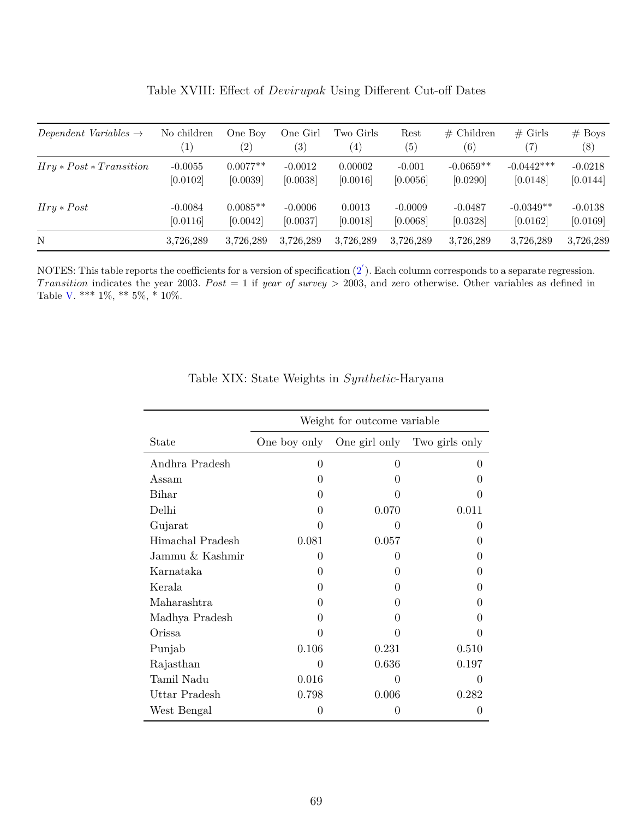<span id="page-71-0"></span>

| Dependent Variables $\rightarrow$ | No children           | One Boy<br>$\left( 2\right)$ | One Girl<br>$\left( 3\right)$ | Two Girls<br>$\left( 4\right)$ | Rest<br>(5)           | $#$ Children<br>(6)     | $#$ Girls<br>$\left( 7\right)$ | $#$ Boys<br>(8)       |
|-----------------------------------|-----------------------|------------------------------|-------------------------------|--------------------------------|-----------------------|-------------------------|--------------------------------|-----------------------|
| $Hry * Post * Transition$         | $-0.0055$<br>[0.0102] | $0.0077**$<br>[0.0039]       | $-0.0012$<br>[0.0038]         | 0.00002<br>[0.0016]            | $-0.001$<br>[0.0056]  | $-0.0659**$<br>[0.0290] | $-0.0442***$<br>[0.0148]       | $-0.0218$<br>[0.0144] |
| $Hry * Post$                      | $-0.0084$<br>[0.0116] | $0.0085**$<br>[0.0042]       | $-0.0006$<br>[0.0037]         | 0.0013<br>[0.0018]             | $-0.0009$<br>[0.0068] | $-0.0487$<br>[0.0328]   | $-0.0349**$<br>[0.0162]        | $-0.0138$<br>[0.0169] |
| N                                 | 3,726,289             | 3.726.289                    | 3.726.289                     | 3,726,289                      | 3,726,289             | 3,726,289               | 3,726,289                      | 3,726,289             |

Table XVIII: Effect of *Devirupak* Using Different Cut-off Dates

<span id="page-71-1"></span>NOTES: This table reports the coefficients for a version of specification  $(2^{'})$  $(2^{'})$ . Each column corresponds to a separate regression. *Transition* indicates the year 2003. *Post* = 1 if *year of survey* > 2003, and zero otherwise. Other variables as defined in Table [V.](#page-53-0) \*\*\*  $1\%,$  \*\*  $5\%,$  \*  $10\%$ .

|                  |              | Weight for outcome variable |                              |
|------------------|--------------|-----------------------------|------------------------------|
| State            | One boy only |                             | One girl only Two girls only |
| Andhra Pradesh   | 0            | 0                           | $\left( \right)$             |
| Assam            | 0            | $\mathbf{0}$                |                              |
| Bihar            | 0            |                             |                              |
| Delhi            | 0            | 0.070                       | 0.011                        |
| Gujarat          | 0            | 0                           | $\mathbf{0}$                 |
| Himachal Pradesh | 0.081        | 0.057                       | 0                            |
| Jammu & Kashmir  | 0            | $\left( \right)$            |                              |
| Karnataka        | 0            | $\left( \right)$            | 0                            |
| Kerala           | 0            | $\theta$                    |                              |
| Maharashtra      | $\mathbf{0}$ | $\left( \right)$            |                              |
| Madhya Pradesh   | 0            | $\mathbf{0}$                |                              |
| Orissa           | 0            |                             |                              |
| Punjab           | 0.106        | 0.231                       | 0.510                        |
| Rajasthan        | 0            | 0.636                       | 0.197                        |
| Tamil Nadu       | 0.016        | 0                           | $\mathbf{0}$                 |
| Uttar Pradesh    | 0.798        | 0.006                       | 0.282                        |
| West Bengal      | 0            | $\mathbf{0}$                | $\mathbf{0}$                 |

#### Table XIX: State Weights in *Synthetic*-Haryana